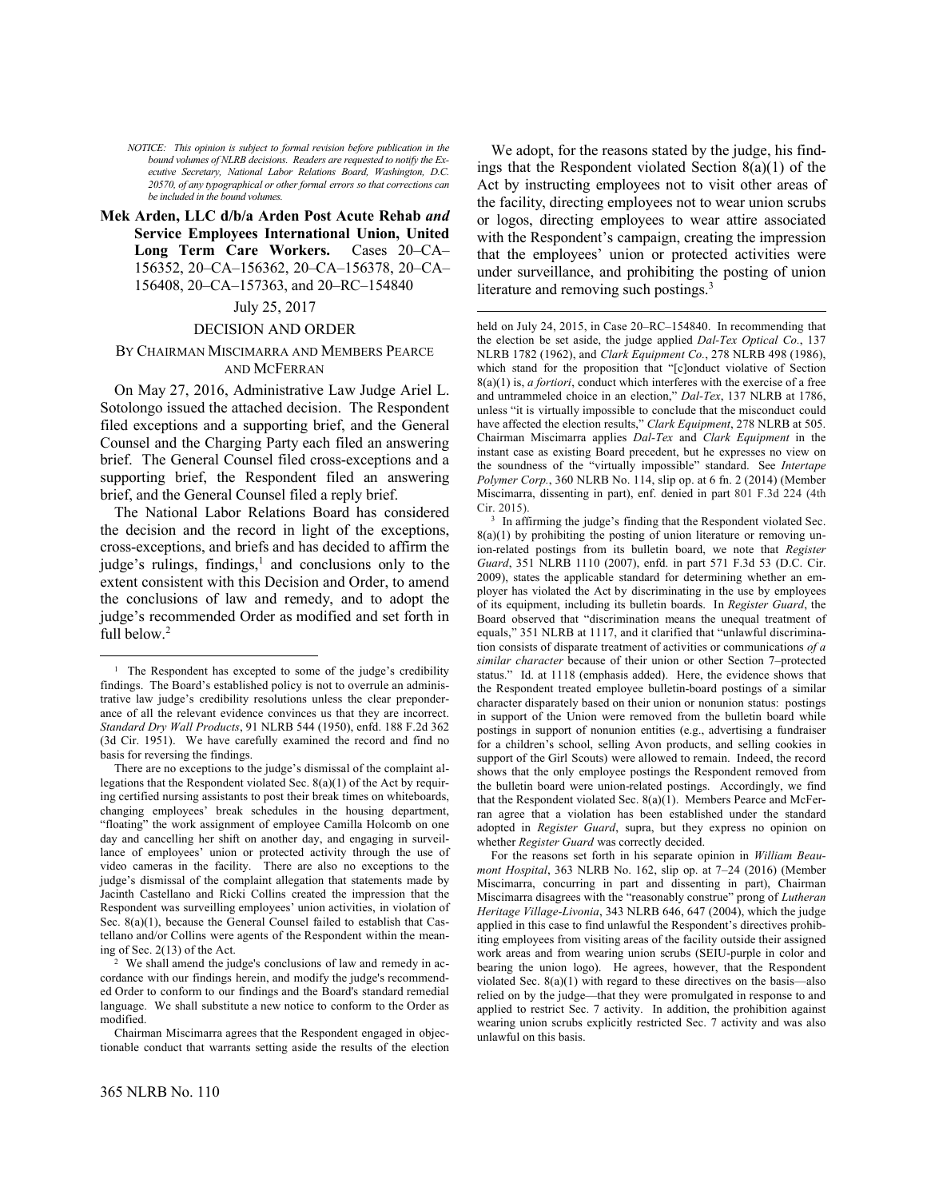*NOTICE: This opinion is subject to formal revision before publication in the bound volumes of NLRB decisions. Readers are requested to notify the Executive Secretary, National Labor Relations Board, Washington, D.C. 20570, of any typographical or other formal errors so that corrections can be included in the bound volumes.*

# **Mek Arden, LLC d/b/a Arden Post Acute Rehab** *and*  **Service Employees International Union, United Long Term Care Workers.** Cases 20–CA– 156352, 20–CA–156362, 20–CA–156378, 20–CA– 156408, 20–CA–157363, and 20–RC–154840

#### July 25, 2017

### DECISION AND ORDER

# BY CHAIRMAN MISCIMARRA AND MEMBERS PEARCE AND MCFERRAN

On May 27, 2016, Administrative Law Judge Ariel L. Sotolongo issued the attached decision. The Respondent filed exceptions and a supporting brief, and the General Counsel and the Charging Party each filed an answering brief. The General Counsel filed cross-exceptions and a supporting brief, the Respondent filed an answering brief, and the General Counsel filed a reply brief.

The National Labor Relations Board has considered the decision and the record in light of the exceptions, cross-exceptions, and briefs and has decided to affirm the judge's rulings, findings, $<sup>1</sup>$  and conclusions only to the</sup> extent consistent with this Decision and Order, to amend the conclusions of law and remedy, and to adopt the judge's recommended Order as modified and set forth in full below.<sup>2</sup>

 

We adopt, for the reasons stated by the judge, his findings that the Respondent violated Section  $8(a)(1)$  of the Act by instructing employees not to visit other areas of the facility, directing employees not to wear union scrubs or logos, directing employees to wear attire associated with the Respondent's campaign, creating the impression that the employees' union or protected activities were under surveillance, and prohibiting the posting of union literature and removing such postings.<sup>3</sup>

 

held on July 24, 2015, in Case 20-RC-154840. In recommending that the election be set aside, the judge applied *Dal-Tex Optical Co.*, 137 NLRB 1782 (1962), and *Clark Equipment Co.*, 278 NLRB 498 (1986), which stand for the proposition that "[c]onduct violative of Section 8(a)(1) is, *a fortiori*, conduct which interferes with the exercise of a free and untrammeled choice in an election," *Dal-Tex*, 137 NLRB at 1786, unless "it is virtually impossible to conclude that the misconduct could have affected the election results," *Clark Equipment*, 278 NLRB at 505. Chairman Miscimarra applies *Dal-Tex* and *Clark Equipment* in the instant case as existing Board precedent, but he expresses no view on the soundness of the "virtually impossible" standard. See *Intertape Polymer Corp.*, 360 NLRB No. 114, slip op. at 6 fn. 2 (2014) (Member Miscimarra, dissenting in part), enf. denied in part 801 F.3d 224 (4th Cir. 2015).

3 In affirming the judge's finding that the Respondent violated Sec.  $8(a)(1)$  by prohibiting the posting of union literature or removing union-related postings from its bulletin board, we note that *Register Guard*, 351 NLRB 1110 (2007), enfd. in part 571 F.3d 53 (D.C. Cir. 2009), states the applicable standard for determining whether an employer has violated the Act by discriminating in the use by employees of its equipment, including its bulletin boards. In *Register Guard*, the Board observed that "discrimination means the unequal treatment of equals," 351 NLRB at 1117, and it clarified that "unlawful discrimination consists of disparate treatment of activities or communications *of a similar character* because of their union or other Section 7–protected status." Id. at 1118 (emphasis added). Here, the evidence shows that the Respondent treated employee bulletin-board postings of a similar character disparately based on their union or nonunion status: postings in support of the Union were removed from the bulletin board while postings in support of nonunion entities (e.g., advertising a fundraiser for a children's school, selling Avon products, and selling cookies in support of the Girl Scouts) were allowed to remain. Indeed, the record shows that the only employee postings the Respondent removed from the bulletin board were union-related postings. Accordingly, we find that the Respondent violated Sec. 8(a)(1). Members Pearce and McFerran agree that a violation has been established under the standard adopted in *Register Guard*, supra, but they express no opinion on whether *Register Guard* was correctly decided.

For the reasons set forth in his separate opinion in *William Beaumont Hospital*, 363 NLRB No. 162, slip op. at 7–24 (2016) (Member Miscimarra, concurring in part and dissenting in part), Chairman Miscimarra disagrees with the "reasonably construe" prong of *Lutheran Heritage Village-Livonia*, 343 NLRB 646, 647 (2004), which the judge applied in this case to find unlawful the Respondent's directives prohibiting employees from visiting areas of the facility outside their assigned work areas and from wearing union scrubs (SEIU-purple in color and bearing the union logo). He agrees, however, that the Respondent violated Sec.  $8(a)(1)$  with regard to these directives on the basis—also relied on by the judge—that they were promulgated in response to and applied to restrict Sec. 7 activity. In addition, the prohibition against wearing union scrubs explicitly restricted Sec. 7 activity and was also unlawful on this basis.

<sup>&</sup>lt;sup>1</sup> The Respondent has excepted to some of the judge's credibility findings. The Board's established policy is not to overrule an administrative law judge's credibility resolutions unless the clear preponderance of all the relevant evidence convinces us that they are incorrect. *Standard Dry Wall Products*, 91 NLRB 544 (1950), enfd. 188 F.2d 362 (3d Cir. 1951). We have carefully examined the record and find no basis for reversing the findings.

There are no exceptions to the judge's dismissal of the complaint allegations that the Respondent violated Sec. 8(a)(1) of the Act by requiring certified nursing assistants to post their break times on whiteboards, changing employees' break schedules in the housing department, "floating" the work assignment of employee Camilla Holcomb on one day and cancelling her shift on another day, and engaging in surveillance of employees' union or protected activity through the use of video cameras in the facility. There are also no exceptions to the judge's dismissal of the complaint allegation that statements made by Jacinth Castellano and Ricki Collins created the impression that the Respondent was surveilling employees' union activities, in violation of Sec. 8(a)(1), because the General Counsel failed to establish that Castellano and/or Collins were agents of the Respondent within the meaning of Sec. 2(13) of the Act.

<sup>2</sup> We shall amend the judge's conclusions of law and remedy in accordance with our findings herein, and modify the judge's recommended Order to conform to our findings and the Board's standard remedial language. We shall substitute a new notice to conform to the Order as modified.

Chairman Miscimarra agrees that the Respondent engaged in objectionable conduct that warrants setting aside the results of the election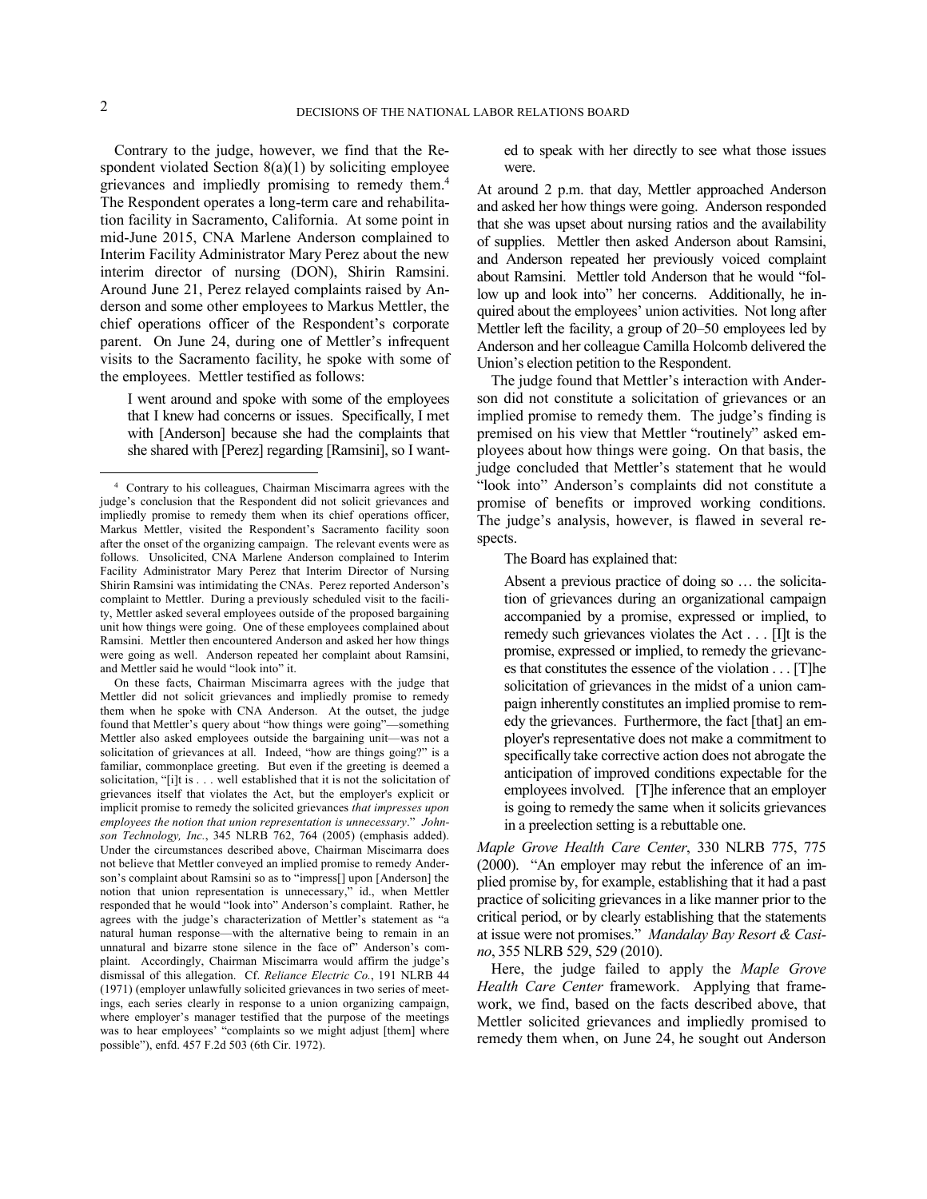Contrary to the judge, however, we find that the Respondent violated Section  $8(a)(1)$  by soliciting employee grievances and impliedly promising to remedy them.<sup>4</sup> The Respondent operates a long-term care and rehabilitation facility in Sacramento, California. At some point in mid-June 2015, CNA Marlene Anderson complained to Interim Facility Administrator Mary Perez about the new interim director of nursing (DON), Shirin Ramsini. Around June 21, Perez relayed complaints raised by Anderson and some other employees to Markus Mettler, the chief operations officer of the Respondent's corporate parent. On June 24, during one of Mettler's infrequent visits to the Sacramento facility, he spoke with some of the employees. Mettler testified as follows:

I went around and spoke with some of the employees that I knew had concerns or issues. Specifically, I met with [Anderson] because she had the complaints that she shared with [Perez] regarding [Ramsini], so I want-

 

On these facts, Chairman Miscimarra agrees with the judge that Mettler did not solicit grievances and impliedly promise to remedy them when he spoke with CNA Anderson. At the outset, the judge found that Mettler's query about "how things were going"—something Mettler also asked employees outside the bargaining unit—was not a solicitation of grievances at all. Indeed, "how are things going?" is a familiar, commonplace greeting. But even if the greeting is deemed a solicitation, "[i]t is . . . well established that it is not the solicitation of grievances itself that violates the Act, but the employer's explicit or implicit promise to remedy the solicited grievances *that impresses upon employees the notion that union representation is unnecessary*." *Johnson Technology, Inc.*, 345 NLRB 762, 764 (2005) (emphasis added). Under the circumstances described above, Chairman Miscimarra does not believe that Mettler conveyed an implied promise to remedy Anderson's complaint about Ramsini so as to "impress[] upon [Anderson] the notion that union representation is unnecessary," id., when Mettler responded that he would "look into" Anderson's complaint. Rather, he agrees with the judge's characterization of Mettler's statement as "a natural human response—with the alternative being to remain in an unnatural and bizarre stone silence in the face of" Anderson's complaint. Accordingly, Chairman Miscimarra would affirm the judge's dismissal of this allegation. Cf. *Reliance Electric Co.*, 191 NLRB 44 (1971) (employer unlawfully solicited grievances in two series of meetings, each series clearly in response to a union organizing campaign, where employer's manager testified that the purpose of the meetings was to hear employees' "complaints so we might adjust [them] where possible"), enfd. 457 F.2d 503 (6th Cir. 1972).

ed to speak with her directly to see what those issues were.

At around 2 p.m. that day, Mettler approached Anderson and asked her how things were going. Anderson responded that she was upset about nursing ratios and the availability of supplies. Mettler then asked Anderson about Ramsini, and Anderson repeated her previously voiced complaint about Ramsini. Mettler told Anderson that he would "follow up and look into" her concerns. Additionally, he inquired about the employees' union activities. Not long after Mettler left the facility, a group of 20–50 employees led by Anderson and her colleague Camilla Holcomb delivered the Union's election petition to the Respondent.

The judge found that Mettler's interaction with Anderson did not constitute a solicitation of grievances or an implied promise to remedy them. The judge's finding is premised on his view that Mettler "routinely" asked employees about how things were going. On that basis, the judge concluded that Mettler's statement that he would "look into" Anderson's complaints did not constitute a promise of benefits or improved working conditions. The judge's analysis, however, is flawed in several respects.

The Board has explained that:

Absent a previous practice of doing so … the solicitation of grievances during an organizational campaign accompanied by a promise, expressed or implied, to remedy such grievances violates the Act . . . [I]t is the promise, expressed or implied, to remedy the grievances that constitutes the essence of the violation . . . [T]he solicitation of grievances in the midst of a union campaign inherently constitutes an implied promise to remedy the grievances. Furthermore, the fact [that] an employer's representative does not make a commitment to specifically take corrective action does not abrogate the anticipation of improved conditions expectable for the employees involved. [T]he inference that an employer is going to remedy the same when it solicits grievances in a preelection setting is a rebuttable one.

*Maple Grove Health Care Center*, 330 NLRB 775, 775 (2000). "An employer may rebut the inference of an implied promise by, for example, establishing that it had a past practice of soliciting grievances in a like manner prior to the critical period, or by clearly establishing that the statements at issue were not promises." *Mandalay Bay Resort & Casino*, 355 NLRB 529, 529 (2010).

Here, the judge failed to apply the *Maple Grove Health Care Center* framework. Applying that framework, we find, based on the facts described above, that Mettler solicited grievances and impliedly promised to remedy them when, on June 24, he sought out Anderson

<sup>4</sup> Contrary to his colleagues, Chairman Miscimarra agrees with the judge's conclusion that the Respondent did not solicit grievances and impliedly promise to remedy them when its chief operations officer, Markus Mettler, visited the Respondent's Sacramento facility soon after the onset of the organizing campaign. The relevant events were as follows. Unsolicited, CNA Marlene Anderson complained to Interim Facility Administrator Mary Perez that Interim Director of Nursing Shirin Ramsini was intimidating the CNAs. Perez reported Anderson's complaint to Mettler. During a previously scheduled visit to the facility, Mettler asked several employees outside of the proposed bargaining unit how things were going. One of these employees complained about Ramsini. Mettler then encountered Anderson and asked her how things were going as well. Anderson repeated her complaint about Ramsini, and Mettler said he would "look into" it.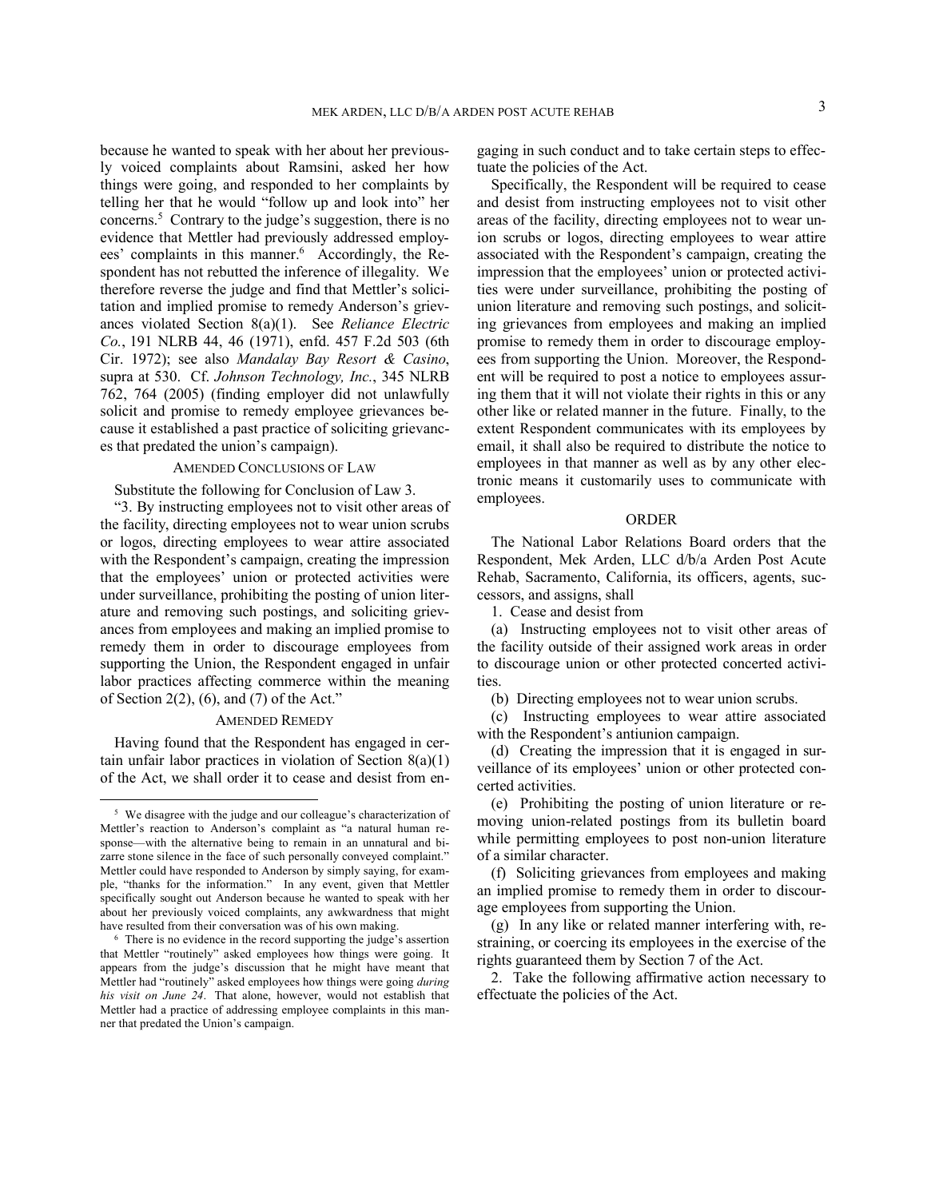because he wanted to speak with her about her previously voiced complaints about Ramsini, asked her how things were going, and responded to her complaints by telling her that he would "follow up and look into" her concerns.<sup>5</sup> Contrary to the judge's suggestion, there is no evidence that Mettler had previously addressed employees' complaints in this manner.<sup>6</sup> Accordingly, the Respondent has not rebutted the inference of illegality. We therefore reverse the judge and find that Mettler's solicitation and implied promise to remedy Anderson's grievances violated Section 8(a)(1). See *Reliance Electric Co.*, 191 NLRB 44, 46 (1971), enfd. 457 F.2d 503 (6th Cir. 1972); see also *Mandalay Bay Resort & Casino*, supra at 530. Cf. *Johnson Technology, Inc.*, 345 NLRB 762, 764 (2005) (finding employer did not unlawfully solicit and promise to remedy employee grievances because it established a past practice of soliciting grievances that predated the union's campaign).

# AMENDED CONCLUSIONS OF LAW

Substitute the following for Conclusion of Law 3.

"3. By instructing employees not to visit other areas of the facility, directing employees not to wear union scrubs or logos, directing employees to wear attire associated with the Respondent's campaign, creating the impression that the employees' union or protected activities were under surveillance, prohibiting the posting of union literature and removing such postings, and soliciting grievances from employees and making an implied promise to remedy them in order to discourage employees from supporting the Union, the Respondent engaged in unfair labor practices affecting commerce within the meaning of Section 2(2), (6), and (7) of the Act."

# AMENDED REMEDY

Having found that the Respondent has engaged in certain unfair labor practices in violation of Section 8(a)(1) of the Act, we shall order it to cease and desist from en-

 

gaging in such conduct and to take certain steps to effectuate the policies of the Act.

Specifically, the Respondent will be required to cease and desist from instructing employees not to visit other areas of the facility, directing employees not to wear union scrubs or logos, directing employees to wear attire associated with the Respondent's campaign, creating the impression that the employees' union or protected activities were under surveillance, prohibiting the posting of union literature and removing such postings, and soliciting grievances from employees and making an implied promise to remedy them in order to discourage employees from supporting the Union. Moreover, the Respondent will be required to post a notice to employees assuring them that it will not violate their rights in this or any other like or related manner in the future. Finally, to the extent Respondent communicates with its employees by email, it shall also be required to distribute the notice to employees in that manner as well as by any other electronic means it customarily uses to communicate with employees.

### ORDER

The National Labor Relations Board orders that the Respondent, Mek Arden, LLC d/b/a Arden Post Acute Rehab, Sacramento, California, its officers, agents, successors, and assigns, shall

1. Cease and desist from

(a) Instructing employees not to visit other areas of the facility outside of their assigned work areas in order to discourage union or other protected concerted activities.

(b) Directing employees not to wear union scrubs.

(c) Instructing employees to wear attire associated with the Respondent's antiunion campaign.

(d) Creating the impression that it is engaged in surveillance of its employees' union or other protected concerted activities.

(e) Prohibiting the posting of union literature or removing union-related postings from its bulletin board while permitting employees to post non-union literature of a similar character.

(f) Soliciting grievances from employees and making an implied promise to remedy them in order to discourage employees from supporting the Union.

(g) In any like or related manner interfering with, restraining, or coercing its employees in the exercise of the rights guaranteed them by Section 7 of the Act.

2. Take the following affirmative action necessary to effectuate the policies of the Act.

<sup>&</sup>lt;sup>5</sup> We disagree with the judge and our colleague's characterization of Mettler's reaction to Anderson's complaint as "a natural human response—with the alternative being to remain in an unnatural and bizarre stone silence in the face of such personally conveyed complaint." Mettler could have responded to Anderson by simply saying, for example, "thanks for the information." In any event, given that Mettler specifically sought out Anderson because he wanted to speak with her about her previously voiced complaints, any awkwardness that might have resulted from their conversation was of his own making.

<sup>6</sup> There is no evidence in the record supporting the judge's assertion that Mettler "routinely" asked employees how things were going. It appears from the judge's discussion that he might have meant that Mettler had "routinely" asked employees how things were going *during his visit on June 24*. That alone, however, would not establish that Mettler had a practice of addressing employee complaints in this manner that predated the Union's campaign.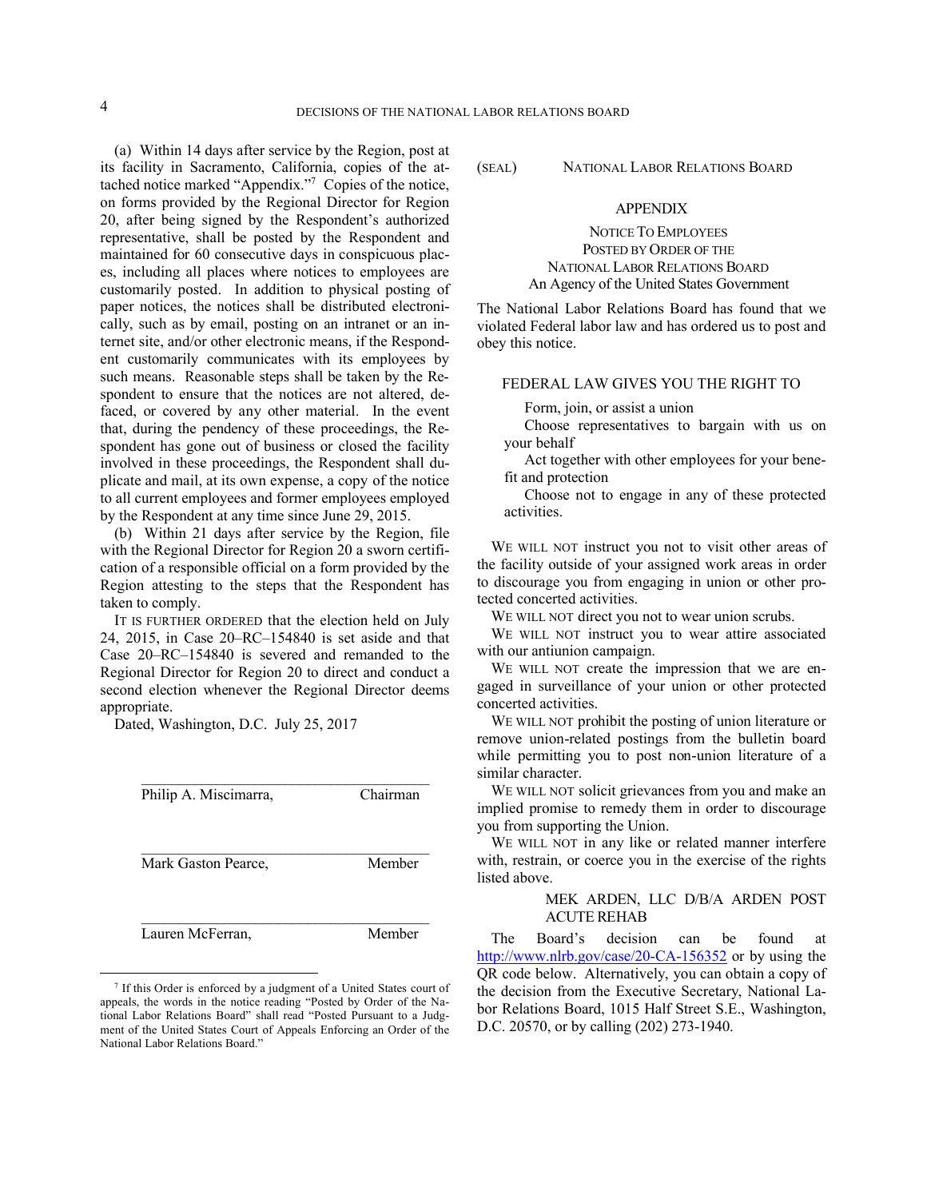(a) Within 14 days after service by the Region, post at its facility in Sacramento, California, copies of the attached notice marked "Appendix."<sup>7</sup> Copies of the notice, on forms provided by the Regional Director for Region 20, after being signed by the Respondent's authorized representative, shall be posted by the Respondent and maintained for 60 consecutive days in conspicuous places, including all places where notices to employees are customarily posted. In addition to physical posting of paper notices, the notices shall be distributed electronically, such as by email, posting on an intranet or an internet site, and/or other electronic means, if the Respondent customarily communicates with its employees by such means. Reasonable steps shall be taken by the Respondent to ensure that the notices are not altered, defaced, or covered by any other material. In the event that, during the pendency of these proceedings, the Respondent has gone out of business or closed the facility involved in these proceedings, the Respondent shall duplicate and mail, at its own expense, a copy of the notice to all current employees and former employees employed by the Respondent at any time since June 29, 2015.

(b) Within 21 days after service by the Region, file with the Regional Director for Region 20 a sworn certification of a responsible official on a form provided by the Region attesting to the steps that the Respondent has taken to comply.

IT IS FURTHER ORDERED that the election held on July 24, 2015, in Case 20–RC–154840 is set aside and that Case 20–RC–154840 is severed and remanded to the Regional Director for Region 20 to direct and conduct a second election whenever the Regional Director deems appropriate.

Dated, Washington, D.C. July 25, 2017

| Philip A. Miscimarra, | Chairman |
|-----------------------|----------|
| Mark Gaston Pearce.   | Member   |
| Lauren McFerran,      | Member   |

 

(SEAL) NATIONAL LABOR RELATIONS BOARD

# APPENDIX

NOTICE TO EMPLOYEES POSTED BY ORDER OF THE NATIONAL LABOR RELATIONS BOARD An Agency of the United States Government

The National Labor Relations Board has found that we violated Federal labor law and has ordered us to post and obey this notice.

# FEDERAL LAW GIVES YOU THE RIGHT TO

Form, join, or assist a union

Choose representatives to bargain with us on your behalf

Act together with other employees for your benefit and protection

Choose not to engage in any of these protected activities.

WE WILL NOT instruct you not to visit other areas of the facility outside of your assigned work areas in order to discourage you from engaging in union or other protected concerted activities.

WE WILL NOT direct you not to wear union scrubs.

WE WILL NOT instruct you to wear attire associated with our antiunion campaign.

WE WILL NOT create the impression that we are engaged in surveillance of your union or other protected concerted activities.

WE WILL NOT prohibit the posting of union literature or remove union-related postings from the bulletin board while permitting you to post non-union literature of a similar character.

WE WILL NOT solicit grievances from you and make an implied promise to remedy them in order to discourage you from supporting the Union.

WE WILL NOT in any like or related manner interfere with, restrain, or coerce you in the exercise of the rights listed above.

# MEK ARDEN, LLC D/B/A ARDEN POST ACUTE REHAB

The Board's decision can be found at http://www.nlrb.gov/case/20-CA-156352 or by using the QR code below. Alternatively, you can obtain a copy of the decision from the Executive Secretary, National Labor Relations Board, 1015 Half Street S.E., Washington, D.C. 20570, or by calling (202) 273-1940.

<sup>7</sup> If this Order is enforced by a judgment of a United States court of appeals, the words in the notice reading "Posted by Order of the National Labor Relations Board" shall read "Posted Pursuant to a Judgment of the United States Court of Appeals Enforcing an Order of the National Labor Relations Board."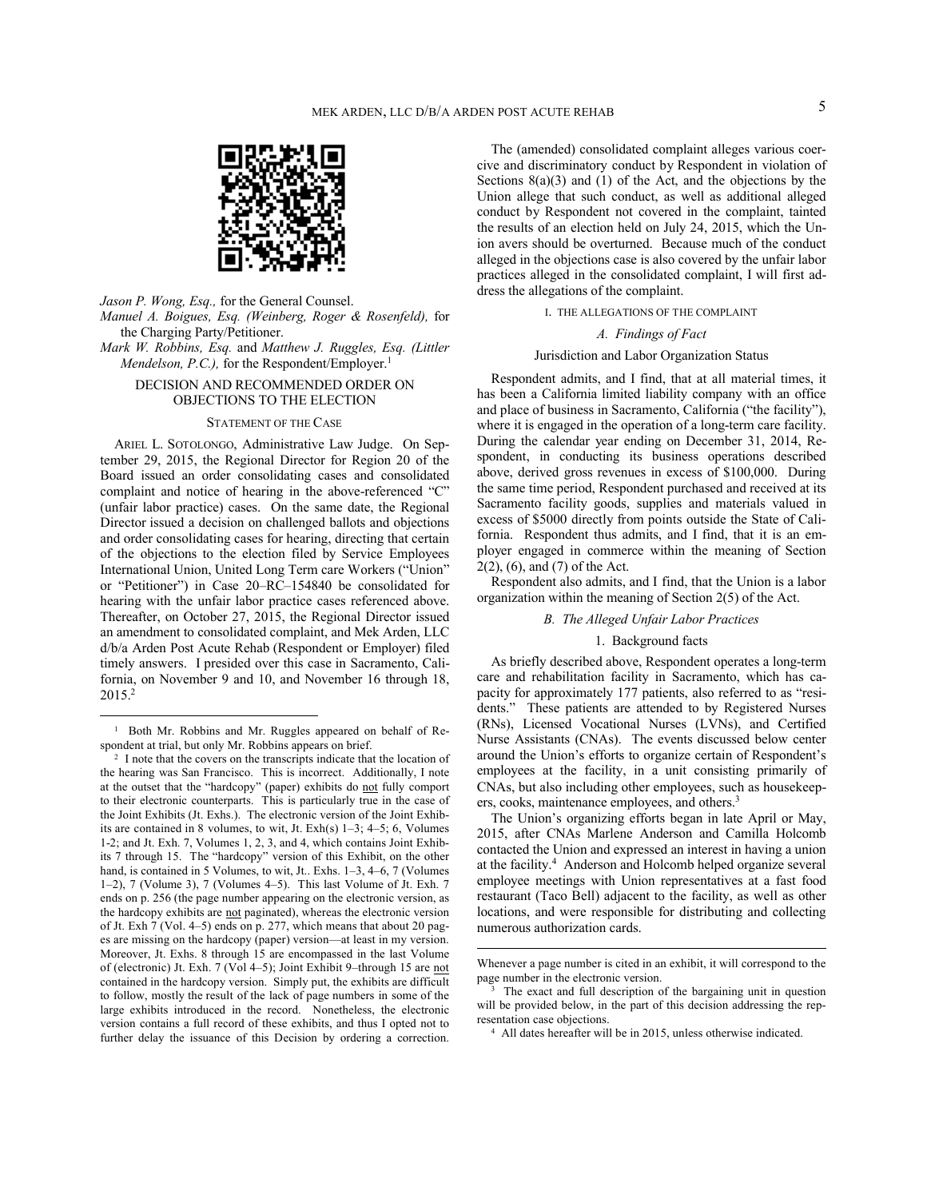

*Jason P. Wong, Esq.,* for the General Counsel.

*Manuel A. Boigues, Esq. (Weinberg, Roger & Rosenfeld),* for the Charging Party/Petitioner.

*Mark W. Robbins, Esq.* and *Matthew J. Ruggles, Esq. (Littler Mendelson, P.C.),* for the Respondent/Employer.<sup>1</sup>

# DECISION AND RECOMMENDED ORDER ON OBJECTIONS TO THE ELECTION

#### STATEMENT OF THE CASE

ARIEL L. SOTOLONGO, Administrative Law Judge.On September 29, 2015, the Regional Director for Region 20 of the Board issued an order consolidating cases and consolidated complaint and notice of hearing in the above-referenced "C" (unfair labor practice) cases. On the same date, the Regional Director issued a decision on challenged ballots and objections and order consolidating cases for hearing, directing that certain of the objections to the election filed by Service Employees International Union, United Long Term care Workers ("Union" or "Petitioner") in Case 20–RC–154840 be consolidated for hearing with the unfair labor practice cases referenced above. Thereafter, on October 27, 2015, the Regional Director issued an amendment to consolidated complaint, and Mek Arden, LLC d/b/a Arden Post Acute Rehab (Respondent or Employer) filed timely answers. I presided over this case in Sacramento, California, on November 9 and 10, and November 16 through 18, 2015.<sup>2</sup>

 

The (amended) consolidated complaint alleges various coercive and discriminatory conduct by Respondent in violation of Sections  $8(a)(3)$  and  $(1)$  of the Act, and the objections by the Union allege that such conduct, as well as additional alleged conduct by Respondent not covered in the complaint, tainted the results of an election held on July 24, 2015, which the Union avers should be overturned. Because much of the conduct alleged in the objections case is also covered by the unfair labor practices alleged in the consolidated complaint, I will first address the allegations of the complaint.

## I. THE ALLEGATIONS OF THE COMPLAINT

# *A. Findings of Fact*

# Jurisdiction and Labor Organization Status

Respondent admits, and I find, that at all material times, it has been a California limited liability company with an office and place of business in Sacramento, California ("the facility"), where it is engaged in the operation of a long-term care facility. During the calendar year ending on December 31, 2014, Respondent, in conducting its business operations described above, derived gross revenues in excess of \$100,000. During the same time period, Respondent purchased and received at its Sacramento facility goods, supplies and materials valued in excess of \$5000 directly from points outside the State of California. Respondent thus admits, and I find, that it is an employer engaged in commerce within the meaning of Section 2(2), (6), and (7) of the Act.

Respondent also admits, and I find, that the Union is a labor organization within the meaning of Section 2(5) of the Act.

#### *B. The Alleged Unfair Labor Practices*

# 1. Background facts

As briefly described above, Respondent operates a long-term care and rehabilitation facility in Sacramento, which has capacity for approximately 177 patients, also referred to as "residents." These patients are attended to by Registered Nurses (RNs), Licensed Vocational Nurses (LVNs), and Certified Nurse Assistants (CNAs). The events discussed below center around the Union's efforts to organize certain of Respondent's employees at the facility, in a unit consisting primarily of CNAs, but also including other employees, such as housekeepers, cooks, maintenance employees, and others.<sup>3</sup>

The Union's organizing efforts began in late April or May, 2015, after CNAs Marlene Anderson and Camilla Holcomb contacted the Union and expressed an interest in having a union at the facility.<sup>4</sup> Anderson and Holcomb helped organize several employee meetings with Union representatives at a fast food restaurant (Taco Bell) adjacent to the facility, as well as other locations, and were responsible for distributing and collecting numerous authorization cards.

<sup>&</sup>lt;sup>1</sup> Both Mr. Robbins and Mr. Ruggles appeared on behalf of Respondent at trial, but only Mr. Robbins appears on brief.

<sup>&</sup>lt;sup>2</sup> I note that the covers on the transcripts indicate that the location of the hearing was San Francisco. This is incorrect. Additionally, I note at the outset that the "hardcopy" (paper) exhibits do not fully comport to their electronic counterparts. This is particularly true in the case of the Joint Exhibits (Jt. Exhs.). The electronic version of the Joint Exhibits are contained in 8 volumes, to wit, Jt. Exh(s) 1–3; 4–5; 6, Volumes 1-2; and Jt. Exh. 7, Volumes 1, 2, 3, and 4, which contains Joint Exhibits 7 through 15. The "hardcopy" version of this Exhibit, on the other hand, is contained in 5 Volumes, to wit, Jt.. Exhs. 1–3, 4–6, 7 (Volumes 1–2), 7 (Volume 3), 7 (Volumes 4–5). This last Volume of Jt. Exh. 7 ends on p. 256 (the page number appearing on the electronic version, as the hardcopy exhibits are not paginated), whereas the electronic version of Jt. Exh 7 (Vol. 4–5) ends on p. 277, which means that about 20 pages are missing on the hardcopy (paper) version—at least in my version. Moreover, Jt. Exhs. 8 through 15 are encompassed in the last Volume of (electronic) Jt. Exh. 7 (Vol 4–5); Joint Exhibit 9–through 15 are not contained in the hardcopy version. Simply put, the exhibits are difficult to follow, mostly the result of the lack of page numbers in some of the large exhibits introduced in the record. Nonetheless, the electronic version contains a full record of these exhibits, and thus I opted not to further delay the issuance of this Decision by ordering a correction.

 Whenever a page number is cited in an exhibit, it will correspond to the page number in the electronic version.

<sup>3</sup> The exact and full description of the bargaining unit in question will be provided below, in the part of this decision addressing the representation case objections.

<sup>4</sup> All dates hereafter will be in 2015, unless otherwise indicated.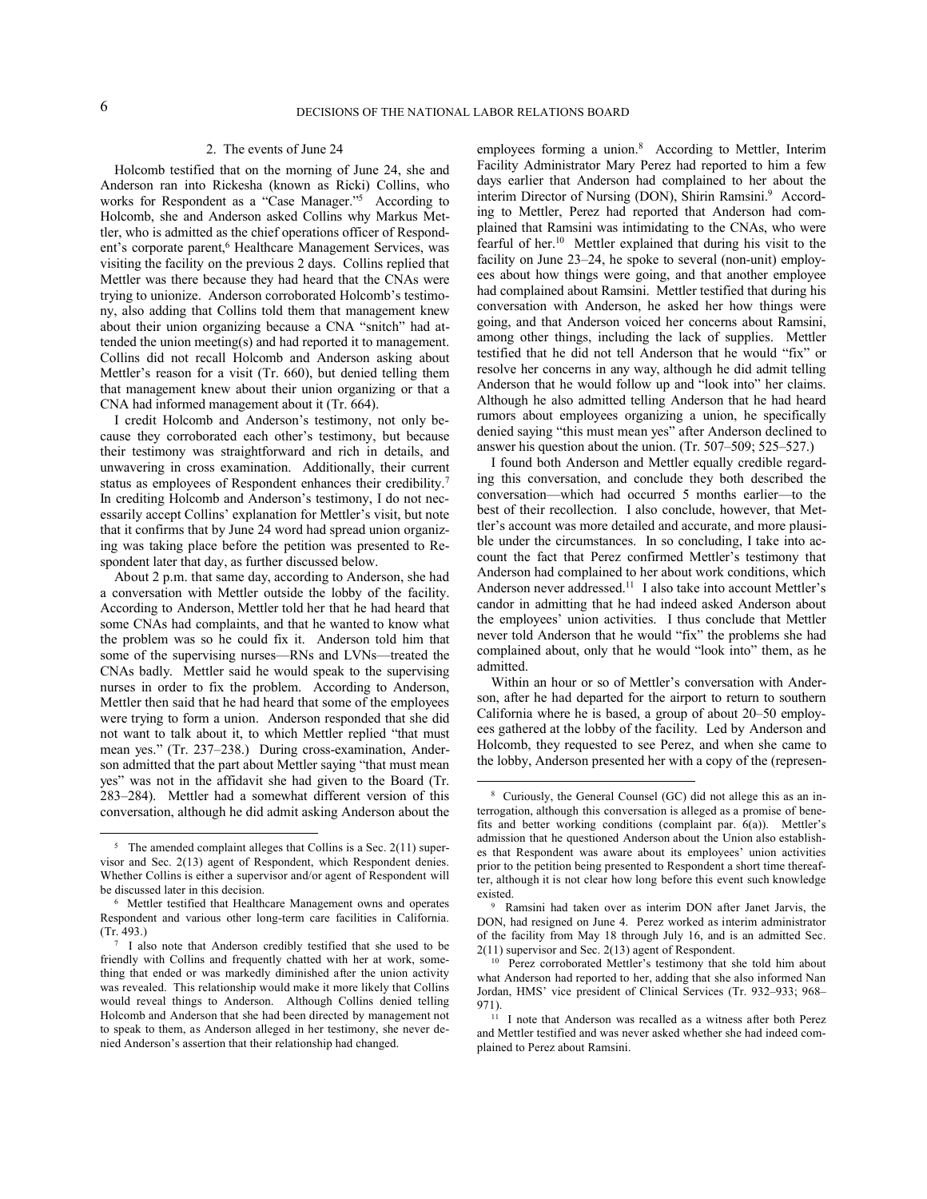#### 2. The events of June 24

Holcomb testified that on the morning of June 24, she and Anderson ran into Rickesha (known as Ricki) Collins, who works for Respondent as a "Case Manager."<sup>5</sup> According to Holcomb, she and Anderson asked Collins why Markus Mettler, who is admitted as the chief operations officer of Respondent's corporate parent,<sup>6</sup> Healthcare Management Services, was visiting the facility on the previous 2 days. Collins replied that Mettler was there because they had heard that the CNAs were trying to unionize. Anderson corroborated Holcomb's testimony, also adding that Collins told them that management knew about their union organizing because a CNA "snitch" had attended the union meeting(s) and had reported it to management. Collins did not recall Holcomb and Anderson asking about Mettler's reason for a visit (Tr. 660), but denied telling them that management knew about their union organizing or that a CNA had informed management about it (Tr. 664).

I credit Holcomb and Anderson's testimony, not only because they corroborated each other's testimony, but because their testimony was straightforward and rich in details, and unwavering in cross examination. Additionally, their current status as employees of Respondent enhances their credibility.<sup>7</sup> In crediting Holcomb and Anderson's testimony, I do not necessarily accept Collins' explanation for Mettler's visit, but note that it confirms that by June 24 word had spread union organizing was taking place before the petition was presented to Respondent later that day, as further discussed below.

About 2 p.m. that same day, according to Anderson, she had a conversation with Mettler outside the lobby of the facility. According to Anderson, Mettler told her that he had heard that some CNAs had complaints, and that he wanted to know what the problem was so he could fix it. Anderson told him that some of the supervising nurses—RNs and LVNs—treated the CNAs badly. Mettler said he would speak to the supervising nurses in order to fix the problem. According to Anderson, Mettler then said that he had heard that some of the employees were trying to form a union. Anderson responded that she did not want to talk about it, to which Mettler replied "that must mean yes." (Tr. 237–238.) During cross-examination, Anderson admitted that the part about Mettler saying "that must mean yes" was not in the affidavit she had given to the Board (Tr. 283–284). Mettler had a somewhat different version of this conversation, although he did admit asking Anderson about the

 

employees forming a union.<sup>8</sup> According to Mettler, Interim Facility Administrator Mary Perez had reported to him a few days earlier that Anderson had complained to her about the interim Director of Nursing (DON), Shirin Ramsini.<sup>9</sup> According to Mettler, Perez had reported that Anderson had complained that Ramsini was intimidating to the CNAs, who were fearful of her.<sup>10</sup> Mettler explained that during his visit to the facility on June 23–24, he spoke to several (non-unit) employees about how things were going, and that another employee had complained about Ramsini. Mettler testified that during his conversation with Anderson, he asked her how things were going, and that Anderson voiced her concerns about Ramsini, among other things, including the lack of supplies. Mettler testified that he did not tell Anderson that he would "fix" or resolve her concerns in any way, although he did admit telling Anderson that he would follow up and "look into" her claims. Although he also admitted telling Anderson that he had heard rumors about employees organizing a union, he specifically denied saying "this must mean yes" after Anderson declined to answer his question about the union. (Tr. 507–509; 525–527.)

I found both Anderson and Mettler equally credible regarding this conversation, and conclude they both described the conversation—which had occurred 5 months earlier—to the best of their recollection. I also conclude, however, that Mettler's account was more detailed and accurate, and more plausible under the circumstances. In so concluding, I take into account the fact that Perez confirmed Mettler's testimony that Anderson had complained to her about work conditions, which Anderson never addressed.<sup>11</sup> I also take into account Mettler's candor in admitting that he had indeed asked Anderson about the employees' union activities. I thus conclude that Mettler never told Anderson that he would "fix" the problems she had complained about, only that he would "look into" them, as he admitted.

Within an hour or so of Mettler's conversation with Anderson, after he had departed for the airport to return to southern California where he is based, a group of about 20–50 employees gathered at the lobby of the facility. Led by Anderson and Holcomb, they requested to see Perez, and when she came to the lobby, Anderson presented her with a copy of the (represen-

 $5$  The amended complaint alleges that Collins is a Sec. 2(11) supervisor and Sec. 2(13) agent of Respondent, which Respondent denies. Whether Collins is either a supervisor and/or agent of Respondent will be discussed later in this decision.

<sup>6</sup> Mettler testified that Healthcare Management owns and operates Respondent and various other long-term care facilities in California. (Tr. 493.)

<sup>7</sup> I also note that Anderson credibly testified that she used to be friendly with Collins and frequently chatted with her at work, something that ended or was markedly diminished after the union activity was revealed. This relationship would make it more likely that Collins would reveal things to Anderson. Although Collins denied telling Holcomb and Anderson that she had been directed by management not to speak to them, as Anderson alleged in her testimony, she never denied Anderson's assertion that their relationship had changed.

<sup>8</sup> Curiously, the General Counsel (GC) did not allege this as an interrogation, although this conversation is alleged as a promise of benefits and better working conditions (complaint par. 6(a)). Mettler's admission that he questioned Anderson about the Union also establishes that Respondent was aware about its employees' union activities prior to the petition being presented to Respondent a short time thereafter, although it is not clear how long before this event such knowledge existed.

<sup>9</sup> Ramsini had taken over as interim DON after Janet Jarvis, the DON, had resigned on June 4. Perez worked as interim administrator of the facility from May 18 through July 16, and is an admitted Sec. 2(11) supervisor and Sec. 2(13) agent of Respondent.

<sup>10</sup> Perez corroborated Mettler's testimony that she told him about what Anderson had reported to her, adding that she also informed Nan Jordan, HMS' vice president of Clinical Services (Tr. 932–933; 968– 971).

<sup>&</sup>lt;sup>11</sup> I note that Anderson was recalled as a witness after both Perez and Mettler testified and was never asked whether she had indeed complained to Perez about Ramsini.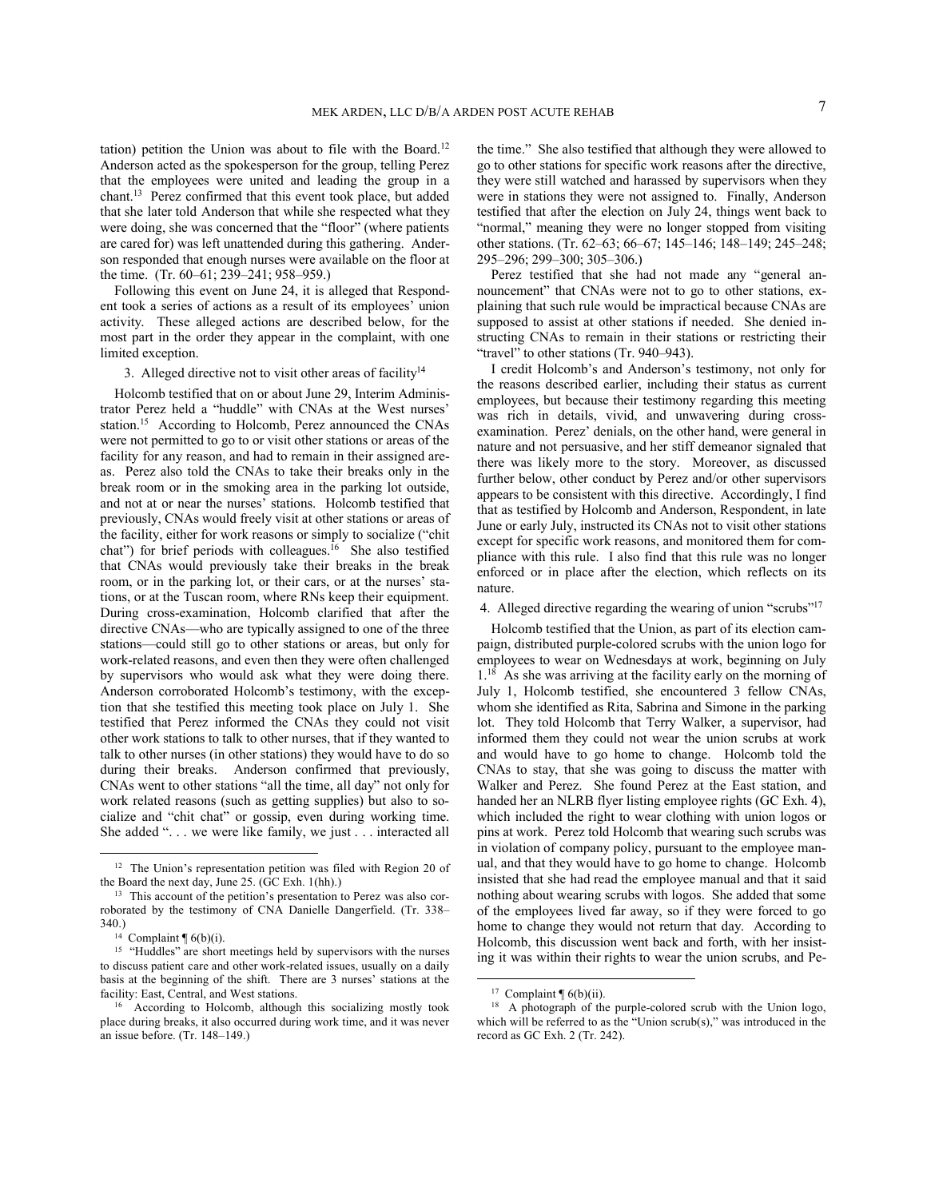tation) petition the Union was about to file with the Board.<sup>12</sup> Anderson acted as the spokesperson for the group, telling Perez that the employees were united and leading the group in a chant.<sup>13</sup> Perez confirmed that this event took place, but added that she later told Anderson that while she respected what they were doing, she was concerned that the "floor" (where patients are cared for) was left unattended during this gathering. Anderson responded that enough nurses were available on the floor at the time. (Tr. 60–61; 239–241; 958–959.)

Following this event on June 24, it is alleged that Respondent took a series of actions as a result of its employees' union activity. These alleged actions are described below, for the most part in the order they appear in the complaint, with one limited exception.

3. Alleged directive not to visit other areas of facility $14$ 

Holcomb testified that on or about June 29, Interim Administrator Perez held a "huddle" with CNAs at the West nurses' station.<sup>15</sup> According to Holcomb, Perez announced the CNAs were not permitted to go to or visit other stations or areas of the facility for any reason, and had to remain in their assigned areas. Perez also told the CNAs to take their breaks only in the break room or in the smoking area in the parking lot outside, and not at or near the nurses' stations. Holcomb testified that previously, CNAs would freely visit at other stations or areas of the facility, either for work reasons or simply to socialize ("chit chat") for brief periods with colleagues.<sup>16</sup> She also testified that CNAs would previously take their breaks in the break room, or in the parking lot, or their cars, or at the nurses' stations, or at the Tuscan room, where RNs keep their equipment. During cross-examination, Holcomb clarified that after the directive CNAs—who are typically assigned to one of the three stations—could still go to other stations or areas, but only for work-related reasons, and even then they were often challenged by supervisors who would ask what they were doing there. Anderson corroborated Holcomb's testimony, with the exception that she testified this meeting took place on July 1. She testified that Perez informed the CNAs they could not visit other work stations to talk to other nurses, that if they wanted to talk to other nurses (in other stations) they would have to do so during their breaks. Anderson confirmed that previously, CNAs went to other stations "all the time, all day" not only for work related reasons (such as getting supplies) but also to socialize and "chit chat" or gossip, even during working time. She added ". . . we were like family, we just . . . interacted all

 

the time." She also testified that although they were allowed to go to other stations for specific work reasons after the directive, they were still watched and harassed by supervisors when they were in stations they were not assigned to. Finally, Anderson testified that after the election on July 24, things went back to "normal," meaning they were no longer stopped from visiting other stations. (Tr. 62–63; 66–67; 145–146; 148–149; 245–248; 295–296; 299–300; 305–306.)

Perez testified that she had not made any "general announcement" that CNAs were not to go to other stations, explaining that such rule would be impractical because CNAs are supposed to assist at other stations if needed. She denied instructing CNAs to remain in their stations or restricting their "travel" to other stations (Tr. 940–943).

I credit Holcomb's and Anderson's testimony, not only for the reasons described earlier, including their status as current employees, but because their testimony regarding this meeting was rich in details, vivid, and unwavering during crossexamination. Perez' denials, on the other hand, were general in nature and not persuasive, and her stiff demeanor signaled that there was likely more to the story. Moreover, as discussed further below, other conduct by Perez and/or other supervisors appears to be consistent with this directive. Accordingly, I find that as testified by Holcomb and Anderson, Respondent, in late June or early July, instructed its CNAs not to visit other stations except for specific work reasons, and monitored them for compliance with this rule. I also find that this rule was no longer enforced or in place after the election, which reflects on its nature.

4. Alleged directive regarding the wearing of union "scrubs"<sup>17</sup>

Holcomb testified that the Union, as part of its election campaign, distributed purple-colored scrubs with the union logo for employees to wear on Wednesdays at work, beginning on July 1.<sup>18</sup> As she was arriving at the facility early on the morning of July 1, Holcomb testified, she encountered 3 fellow CNAs, whom she identified as Rita, Sabrina and Simone in the parking lot. They told Holcomb that Terry Walker, a supervisor, had informed them they could not wear the union scrubs at work and would have to go home to change. Holcomb told the CNAs to stay, that she was going to discuss the matter with Walker and Perez. She found Perez at the East station, and handed her an NLRB flyer listing employee rights (GC Exh. 4), which included the right to wear clothing with union logos or pins at work. Perez told Holcomb that wearing such scrubs was in violation of company policy, pursuant to the employee manual, and that they would have to go home to change. Holcomb insisted that she had read the employee manual and that it said nothing about wearing scrubs with logos. She added that some of the employees lived far away, so if they were forced to go home to change they would not return that day. According to Holcomb, this discussion went back and forth, with her insisting it was within their rights to wear the union scrubs, and Pe-

<sup>&</sup>lt;sup>12</sup> The Union's representation petition was filed with Region 20 of the Board the next day, June 25. (GC Exh. 1(hh).)

<sup>&</sup>lt;sup>13</sup> This account of the petition's presentation to Perez was also corroborated by the testimony of CNA Danielle Dangerfield. (Tr. 338– 340.)

<sup>&</sup>lt;sup>14</sup> Complaint  $\P(6(b)(i))$ .

<sup>&</sup>lt;sup>15</sup> "Huddles" are short meetings held by supervisors with the nurses to discuss patient care and other work-related issues, usually on a daily basis at the beginning of the shift. There are 3 nurses' stations at the facility: East, Central, and West stations.

<sup>16</sup> According to Holcomb, although this socializing mostly took place during breaks, it also occurred during work time, and it was never an issue before. (Tr. 148–149.)

<sup>&</sup>lt;sup>17</sup> Complaint  $\P$  6(b)(ii).

<sup>&</sup>lt;sup>18</sup> A photograph of the purple-colored scrub with the Union logo, which will be referred to as the "Union scrub(s)," was introduced in the record as GC Exh. 2 (Tr. 242).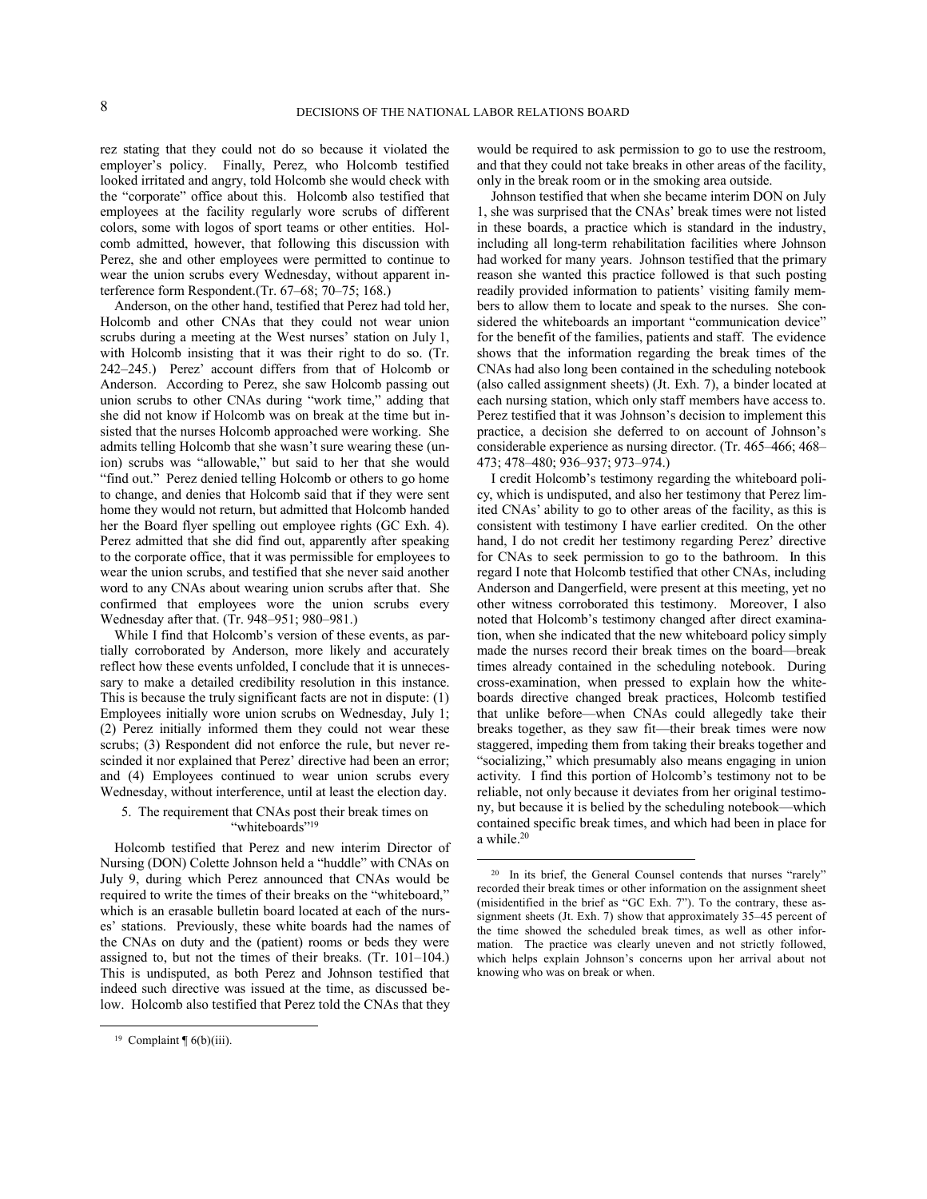rez stating that they could not do so because it violated the employer's policy. Finally, Perez, who Holcomb testified looked irritated and angry, told Holcomb she would check with the "corporate" office about this. Holcomb also testified that employees at the facility regularly wore scrubs of different colors, some with logos of sport teams or other entities. Holcomb admitted, however, that following this discussion with Perez, she and other employees were permitted to continue to wear the union scrubs every Wednesday, without apparent interference form Respondent.(Tr. 67–68; 70–75; 168.)

Anderson, on the other hand, testified that Perez had told her, Holcomb and other CNAs that they could not wear union scrubs during a meeting at the West nurses' station on July 1, with Holcomb insisting that it was their right to do so. (Tr. 242–245.) Perez' account differs from that of Holcomb or Anderson. According to Perez, she saw Holcomb passing out union scrubs to other CNAs during "work time," adding that she did not know if Holcomb was on break at the time but insisted that the nurses Holcomb approached were working. She admits telling Holcomb that she wasn't sure wearing these (union) scrubs was "allowable," but said to her that she would "find out." Perez denied telling Holcomb or others to go home to change, and denies that Holcomb said that if they were sent home they would not return, but admitted that Holcomb handed her the Board flyer spelling out employee rights (GC Exh. 4). Perez admitted that she did find out, apparently after speaking to the corporate office, that it was permissible for employees to wear the union scrubs, and testified that she never said another word to any CNAs about wearing union scrubs after that. She confirmed that employees wore the union scrubs every Wednesday after that. (Tr. 948–951; 980–981.)

While I find that Holcomb's version of these events, as partially corroborated by Anderson, more likely and accurately reflect how these events unfolded, I conclude that it is unnecessary to make a detailed credibility resolution in this instance. This is because the truly significant facts are not in dispute: (1) Employees initially wore union scrubs on Wednesday, July 1; (2) Perez initially informed them they could not wear these scrubs; (3) Respondent did not enforce the rule, but never rescinded it nor explained that Perez' directive had been an error; and (4) Employees continued to wear union scrubs every Wednesday, without interference, until at least the election day.

# 5. The requirement that CNAs post their break times on "whiteboards"<sup>19</sup>

Holcomb testified that Perez and new interim Director of Nursing (DON) Colette Johnson held a "huddle" with CNAs on July 9, during which Perez announced that CNAs would be required to write the times of their breaks on the "whiteboard," which is an erasable bulletin board located at each of the nurses' stations. Previously, these white boards had the names of the CNAs on duty and the (patient) rooms or beds they were assigned to, but not the times of their breaks. (Tr. 101–104.) This is undisputed, as both Perez and Johnson testified that indeed such directive was issued at the time, as discussed below. Holcomb also testified that Perez told the CNAs that they

 

would be required to ask permission to go to use the restroom, and that they could not take breaks in other areas of the facility, only in the break room or in the smoking area outside.

Johnson testified that when she became interim DON on July 1, she was surprised that the CNAs' break times were not listed in these boards, a practice which is standard in the industry, including all long-term rehabilitation facilities where Johnson had worked for many years. Johnson testified that the primary reason she wanted this practice followed is that such posting readily provided information to patients' visiting family members to allow them to locate and speak to the nurses. She considered the whiteboards an important "communication device" for the benefit of the families, patients and staff. The evidence shows that the information regarding the break times of the CNAs had also long been contained in the scheduling notebook (also called assignment sheets) (Jt. Exh. 7), a binder located at each nursing station, which only staff members have access to. Perez testified that it was Johnson's decision to implement this practice, a decision she deferred to on account of Johnson's considerable experience as nursing director. (Tr. 465–466; 468– 473; 478–480; 936–937; 973–974.)

I credit Holcomb's testimony regarding the whiteboard policy, which is undisputed, and also her testimony that Perez limited CNAs' ability to go to other areas of the facility, as this is consistent with testimony I have earlier credited. On the other hand, I do not credit her testimony regarding Perez' directive for CNAs to seek permission to go to the bathroom. In this regard I note that Holcomb testified that other CNAs, including Anderson and Dangerfield, were present at this meeting, yet no other witness corroborated this testimony. Moreover, I also noted that Holcomb's testimony changed after direct examination, when she indicated that the new whiteboard policy simply made the nurses record their break times on the board—break times already contained in the scheduling notebook. During cross-examination, when pressed to explain how the whiteboards directive changed break practices, Holcomb testified that unlike before—when CNAs could allegedly take their breaks together, as they saw fit—their break times were now staggered, impeding them from taking their breaks together and "socializing," which presumably also means engaging in union activity. I find this portion of Holcomb's testimony not to be reliable, not only because it deviates from her original testimony, but because it is belied by the scheduling notebook—which contained specific break times, and which had been in place for a while.<sup>20</sup>

<sup>&</sup>lt;sup>19</sup> Complaint  $\P$  6(b)(iii).

<sup>&</sup>lt;sup>20</sup> In its brief, the General Counsel contends that nurses "rarely" recorded their break times or other information on the assignment sheet (misidentified in the brief as "GC Exh. 7"). To the contrary, these assignment sheets (Jt. Exh. 7) show that approximately 35–45 percent of the time showed the scheduled break times, as well as other information. The practice was clearly uneven and not strictly followed, which helps explain Johnson's concerns upon her arrival about not knowing who was on break or when.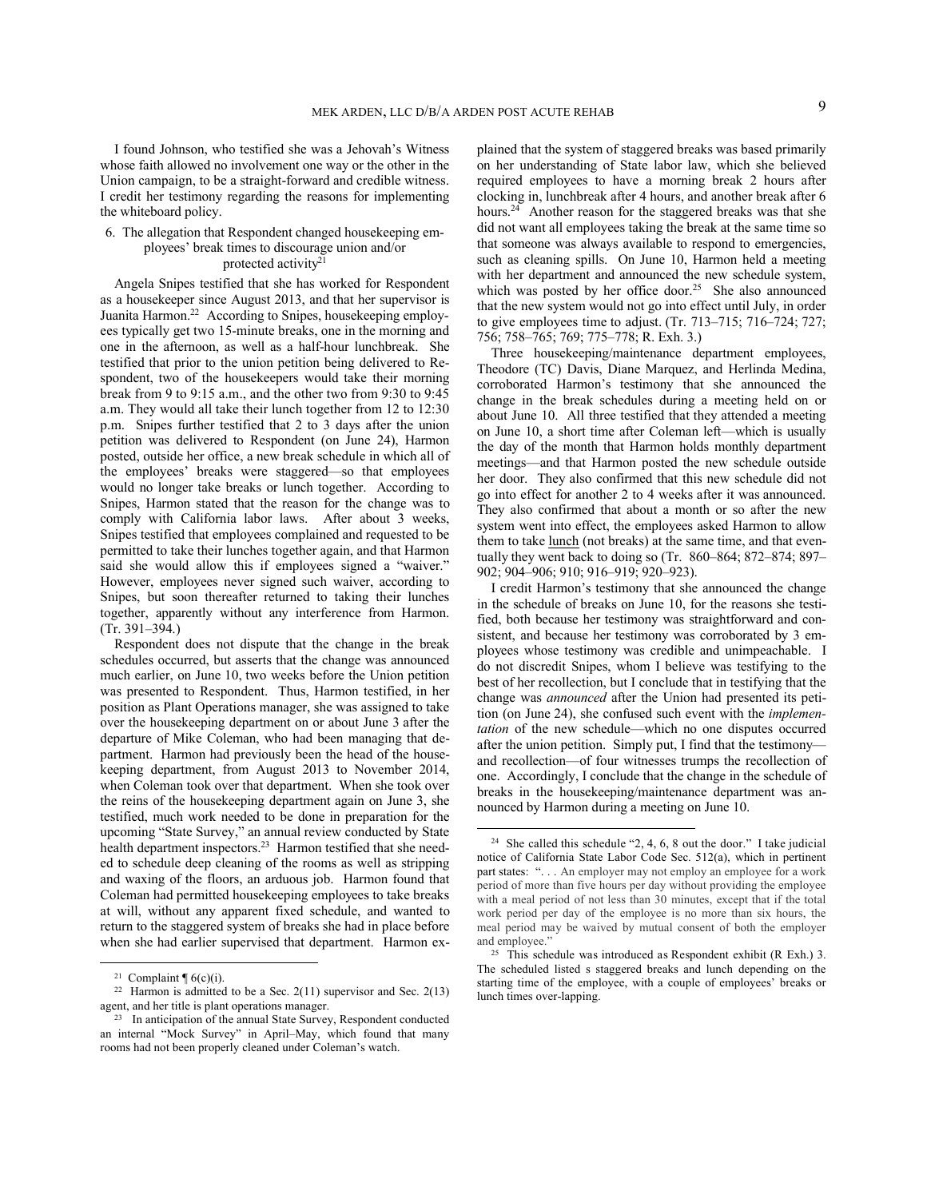I found Johnson, who testified she was a Jehovah's Witness whose faith allowed no involvement one way or the other in the Union campaign, to be a straight-forward and credible witness. I credit her testimony regarding the reasons for implementing the whiteboard policy.

# 6. The allegation that Respondent changed housekeeping employees' break times to discourage union and/or protected activity<sup>21</sup>

Angela Snipes testified that she has worked for Respondent as a housekeeper since August 2013, and that her supervisor is Juanita Harmon.<sup>22</sup> According to Snipes, housekeeping employees typically get two 15-minute breaks, one in the morning and one in the afternoon, as well as a half-hour lunchbreak. She testified that prior to the union petition being delivered to Respondent, two of the housekeepers would take their morning break from 9 to 9:15 a.m., and the other two from 9:30 to 9:45 a.m. They would all take their lunch together from 12 to 12:30 p.m. Snipes further testified that 2 to 3 days after the union petition was delivered to Respondent (on June 24), Harmon posted, outside her office, a new break schedule in which all of the employees' breaks were staggered—so that employees would no longer take breaks or lunch together. According to Snipes, Harmon stated that the reason for the change was to comply with California labor laws. After about 3 weeks, Snipes testified that employees complained and requested to be permitted to take their lunches together again, and that Harmon said she would allow this if employees signed a "waiver." However, employees never signed such waiver, according to Snipes, but soon thereafter returned to taking their lunches together, apparently without any interference from Harmon. (Tr. 391–394.)

Respondent does not dispute that the change in the break schedules occurred, but asserts that the change was announced much earlier, on June 10, two weeks before the Union petition was presented to Respondent. Thus, Harmon testified, in her position as Plant Operations manager, she was assigned to take over the housekeeping department on or about June 3 after the departure of Mike Coleman, who had been managing that department. Harmon had previously been the head of the housekeeping department, from August 2013 to November 2014, when Coleman took over that department. When she took over the reins of the housekeeping department again on June 3, she testified, much work needed to be done in preparation for the upcoming "State Survey," an annual review conducted by State health department inspectors.<sup>23</sup> Harmon testified that she needed to schedule deep cleaning of the rooms as well as stripping and waxing of the floors, an arduous job. Harmon found that Coleman had permitted housekeeping employees to take breaks at will, without any apparent fixed schedule, and wanted to return to the staggered system of breaks she had in place before when she had earlier supervised that department. Harmon ex-

 

plained that the system of staggered breaks was based primarily on her understanding of State labor law, which she believed required employees to have a morning break 2 hours after clocking in, lunchbreak after 4 hours, and another break after 6 hours.<sup>24</sup> Another reason for the staggered breaks was that she did not want all employees taking the break at the same time so that someone was always available to respond to emergencies, such as cleaning spills. On June 10, Harmon held a meeting with her department and announced the new schedule system, which was posted by her office door.<sup>25</sup> She also announced that the new system would not go into effect until July, in order to give employees time to adjust. (Tr. 713–715; 716–724; 727; 756; 758–765; 769; 775–778; R. Exh. 3.)

Three housekeeping/maintenance department employees, Theodore (TC) Davis, Diane Marquez, and Herlinda Medina, corroborated Harmon's testimony that she announced the change in the break schedules during a meeting held on or about June 10. All three testified that they attended a meeting on June 10, a short time after Coleman left—which is usually the day of the month that Harmon holds monthly department meetings—and that Harmon posted the new schedule outside her door. They also confirmed that this new schedule did not go into effect for another 2 to 4 weeks after it was announced. They also confirmed that about a month or so after the new system went into effect, the employees asked Harmon to allow them to take <u>lunch</u> (not breaks) at the same time, and that eventually they went back to doing so (Tr. 860–864; 872–874; 897– 902; 904–906; 910; 916–919; 920–923).

I credit Harmon's testimony that she announced the change in the schedule of breaks on June 10, for the reasons she testified, both because her testimony was straightforward and consistent, and because her testimony was corroborated by 3 employees whose testimony was credible and unimpeachable. I do not discredit Snipes, whom I believe was testifying to the best of her recollection, but I conclude that in testifying that the change was *announced* after the Union had presented its petition (on June 24), she confused such event with the *implementation* of the new schedule—which no one disputes occurred after the union petition. Simply put, I find that the testimony and recollection—of four witnesses trumps the recollection of one. Accordingly, I conclude that the change in the schedule of breaks in the housekeeping/maintenance department was announced by Harmon during a meeting on June 10.

<sup>&</sup>lt;sup>21</sup> Complaint  $\P$  6(c)(i).

<sup>&</sup>lt;sup>22</sup> Harmon is admitted to be a Sec.  $2(11)$  supervisor and Sec.  $2(13)$ agent, and her title is plant operations manager.

<sup>&</sup>lt;sup>23</sup> In anticipation of the annual State Survey, Respondent conducted an internal "Mock Survey" in April–May, which found that many rooms had not been properly cleaned under Coleman's watch.

<sup>24</sup> She called this schedule "2, 4, 6, 8 out the door." I take judicial notice of California State Labor Code Sec. 512(a), which in pertinent part states: "... An employer may not employ an employee for a work period of more than five hours per day without providing the employee with a meal period of not less than 30 minutes, except that if the total work period per day of the employee is no more than six hours, the meal period may be waived by mutual consent of both the employer and employee."

<sup>25</sup> This schedule was introduced as Respondent exhibit (R Exh.) 3. The scheduled listed s staggered breaks and lunch depending on the starting time of the employee, with a couple of employees' breaks or lunch times over-lapping.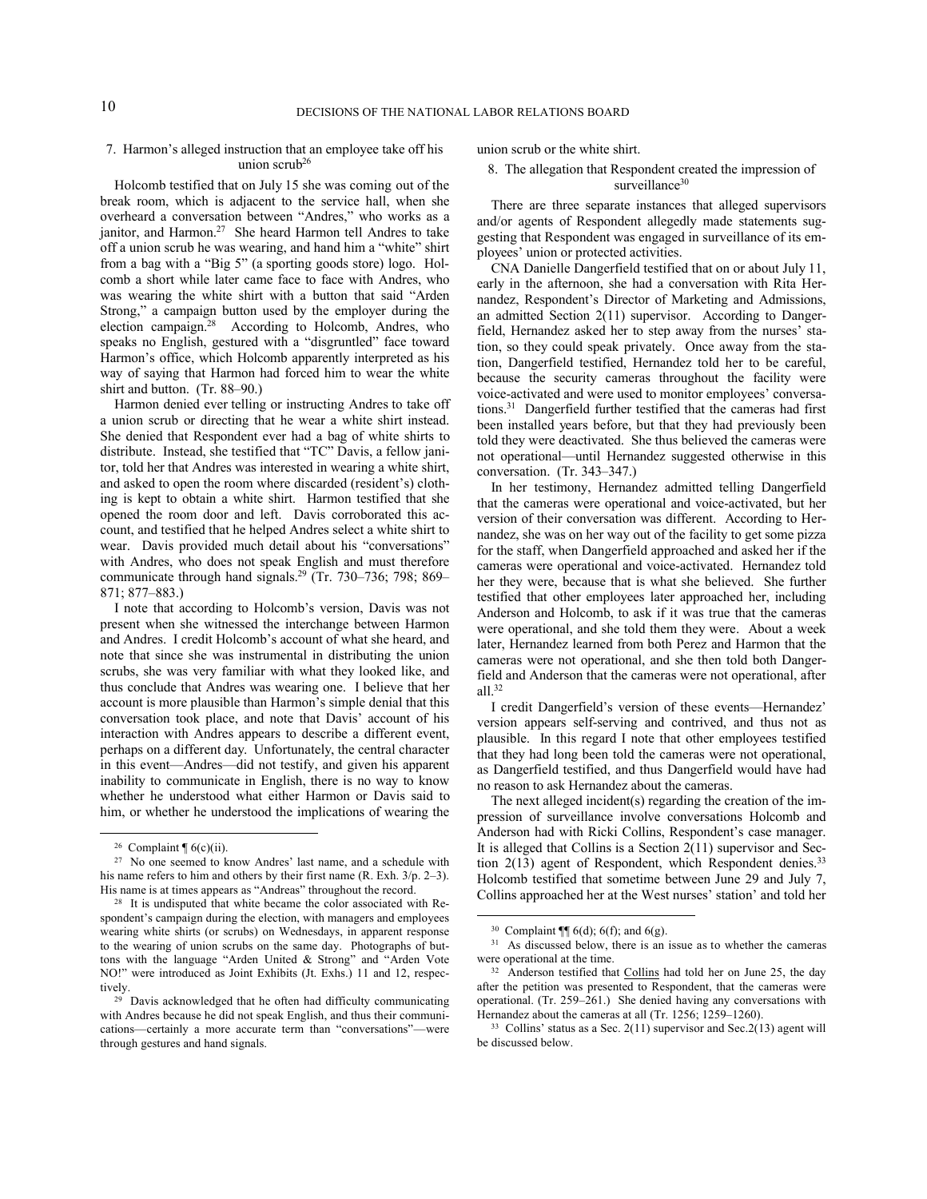# 7. Harmon's alleged instruction that an employee take off his union scrub<sup>26</sup>

Holcomb testified that on July 15 she was coming out of the break room, which is adjacent to the service hall, when she overheard a conversation between "Andres," who works as a janitor, and Harmon.<sup>27</sup> She heard Harmon tell Andres to take off a union scrub he was wearing, and hand him a "white" shirt from a bag with a "Big 5" (a sporting goods store) logo. Holcomb a short while later came face to face with Andres, who was wearing the white shirt with a button that said "Arden Strong," a campaign button used by the employer during the election campaign.<sup>28</sup> According to Holcomb, Andres, who speaks no English, gestured with a "disgruntled" face toward Harmon's office, which Holcomb apparently interpreted as his way of saying that Harmon had forced him to wear the white shirt and button. (Tr. 88–90.)

Harmon denied ever telling or instructing Andres to take off a union scrub or directing that he wear a white shirt instead. She denied that Respondent ever had a bag of white shirts to distribute. Instead, she testified that "TC" Davis, a fellow janitor, told her that Andres was interested in wearing a white shirt, and asked to open the room where discarded (resident's) clothing is kept to obtain a white shirt. Harmon testified that she opened the room door and left. Davis corroborated this account, and testified that he helped Andres select a white shirt to wear. Davis provided much detail about his "conversations" with Andres, who does not speak English and must therefore communicate through hand signals.<sup>29</sup> (Tr. 730–736; 798; 869– 871; 877–883.)

I note that according to Holcomb's version, Davis was not present when she witnessed the interchange between Harmon and Andres. I credit Holcomb's account of what she heard, and note that since she was instrumental in distributing the union scrubs, she was very familiar with what they looked like, and thus conclude that Andres was wearing one. I believe that her account is more plausible than Harmon's simple denial that this conversation took place, and note that Davis' account of his interaction with Andres appears to describe a different event, perhaps on a different day. Unfortunately, the central character in this event—Andres—did not testify, and given his apparent inability to communicate in English, there is no way to know whether he understood what either Harmon or Davis said to him, or whether he understood the implications of wearing the

 

union scrub or the white shirt.

# 8. The allegation that Respondent created the impression of surveillance<sup>30</sup>

There are three separate instances that alleged supervisors and/or agents of Respondent allegedly made statements suggesting that Respondent was engaged in surveillance of its employees' union or protected activities.

CNA Danielle Dangerfield testified that on or about July 11, early in the afternoon, she had a conversation with Rita Hernandez, Respondent's Director of Marketing and Admissions, an admitted Section 2(11) supervisor. According to Dangerfield, Hernandez asked her to step away from the nurses' station, so they could speak privately. Once away from the station, Dangerfield testified, Hernandez told her to be careful, because the security cameras throughout the facility were voice-activated and were used to monitor employees' conversations.<sup>31</sup> Dangerfield further testified that the cameras had first been installed years before, but that they had previously been told they were deactivated. She thus believed the cameras were not operational—until Hernandez suggested otherwise in this conversation. (Tr. 343–347.)

In her testimony, Hernandez admitted telling Dangerfield that the cameras were operational and voice-activated, but her version of their conversation was different. According to Hernandez, she was on her way out of the facility to get some pizza for the staff, when Dangerfield approached and asked her if the cameras were operational and voice-activated. Hernandez told her they were, because that is what she believed. She further testified that other employees later approached her, including Anderson and Holcomb, to ask if it was true that the cameras were operational, and she told them they were. About a week later, Hernandez learned from both Perez and Harmon that the cameras were not operational, and she then told both Dangerfield and Anderson that the cameras were not operational, after all. $32$ 

I credit Dangerfield's version of these events—Hernandez' version appears self-serving and contrived, and thus not as plausible. In this regard I note that other employees testified that they had long been told the cameras were not operational, as Dangerfield testified, and thus Dangerfield would have had no reason to ask Hernandez about the cameras.

The next alleged incident(s) regarding the creation of the impression of surveillance involve conversations Holcomb and Anderson had with Ricki Collins, Respondent's case manager. It is alleged that Collins is a Section 2(11) supervisor and Section  $2(13)$  agent of Respondent, which Respondent denies.<sup>33</sup> Holcomb testified that sometime between June 29 and July 7, Collins approached her at the West nurses' station' and told her

<sup>&</sup>lt;sup>26</sup> Complaint  $\sqrt[6]{(c)(ii)}$ .

<sup>27</sup> No one seemed to know Andres' last name, and a schedule with his name refers to him and others by their first name (R. Exh. 3/p. 2–3). His name is at times appears as "Andreas" throughout the record.

<sup>&</sup>lt;sup>28</sup> It is undisputed that white became the color associated with Respondent's campaign during the election, with managers and employees wearing white shirts (or scrubs) on Wednesdays, in apparent response to the wearing of union scrubs on the same day. Photographs of buttons with the language "Arden United & Strong" and "Arden Vote NO!" were introduced as Joint Exhibits (Jt. Exhs.) 11 and 12, respectively.

<sup>29</sup> Davis acknowledged that he often had difficulty communicating with Andres because he did not speak English, and thus their communications—certainly a more accurate term than "conversations"—were through gestures and hand signals.

 <sup>30</sup> Complaint  $\P$ [ 6(d); 6(f); and 6(g).

<sup>&</sup>lt;sup>31</sup> As discussed below, there is an issue as to whether the cameras were operational at the time.

<sup>&</sup>lt;sup>32</sup> Anderson testified that Collins had told her on June 25, the day after the petition was presented to Respondent, that the cameras were operational. (Tr. 259–261.) She denied having any conversations with Hernandez about the cameras at all (Tr. 1256; 1259–1260).

 $33$  Collins' status as a Sec. 2(11) supervisor and Sec. 2(13) agent will be discussed below.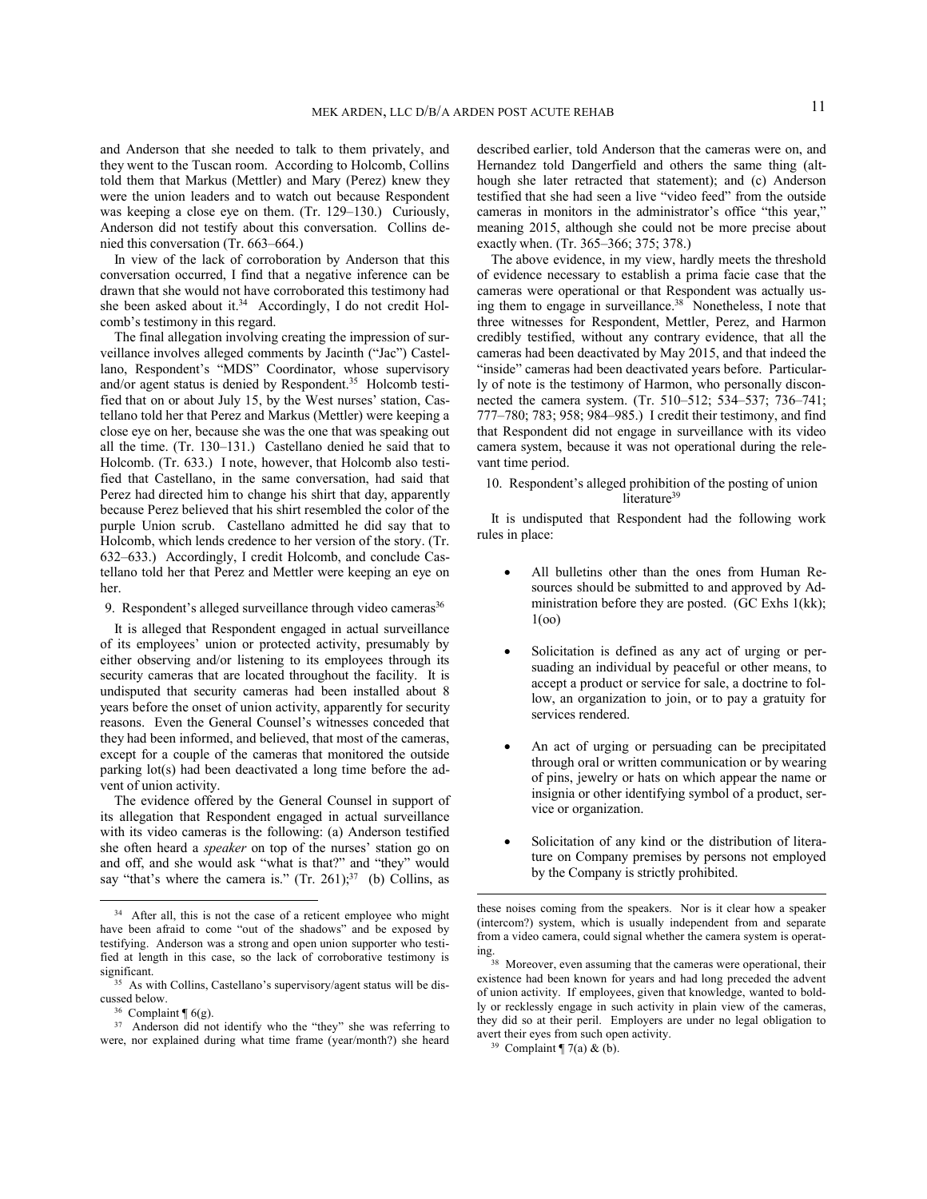and Anderson that she needed to talk to them privately, and they went to the Tuscan room. According to Holcomb, Collins told them that Markus (Mettler) and Mary (Perez) knew they were the union leaders and to watch out because Respondent was keeping a close eye on them. (Tr. 129–130.) Curiously, Anderson did not testify about this conversation. Collins denied this conversation (Tr. 663–664.)

In view of the lack of corroboration by Anderson that this conversation occurred, I find that a negative inference can be drawn that she would not have corroborated this testimony had she been asked about it. $34$  Accordingly, I do not credit Holcomb's testimony in this regard.

The final allegation involving creating the impression of surveillance involves alleged comments by Jacinth ("Jac") Castellano, Respondent's "MDS" Coordinator, whose supervisory and/or agent status is denied by Respondent.<sup>35</sup> Holcomb testified that on or about July 15, by the West nurses' station, Castellano told her that Perez and Markus (Mettler) were keeping a close eye on her, because she was the one that was speaking out all the time. (Tr. 130–131.) Castellano denied he said that to Holcomb. (Tr. 633.) I note, however, that Holcomb also testified that Castellano, in the same conversation, had said that Perez had directed him to change his shirt that day, apparently because Perez believed that his shirt resembled the color of the purple Union scrub. Castellano admitted he did say that to Holcomb, which lends credence to her version of the story. (Tr. 632–633.) Accordingly, I credit Holcomb, and conclude Castellano told her that Perez and Mettler were keeping an eye on her.

9. Respondent's alleged surveillance through video cameras<sup>36</sup>

It is alleged that Respondent engaged in actual surveillance of its employees' union or protected activity, presumably by either observing and/or listening to its employees through its security cameras that are located throughout the facility. It is undisputed that security cameras had been installed about 8 years before the onset of union activity, apparently for security reasons. Even the General Counsel's witnesses conceded that they had been informed, and believed, that most of the cameras, except for a couple of the cameras that monitored the outside parking lot(s) had been deactivated a long time before the advent of union activity.

The evidence offered by the General Counsel in support of its allegation that Respondent engaged in actual surveillance with its video cameras is the following: (a) Anderson testified she often heard a *speaker* on top of the nurses' station go on and off, and she would ask "what is that?" and "they" would say "that's where the camera is."  $(Tr. 261)$ ;  $37$  (b) Collins, as

 

described earlier, told Anderson that the cameras were on, and Hernandez told Dangerfield and others the same thing (although she later retracted that statement); and (c) Anderson testified that she had seen a live "video feed" from the outside cameras in monitors in the administrator's office "this year," meaning 2015, although she could not be more precise about exactly when. (Tr. 365–366; 375; 378.)

The above evidence, in my view, hardly meets the threshold of evidence necessary to establish a prima facie case that the cameras were operational or that Respondent was actually using them to engage in surveillance.<sup>38</sup> Nonetheless, I note that three witnesses for Respondent, Mettler, Perez, and Harmon credibly testified, without any contrary evidence, that all the cameras had been deactivated by May 2015, and that indeed the "inside" cameras had been deactivated years before. Particularly of note is the testimony of Harmon, who personally disconnected the camera system. (Tr. 510–512; 534–537; 736–741; 777–780; 783; 958; 984–985.) I credit their testimony, and find that Respondent did not engage in surveillance with its video camera system, because it was not operational during the relevant time period.

10. Respondent's alleged prohibition of the posting of union literature<sup>39</sup>

It is undisputed that Respondent had the following work rules in place:

- All bulletins other than the ones from Human Resources should be submitted to and approved by Administration before they are posted. (GC Exhs 1(kk); 1(oo)
- Solicitation is defined as any act of urging or persuading an individual by peaceful or other means, to accept a product or service for sale, a doctrine to follow, an organization to join, or to pay a gratuity for services rendered.
- An act of urging or persuading can be precipitated through oral or written communication or by wearing of pins, jewelry or hats on which appear the name or insignia or other identifying symbol of a product, service or organization.
- Solicitation of any kind or the distribution of literature on Company premises by persons not employed by the Company is strictly prohibited.

<sup>&</sup>lt;sup>34</sup> After all, this is not the case of a reticent employee who might have been afraid to come "out of the shadows" and be exposed by testifying. Anderson was a strong and open union supporter who testified at length in this case, so the lack of corroborative testimony is significant.

<sup>35</sup> As with Collins, Castellano's supervisory/agent status will be discussed below.

 $36$  Complaint  $\P$  6(g).

<sup>37</sup> Anderson did not identify who the "they" she was referring to were, nor explained during what time frame (year/month?) she heard

these noises coming from the speakers. Nor is it clear how a speaker (intercom?) system, which is usually independent from and separate from a video camera, could signal whether the camera system is operat-

ing. 38 Moreover, even assuming that the cameras were operational, their existence had been known for years and had long preceded the advent of union activity. If employees, given that knowledge, wanted to boldly or recklessly engage in such activity in plain view of the cameras, they did so at their peril. Employers are under no legal obligation to avert their eyes from such open activity.

<sup>&</sup>lt;sup>39</sup> Complaint  $\P$  7(a) & (b).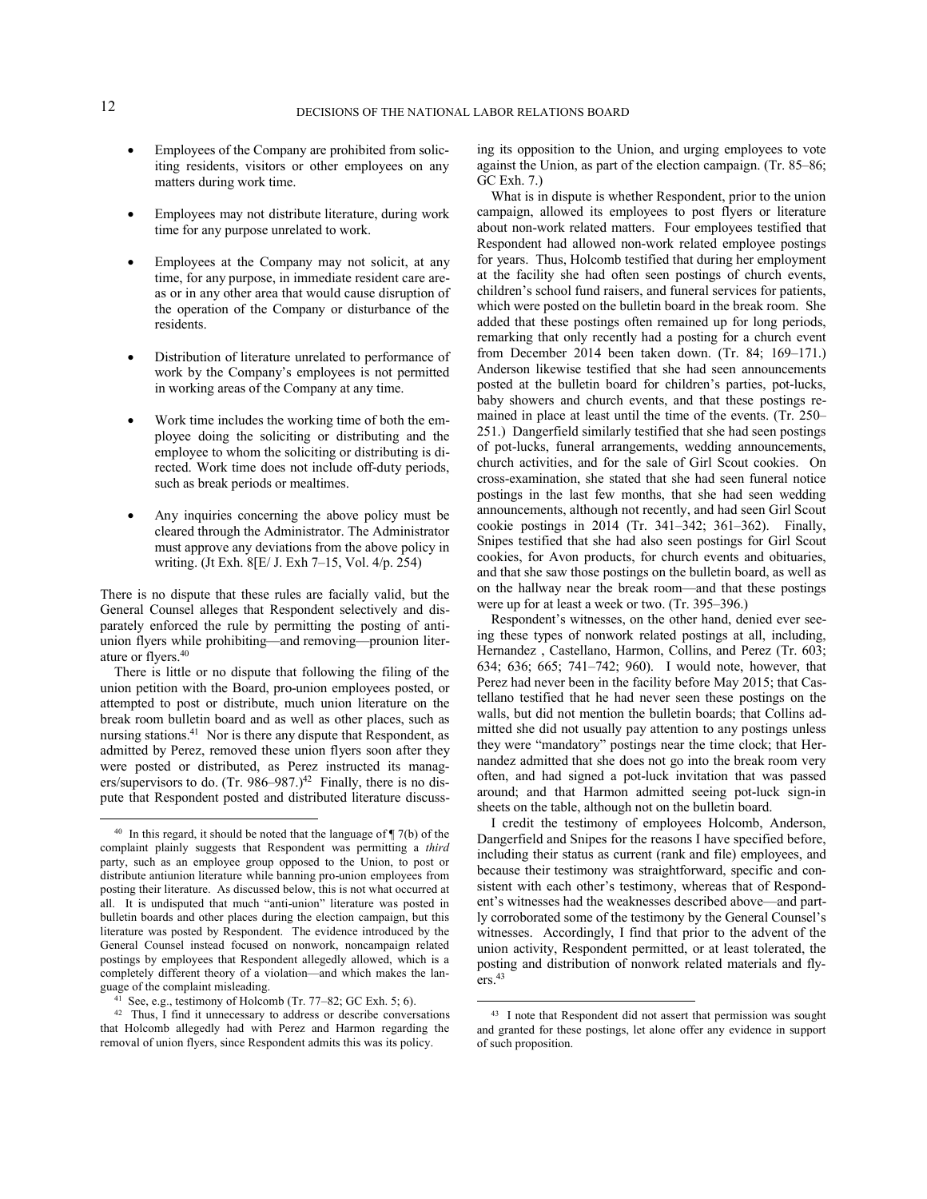- Employees of the Company are prohibited from soliciting residents, visitors or other employees on any matters during work time.
- Employees may not distribute literature, during work time for any purpose unrelated to work.
- Employees at the Company may not solicit, at any time, for any purpose, in immediate resident care areas or in any other area that would cause disruption of the operation of the Company or disturbance of the residents.
- Distribution of literature unrelated to performance of work by the Company's employees is not permitted in working areas of the Company at any time.
- Work time includes the working time of both the employee doing the soliciting or distributing and the employee to whom the soliciting or distributing is directed. Work time does not include off-duty periods, such as break periods or mealtimes.
- Any inquiries concerning the above policy must be cleared through the Administrator. The Administrator must approve any deviations from the above policy in writing. (Jt Exh. 8[E/ J. Exh 7–15, Vol. 4/p. 254)

There is no dispute that these rules are facially valid, but the General Counsel alleges that Respondent selectively and disparately enforced the rule by permitting the posting of antiunion flyers while prohibiting—and removing—prounion literature or flyers.<sup>40</sup>

There is little or no dispute that following the filing of the union petition with the Board, pro-union employees posted, or attempted to post or distribute, much union literature on the break room bulletin board and as well as other places, such as nursing stations.<sup>41</sup> Nor is there any dispute that Respondent, as admitted by Perez, removed these union flyers soon after they were posted or distributed, as Perez instructed its managers/supervisors to do. (Tr.  $986-987$ .)<sup>42</sup> Finally, there is no dispute that Respondent posted and distributed literature discuss-

 

ing its opposition to the Union, and urging employees to vote against the Union, as part of the election campaign. (Tr. 85–86; GC Exh. 7.)

What is in dispute is whether Respondent, prior to the union campaign, allowed its employees to post flyers or literature about non-work related matters. Four employees testified that Respondent had allowed non-work related employee postings for years. Thus, Holcomb testified that during her employment at the facility she had often seen postings of church events, children's school fund raisers, and funeral services for patients, which were posted on the bulletin board in the break room. She added that these postings often remained up for long periods, remarking that only recently had a posting for a church event from December 2014 been taken down. (Tr. 84; 169–171.) Anderson likewise testified that she had seen announcements posted at the bulletin board for children's parties, pot-lucks, baby showers and church events, and that these postings remained in place at least until the time of the events. (Tr. 250– 251.) Dangerfield similarly testified that she had seen postings of pot-lucks, funeral arrangements, wedding announcements, church activities, and for the sale of Girl Scout cookies. On cross-examination, she stated that she had seen funeral notice postings in the last few months, that she had seen wedding announcements, although not recently, and had seen Girl Scout cookie postings in 2014 (Tr. 341–342; 361–362). Finally, Snipes testified that she had also seen postings for Girl Scout cookies, for Avon products, for church events and obituaries, and that she saw those postings on the bulletin board, as well as on the hallway near the break room—and that these postings were up for at least a week or two. (Tr. 395–396.)

Respondent's witnesses, on the other hand, denied ever seeing these types of nonwork related postings at all, including, Hernandez , Castellano, Harmon, Collins, and Perez (Tr. 603; 634; 636; 665; 741–742; 960). I would note, however, that Perez had never been in the facility before May 2015; that Castellano testified that he had never seen these postings on the walls, but did not mention the bulletin boards; that Collins admitted she did not usually pay attention to any postings unless they were "mandatory" postings near the time clock; that Hernandez admitted that she does not go into the break room very often, and had signed a pot-luck invitation that was passed around; and that Harmon admitted seeing pot-luck sign-in sheets on the table, although not on the bulletin board.

I credit the testimony of employees Holcomb, Anderson, Dangerfield and Snipes for the reasons I have specified before, including their status as current (rank and file) employees, and because their testimony was straightforward, specific and consistent with each other's testimony, whereas that of Respondent's witnesses had the weaknesses described above—and partly corroborated some of the testimony by the General Counsel's witnesses. Accordingly, I find that prior to the advent of the union activity, Respondent permitted, or at least tolerated, the posting and distribution of nonwork related materials and fly $ers.<sup>43</sup>$ 

<sup>&</sup>lt;sup>40</sup> In this regard, it should be noted that the language of  $\P$  7(b) of the complaint plainly suggests that Respondent was permitting a *third* party, such as an employee group opposed to the Union, to post or distribute antiunion literature while banning pro-union employees from posting their literature. As discussed below, this is not what occurred at all. It is undisputed that much "anti-union" literature was posted in bulletin boards and other places during the election campaign, but this literature was posted by Respondent. The evidence introduced by the General Counsel instead focused on nonwork, noncampaign related postings by employees that Respondent allegedly allowed, which is a completely different theory of a violation—and which makes the language of the complaint misleading.

<sup>41</sup> See, e.g., testimony of Holcomb (Tr. 77–82; GC Exh. 5; 6).

<sup>&</sup>lt;sup>42</sup> Thus, I find it unnecessary to address or describe conversations that Holcomb allegedly had with Perez and Harmon regarding the removal of union flyers, since Respondent admits this was its policy.

<sup>&</sup>lt;sup>43</sup> I note that Respondent did not assert that permission was sought and granted for these postings, let alone offer any evidence in support of such proposition.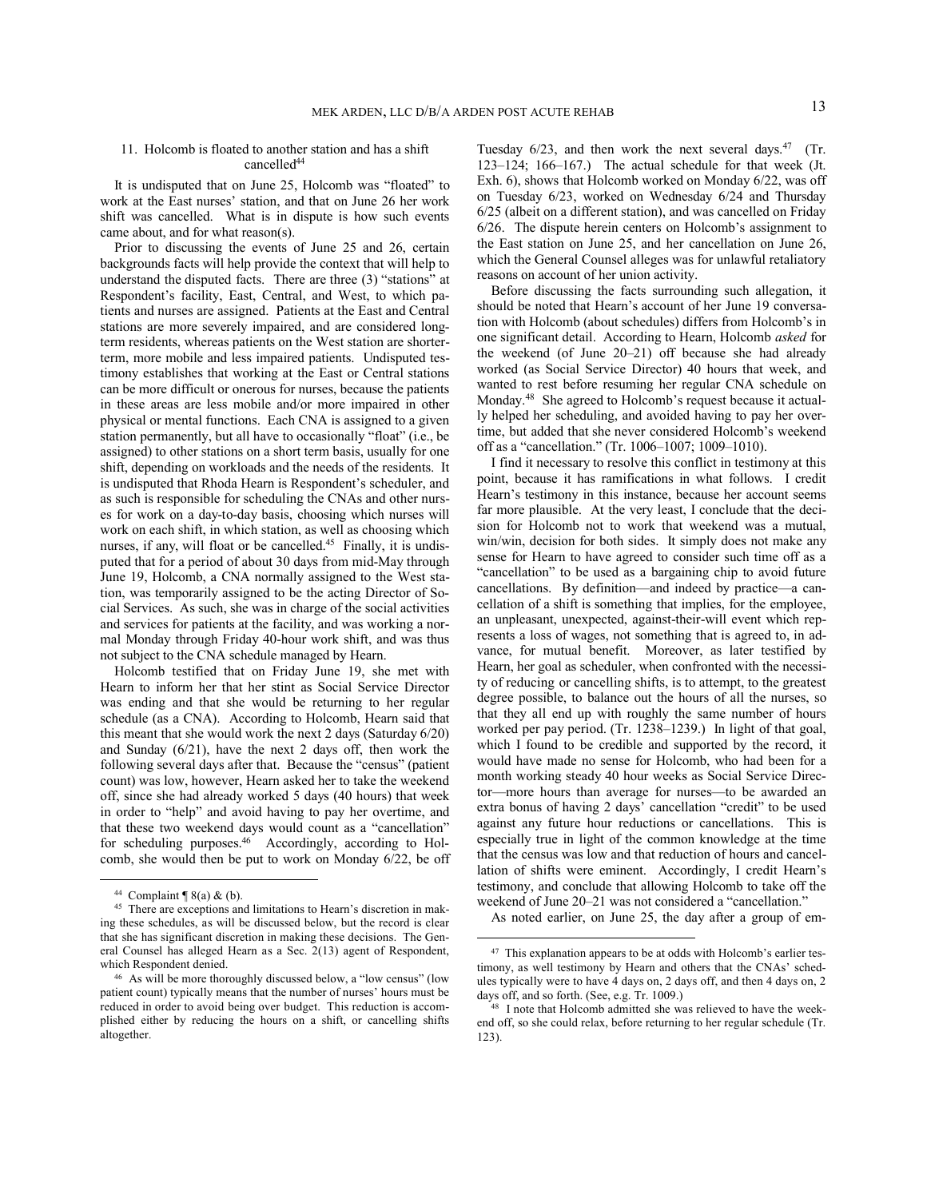# 11. Holcomb is floated to another station and has a shift cancelled<sup>44</sup>

It is undisputed that on June 25, Holcomb was "floated" to work at the East nurses' station, and that on June 26 her work shift was cancelled. What is in dispute is how such events came about, and for what reason(s).

Prior to discussing the events of June 25 and 26, certain backgrounds facts will help provide the context that will help to understand the disputed facts. There are three (3) "stations" at Respondent's facility, East, Central, and West, to which patients and nurses are assigned. Patients at the East and Central stations are more severely impaired, and are considered longterm residents, whereas patients on the West station are shorterterm, more mobile and less impaired patients. Undisputed testimony establishes that working at the East or Central stations can be more difficult or onerous for nurses, because the patients in these areas are less mobile and/or more impaired in other physical or mental functions. Each CNA is assigned to a given station permanently, but all have to occasionally "float" (i.e., be assigned) to other stations on a short term basis, usually for one shift, depending on workloads and the needs of the residents. It is undisputed that Rhoda Hearn is Respondent's scheduler, and as such is responsible for scheduling the CNAs and other nurses for work on a day-to-day basis, choosing which nurses will work on each shift, in which station, as well as choosing which nurses, if any, will float or be cancelled. $45$  Finally, it is undisputed that for a period of about 30 days from mid-May through June 19, Holcomb, a CNA normally assigned to the West station, was temporarily assigned to be the acting Director of Social Services. As such, she was in charge of the social activities and services for patients at the facility, and was working a normal Monday through Friday 40-hour work shift, and was thus not subject to the CNA schedule managed by Hearn.

Holcomb testified that on Friday June 19, she met with Hearn to inform her that her stint as Social Service Director was ending and that she would be returning to her regular schedule (as a CNA). According to Holcomb, Hearn said that this meant that she would work the next 2 days (Saturday 6/20) and Sunday (6/21), have the next 2 days off, then work the following several days after that. Because the "census" (patient count) was low, however, Hearn asked her to take the weekend off, since she had already worked 5 days (40 hours) that week in order to "help" and avoid having to pay her overtime, and that these two weekend days would count as a "cancellation" for scheduling purposes.<sup>46</sup> Accordingly, according to Holcomb, she would then be put to work on Monday 6/22, be off

 

Tuesday  $6/23$ , and then work the next several days.<sup>47</sup> (Tr. 123–124; 166–167.) The actual schedule for that week (Jt. Exh. 6), shows that Holcomb worked on Monday 6/22, was off on Tuesday 6/23, worked on Wednesday 6/24 and Thursday 6/25 (albeit on a different station), and was cancelled on Friday 6/26. The dispute herein centers on Holcomb's assignment to the East station on June 25, and her cancellation on June 26, which the General Counsel alleges was for unlawful retaliatory reasons on account of her union activity.

Before discussing the facts surrounding such allegation, it should be noted that Hearn's account of her June 19 conversation with Holcomb (about schedules) differs from Holcomb's in one significant detail. According to Hearn, Holcomb *asked* for the weekend (of June 20–21) off because she had already worked (as Social Service Director) 40 hours that week, and wanted to rest before resuming her regular CNA schedule on Monday.<sup>48</sup> She agreed to Holcomb's request because it actually helped her scheduling, and avoided having to pay her overtime, but added that she never considered Holcomb's weekend off as a "cancellation." (Tr. 1006–1007; 1009–1010).

I find it necessary to resolve this conflict in testimony at this point, because it has ramifications in what follows. I credit Hearn's testimony in this instance, because her account seems far more plausible. At the very least, I conclude that the decision for Holcomb not to work that weekend was a mutual, win/win, decision for both sides. It simply does not make any sense for Hearn to have agreed to consider such time off as a "cancellation" to be used as a bargaining chip to avoid future cancellations. By definition—and indeed by practice—a cancellation of a shift is something that implies, for the employee, an unpleasant, unexpected, against-their-will event which represents a loss of wages, not something that is agreed to, in advance, for mutual benefit. Moreover, as later testified by Hearn, her goal as scheduler, when confronted with the necessity of reducing or cancelling shifts, is to attempt, to the greatest degree possible, to balance out the hours of all the nurses, so that they all end up with roughly the same number of hours worked per pay period. (Tr. 1238–1239.) In light of that goal, which I found to be credible and supported by the record, it would have made no sense for Holcomb, who had been for a month working steady 40 hour weeks as Social Service Director—more hours than average for nurses—to be awarded an extra bonus of having 2 days' cancellation "credit" to be used against any future hour reductions or cancellations. This is especially true in light of the common knowledge at the time that the census was low and that reduction of hours and cancellation of shifts were eminent. Accordingly, I credit Hearn's testimony, and conclude that allowing Holcomb to take off the weekend of June 20–21 was not considered a "cancellation."

As noted earlier, on June 25, the day after a group of em-

 $44$  Complaint ¶ 8(a) & (b).

<sup>45</sup> There are exceptions and limitations to Hearn's discretion in making these schedules, as will be discussed below, but the record is clear that she has significant discretion in making these decisions. The General Counsel has alleged Hearn as a Sec. 2(13) agent of Respondent, which Respondent denied.

<sup>46</sup> As will be more thoroughly discussed below, a "low census" (low patient count) typically means that the number of nurses' hours must be reduced in order to avoid being over budget. This reduction is accomplished either by reducing the hours on a shift, or cancelling shifts altogether.

<sup>&</sup>lt;sup>47</sup> This explanation appears to be at odds with Holcomb's earlier testimony, as well testimony by Hearn and others that the CNAs' schedules typically were to have 4 days on, 2 days off, and then 4 days on, 2 days off, and so forth. (See, e.g. Tr. 1009.)

<sup>48</sup> I note that Holcomb admitted she was relieved to have the weekend off, so she could relax, before returning to her regular schedule (Tr. 123).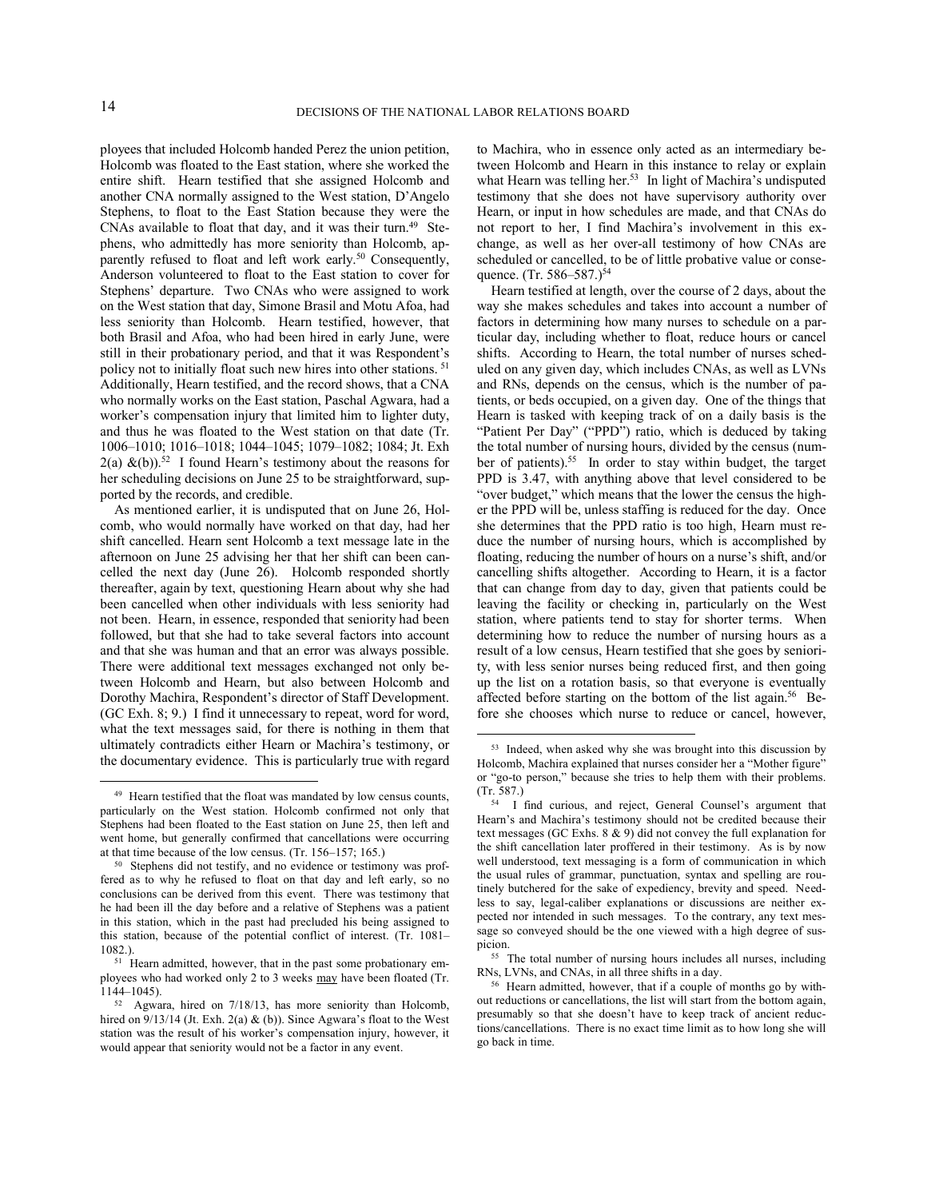ployees that included Holcomb handed Perez the union petition, Holcomb was floated to the East station, where she worked the entire shift. Hearn testified that she assigned Holcomb and another CNA normally assigned to the West station, D'Angelo Stephens, to float to the East Station because they were the CNAs available to float that day, and it was their turn.<sup>49</sup> Stephens, who admittedly has more seniority than Holcomb, apparently refused to float and left work early.<sup>50</sup> Consequently, Anderson volunteered to float to the East station to cover for Stephens' departure. Two CNAs who were assigned to work on the West station that day, Simone Brasil and Motu Afoa, had less seniority than Holcomb. Hearn testified, however, that both Brasil and Afoa, who had been hired in early June, were still in their probationary period, and that it was Respondent's policy not to initially float such new hires into other stations.<sup>51</sup> Additionally, Hearn testified, and the record shows, that a CNA who normally works on the East station, Paschal Agwara, had a worker's compensation injury that limited him to lighter duty, and thus he was floated to the West station on that date (Tr. 1006–1010; 1016–1018; 1044–1045; 1079–1082; 1084; Jt. Exh  $2(a)$  &(b)).<sup>52</sup> I found Hearn's testimony about the reasons for her scheduling decisions on June 25 to be straightforward, supported by the records, and credible.

As mentioned earlier, it is undisputed that on June 26, Holcomb, who would normally have worked on that day, had her shift cancelled. Hearn sent Holcomb a text message late in the afternoon on June 25 advising her that her shift can been cancelled the next day (June 26). Holcomb responded shortly thereafter, again by text, questioning Hearn about why she had been cancelled when other individuals with less seniority had not been. Hearn, in essence, responded that seniority had been followed, but that she had to take several factors into account and that she was human and that an error was always possible. There were additional text messages exchanged not only between Holcomb and Hearn, but also between Holcomb and Dorothy Machira, Respondent's director of Staff Development. (GC Exh. 8; 9.) I find it unnecessary to repeat, word for word, what the text messages said, for there is nothing in them that ultimately contradicts either Hearn or Machira's testimony, or the documentary evidence. This is particularly true with regard

 

to Machira, who in essence only acted as an intermediary between Holcomb and Hearn in this instance to relay or explain what Hearn was telling her.<sup>53</sup> In light of Machira's undisputed testimony that she does not have supervisory authority over Hearn, or input in how schedules are made, and that CNAs do not report to her, I find Machira's involvement in this exchange, as well as her over-all testimony of how CNAs are scheduled or cancelled, to be of little probative value or consequence. (Tr. 586–587.)<sup>54</sup>

Hearn testified at length, over the course of 2 days, about the way she makes schedules and takes into account a number of factors in determining how many nurses to schedule on a particular day, including whether to float, reduce hours or cancel shifts. According to Hearn, the total number of nurses scheduled on any given day, which includes CNAs, as well as LVNs and RNs, depends on the census, which is the number of patients, or beds occupied, on a given day. One of the things that Hearn is tasked with keeping track of on a daily basis is the "Patient Per Day" ("PPD") ratio, which is deduced by taking the total number of nursing hours, divided by the census (number of patients).<sup>55</sup> In order to stay within budget, the target PPD is 3.47, with anything above that level considered to be "over budget," which means that the lower the census the higher the PPD will be, unless staffing is reduced for the day. Once she determines that the PPD ratio is too high, Hearn must reduce the number of nursing hours, which is accomplished by floating, reducing the number of hours on a nurse's shift, and/or cancelling shifts altogether. According to Hearn, it is a factor that can change from day to day, given that patients could be leaving the facility or checking in, particularly on the West station, where patients tend to stay for shorter terms. When determining how to reduce the number of nursing hours as a result of a low census, Hearn testified that she goes by seniority, with less senior nurses being reduced first, and then going up the list on a rotation basis, so that everyone is eventually affected before starting on the bottom of the list again.<sup>56</sup> Before she chooses which nurse to reduce or cancel, however,

<sup>49</sup> Hearn testified that the float was mandated by low census counts, particularly on the West station. Holcomb confirmed not only that Stephens had been floated to the East station on June 25, then left and went home, but generally confirmed that cancellations were occurring at that time because of the low census. (Tr. 156–157; 165.)

<sup>50</sup> Stephens did not testify, and no evidence or testimony was proffered as to why he refused to float on that day and left early, so no conclusions can be derived from this event. There was testimony that he had been ill the day before and a relative of Stephens was a patient in this station, which in the past had precluded his being assigned to this station, because of the potential conflict of interest. (Tr. 1081– 1082.).

<sup>&</sup>lt;sup>51</sup> Hearn admitted, however, that in the past some probationary employees who had worked only 2 to 3 weeks may have been floated (Tr. 1144–1045).

<sup>52</sup> Agwara, hired on 7/18/13, has more seniority than Holcomb, hired on  $9/13/14$  (Jt. Exh. 2(a) & (b)). Since Agwara's float to the West station was the result of his worker's compensation injury, however, it would appear that seniority would not be a factor in any event.

<sup>53</sup> Indeed, when asked why she was brought into this discussion by Holcomb, Machira explained that nurses consider her a "Mother figure" or "go-to person," because she tries to help them with their problems. (Tr. 587.)

<sup>54</sup> I find curious, and reject, General Counsel's argument that Hearn's and Machira's testimony should not be credited because their text messages (GC Exhs. 8 & 9) did not convey the full explanation for the shift cancellation later proffered in their testimony. As is by now well understood, text messaging is a form of communication in which the usual rules of grammar, punctuation, syntax and spelling are routinely butchered for the sake of expediency, brevity and speed. Needless to say, legal-caliber explanations or discussions are neither expected nor intended in such messages. To the contrary, any text message so conveyed should be the one viewed with a high degree of suspicion.

<sup>55</sup> The total number of nursing hours includes all nurses, including RNs, LVNs, and CNAs, in all three shifts in a day.

<sup>56</sup> Hearn admitted, however, that if a couple of months go by without reductions or cancellations, the list will start from the bottom again, presumably so that she doesn't have to keep track of ancient reductions/cancellations. There is no exact time limit as to how long she will go back in time.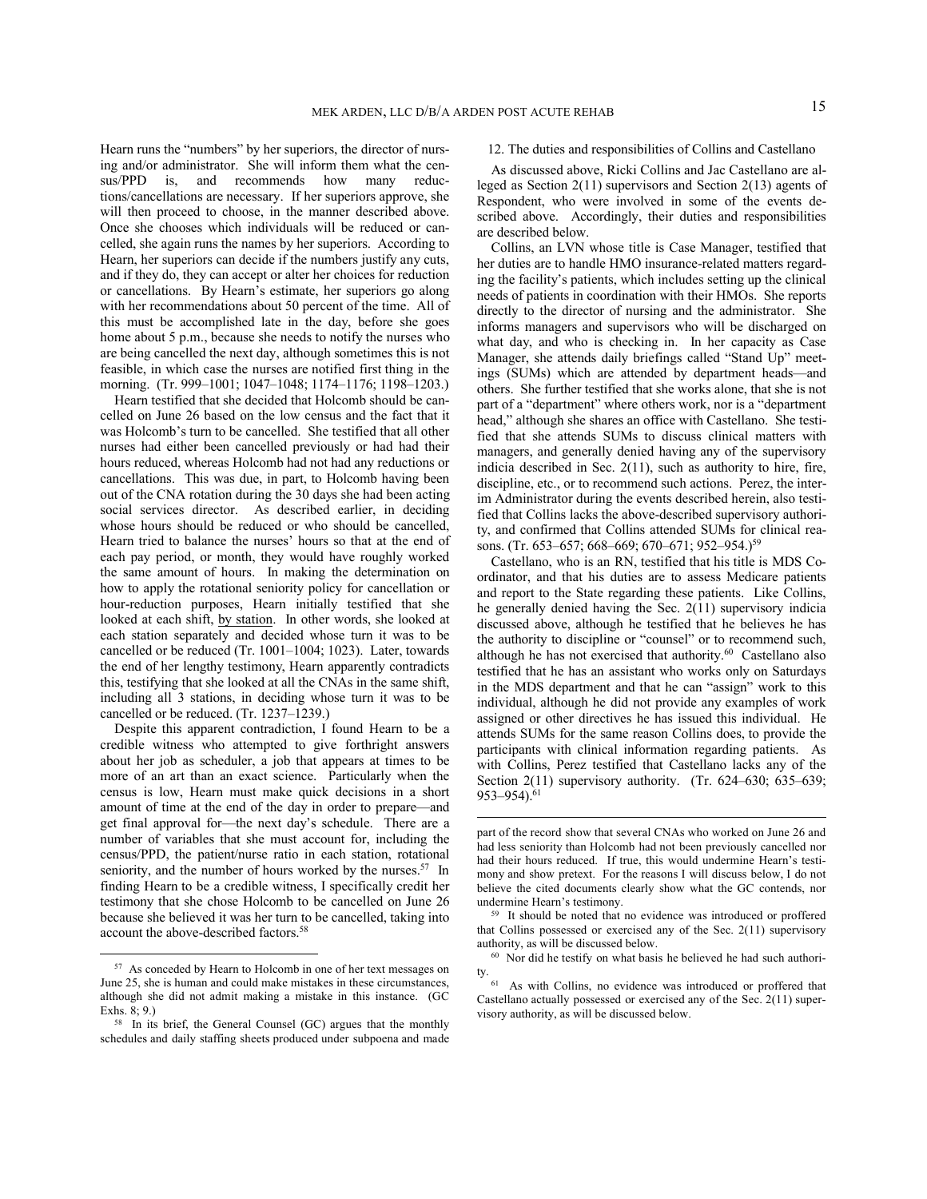Hearn runs the "numbers" by her superiors, the director of nursing and/or administrator. She will inform them what the census/PPD is, and recommends how many reductions/cancellations are necessary. If her superiors approve, she will then proceed to choose, in the manner described above. Once she chooses which individuals will be reduced or cancelled, she again runs the names by her superiors. According to Hearn, her superiors can decide if the numbers justify any cuts, and if they do, they can accept or alter her choices for reduction or cancellations. By Hearn's estimate, her superiors go along with her recommendations about 50 percent of the time. All of this must be accomplished late in the day, before she goes home about 5 p.m., because she needs to notify the nurses who are being cancelled the next day, although sometimes this is not feasible, in which case the nurses are notified first thing in the morning. (Tr. 999–1001; 1047–1048; 1174–1176; 1198–1203.)

Hearn testified that she decided that Holcomb should be cancelled on June 26 based on the low census and the fact that it was Holcomb's turn to be cancelled. She testified that all other nurses had either been cancelled previously or had had their hours reduced, whereas Holcomb had not had any reductions or cancellations. This was due, in part, to Holcomb having been out of the CNA rotation during the 30 days she had been acting social services director. As described earlier, in deciding whose hours should be reduced or who should be cancelled, Hearn tried to balance the nurses' hours so that at the end of each pay period, or month, they would have roughly worked the same amount of hours. In making the determination on how to apply the rotational seniority policy for cancellation or hour-reduction purposes, Hearn initially testified that she looked at each shift, by station. In other words, she looked at each station separately and decided whose turn it was to be cancelled or be reduced (Tr. 1001–1004; 1023). Later, towards the end of her lengthy testimony, Hearn apparently contradicts this, testifying that she looked at all the CNAs in the same shift, including all 3 stations, in deciding whose turn it was to be cancelled or be reduced. (Tr. 1237–1239.)

Despite this apparent contradiction, I found Hearn to be a credible witness who attempted to give forthright answers about her job as scheduler, a job that appears at times to be more of an art than an exact science. Particularly when the census is low, Hearn must make quick decisions in a short amount of time at the end of the day in order to prepare—and get final approval for—the next day's schedule. There are a number of variables that she must account for, including the census/PPD, the patient/nurse ratio in each station, rotational seniority, and the number of hours worked by the nurses.<sup>57</sup> In finding Hearn to be a credible witness, I specifically credit her testimony that she chose Holcomb to be cancelled on June 26 because she believed it was her turn to be cancelled, taking into account the above-described factors.<sup>58</sup>

 

# 12. The duties and responsibilities of Collins and Castellano

As discussed above, Ricki Collins and Jac Castellano are alleged as Section 2(11) supervisors and Section 2(13) agents of Respondent, who were involved in some of the events described above. Accordingly, their duties and responsibilities are described below.

Collins, an LVN whose title is Case Manager, testified that her duties are to handle HMO insurance-related matters regarding the facility's patients, which includes setting up the clinical needs of patients in coordination with their HMOs. She reports directly to the director of nursing and the administrator. She informs managers and supervisors who will be discharged on what day, and who is checking in. In her capacity as Case Manager, she attends daily briefings called "Stand Up" meetings (SUMs) which are attended by department heads—and others. She further testified that she works alone, that she is not part of a "department" where others work, nor is a "department head," although she shares an office with Castellano. She testified that she attends SUMs to discuss clinical matters with managers, and generally denied having any of the supervisory indicia described in Sec. 2(11), such as authority to hire, fire, discipline, etc., or to recommend such actions. Perez, the interim Administrator during the events described herein, also testified that Collins lacks the above-described supervisory authority, and confirmed that Collins attended SUMs for clinical reasons. (Tr. 653–657; 668–669; 670–671; 952–954.)<sup>59</sup>

Castellano, who is an RN, testified that his title is MDS Coordinator, and that his duties are to assess Medicare patients and report to the State regarding these patients. Like Collins, he generally denied having the Sec. 2(11) supervisory indicia discussed above, although he testified that he believes he has the authority to discipline or "counsel" or to recommend such, although he has not exercised that authority.<sup>60</sup> Castellano also testified that he has an assistant who works only on Saturdays in the MDS department and that he can "assign" work to this individual, although he did not provide any examples of work assigned or other directives he has issued this individual. He attends SUMs for the same reason Collins does, to provide the participants with clinical information regarding patients. As with Collins, Perez testified that Castellano lacks any of the Section 2(11) supervisory authority. (Tr. 624–630; 635–639;  $953 - 954$ ).<sup>61</sup>

<sup>57</sup> As conceded by Hearn to Holcomb in one of her text messages on June 25, she is human and could make mistakes in these circumstances, although she did not admit making a mistake in this instance. (GC Exhs. 8; 9.)

<sup>58</sup> In its brief, the General Counsel (GC) argues that the monthly schedules and daily staffing sheets produced under subpoena and made

part of the record show that several CNAs who worked on June 26 and had less seniority than Holcomb had not been previously cancelled nor had their hours reduced. If true, this would undermine Hearn's testimony and show pretext. For the reasons I will discuss below, I do not believe the cited documents clearly show what the GC contends, nor undermine Hearn's testimony.

<sup>59</sup> It should be noted that no evidence was introduced or proffered that Collins possessed or exercised any of the Sec. 2(11) supervisory authority, as will be discussed below.

<sup>60</sup> Nor did he testify on what basis he believed he had such authority. 61 As with Collins, no evidence was introduced or proffered that

Castellano actually possessed or exercised any of the Sec. 2(11) supervisory authority, as will be discussed below.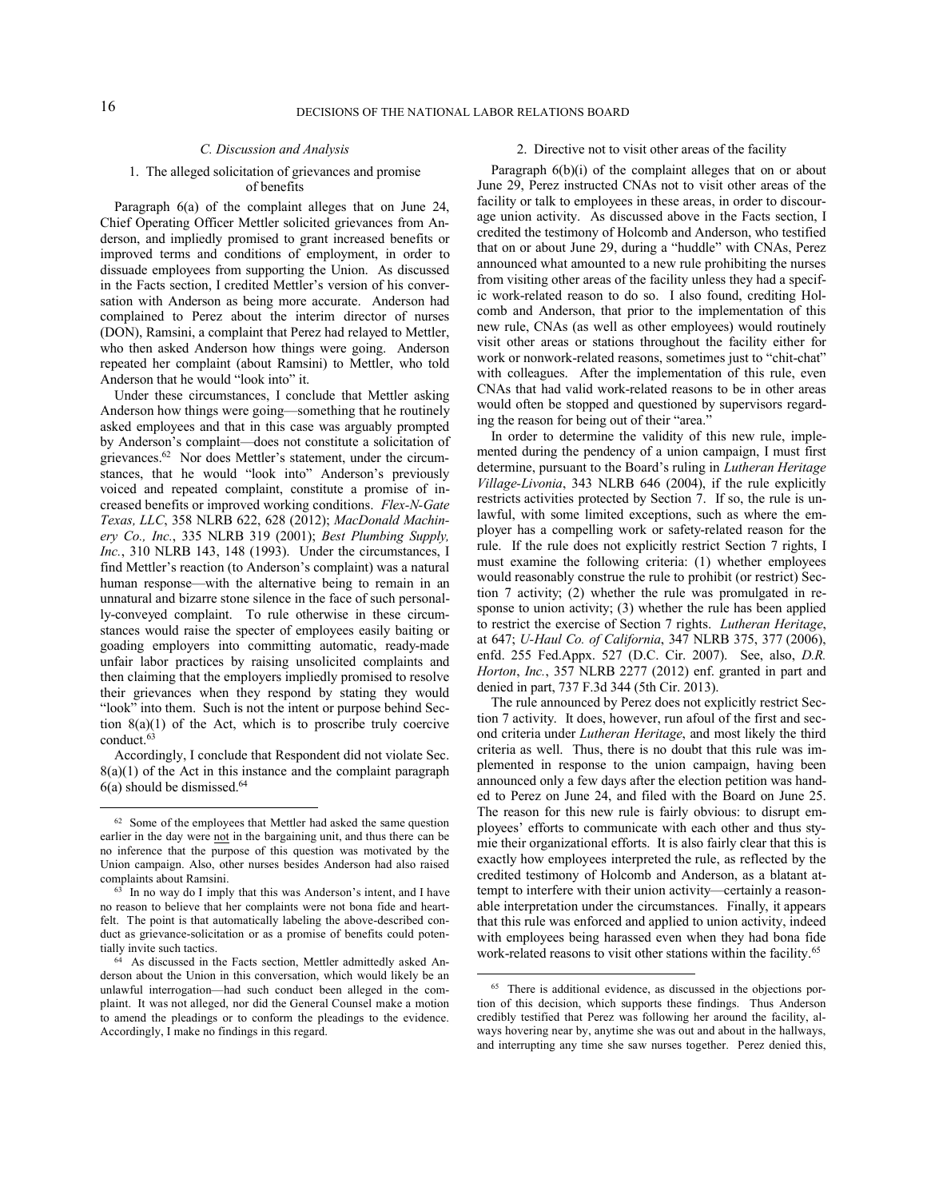# *C. Discussion and Analysis*

#### 1. The alleged solicitation of grievances and promise of benefits

Paragraph 6(a) of the complaint alleges that on June 24, Chief Operating Officer Mettler solicited grievances from Anderson, and impliedly promised to grant increased benefits or improved terms and conditions of employment, in order to dissuade employees from supporting the Union. As discussed in the Facts section, I credited Mettler's version of his conversation with Anderson as being more accurate. Anderson had complained to Perez about the interim director of nurses (DON), Ramsini, a complaint that Perez had relayed to Mettler, who then asked Anderson how things were going. Anderson repeated her complaint (about Ramsini) to Mettler, who told Anderson that he would "look into" it.

Under these circumstances, I conclude that Mettler asking Anderson how things were going—something that he routinely asked employees and that in this case was arguably prompted by Anderson's complaint—does not constitute a solicitation of grievances.<sup>62</sup> Nor does Mettler's statement, under the circumstances, that he would "look into" Anderson's previously voiced and repeated complaint, constitute a promise of increased benefits or improved working conditions. *Flex-N-Gate Texas, LLC*, 358 NLRB 622, 628 (2012); *MacDonald Machinery Co., Inc.*, 335 NLRB 319 (2001); *Best Plumbing Supply, Inc.*, 310 NLRB 143, 148 (1993). Under the circumstances, I find Mettler's reaction (to Anderson's complaint) was a natural human response—with the alternative being to remain in an unnatural and bizarre stone silence in the face of such personally-conveyed complaint. To rule otherwise in these circumstances would raise the specter of employees easily baiting or goading employers into committing automatic, ready-made unfair labor practices by raising unsolicited complaints and then claiming that the employers impliedly promised to resolve their grievances when they respond by stating they would "look" into them. Such is not the intent or purpose behind Section 8(a)(1) of the Act, which is to proscribe truly coercive conduct.<sup>63</sup>

Accordingly, I conclude that Respondent did not violate Sec.  $8(a)(1)$  of the Act in this instance and the complaint paragraph  $6(a)$  should be dismissed.<sup>64</sup>

 

### 2. Directive not to visit other areas of the facility

Paragraph 6(b)(i) of the complaint alleges that on or about June 29, Perez instructed CNAs not to visit other areas of the facility or talk to employees in these areas, in order to discourage union activity. As discussed above in the Facts section, I credited the testimony of Holcomb and Anderson, who testified that on or about June 29, during a "huddle" with CNAs, Perez announced what amounted to a new rule prohibiting the nurses from visiting other areas of the facility unless they had a specific work-related reason to do so. I also found, crediting Holcomb and Anderson, that prior to the implementation of this new rule, CNAs (as well as other employees) would routinely visit other areas or stations throughout the facility either for work or nonwork-related reasons, sometimes just to "chit-chat" with colleagues. After the implementation of this rule, even CNAs that had valid work-related reasons to be in other areas would often be stopped and questioned by supervisors regarding the reason for being out of their "area."

In order to determine the validity of this new rule, implemented during the pendency of a union campaign, I must first determine, pursuant to the Board's ruling in *Lutheran Heritage Village-Livonia*, 343 NLRB 646 (2004), if the rule explicitly restricts activities protected by Section 7. If so, the rule is unlawful, with some limited exceptions, such as where the employer has a compelling work or safety-related reason for the rule. If the rule does not explicitly restrict Section 7 rights, I must examine the following criteria: (1) whether employees would reasonably construe the rule to prohibit (or restrict) Section 7 activity; (2) whether the rule was promulgated in response to union activity; (3) whether the rule has been applied to restrict the exercise of Section 7 rights. *Lutheran Heritage*, at 647; *U-Haul Co. of California*, 347 NLRB 375, 377 (2006), enfd. 255 Fed.Appx. 527 (D.C. Cir. 2007). See, also, *D.R. Horton*, *Inc.*, 357 NLRB 2277 (2012) enf. granted in part and denied in part, 737 F.3d 344 (5th Cir. 2013).

The rule announced by Perez does not explicitly restrict Section 7 activity. It does, however, run afoul of the first and second criteria under *Lutheran Heritage*, and most likely the third criteria as well. Thus, there is no doubt that this rule was implemented in response to the union campaign, having been announced only a few days after the election petition was handed to Perez on June 24, and filed with the Board on June 25. The reason for this new rule is fairly obvious: to disrupt employees' efforts to communicate with each other and thus stymie their organizational efforts. It is also fairly clear that this is exactly how employees interpreted the rule, as reflected by the credited testimony of Holcomb and Anderson, as a blatant attempt to interfere with their union activity—certainly a reasonable interpretation under the circumstances. Finally, it appears that this rule was enforced and applied to union activity, indeed with employees being harassed even when they had bona fide work-related reasons to visit other stations within the facility.<sup>65</sup>

<sup>&</sup>lt;sup>62</sup> Some of the employees that Mettler had asked the same question earlier in the day were not in the bargaining unit, and thus there can be no inference that the purpose of this question was motivated by the Union campaign. Also, other nurses besides Anderson had also raised complaints about Ramsini.

<sup>63</sup> In no way do I imply that this was Anderson's intent, and I have no reason to believe that her complaints were not bona fide and heartfelt. The point is that automatically labeling the above-described conduct as grievance-solicitation or as a promise of benefits could potentially invite such tactics.

<sup>64</sup> As discussed in the Facts section, Mettler admittedly asked Anderson about the Union in this conversation, which would likely be an unlawful interrogation—had such conduct been alleged in the complaint. It was not alleged, nor did the General Counsel make a motion to amend the pleadings or to conform the pleadings to the evidence. Accordingly, I make no findings in this regard.

<sup>65</sup> There is additional evidence, as discussed in the objections portion of this decision, which supports these findings. Thus Anderson credibly testified that Perez was following her around the facility, always hovering near by, anytime she was out and about in the hallways, and interrupting any time she saw nurses together. Perez denied this,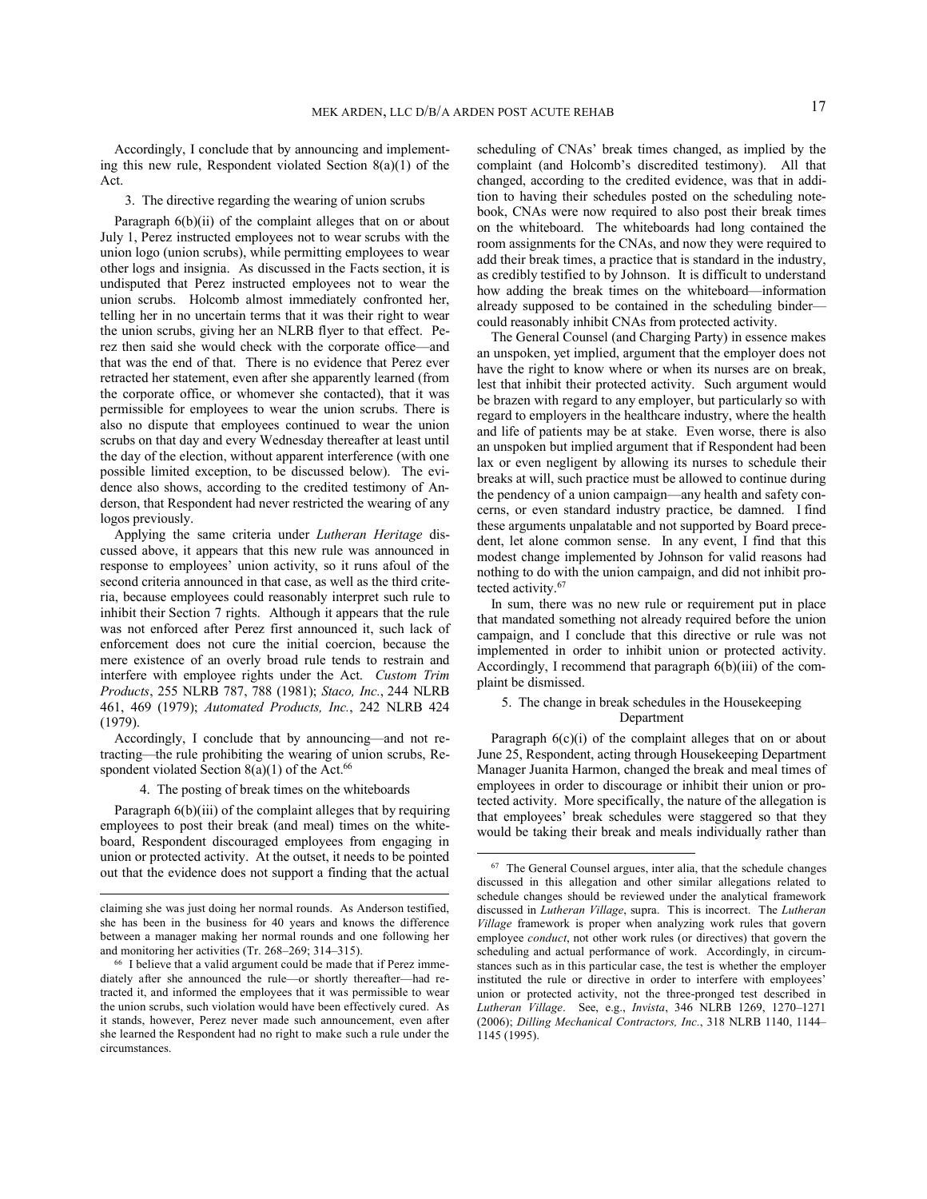Accordingly, I conclude that by announcing and implementing this new rule, Respondent violated Section  $8(a)(1)$  of the Act.

#### 3. The directive regarding the wearing of union scrubs

Paragraph 6(b)(ii) of the complaint alleges that on or about July 1, Perez instructed employees not to wear scrubs with the union logo (union scrubs), while permitting employees to wear other logs and insignia. As discussed in the Facts section, it is undisputed that Perez instructed employees not to wear the union scrubs. Holcomb almost immediately confronted her, telling her in no uncertain terms that it was their right to wear the union scrubs, giving her an NLRB flyer to that effect. Perez then said she would check with the corporate office—and that was the end of that. There is no evidence that Perez ever retracted her statement, even after she apparently learned (from the corporate office, or whomever she contacted), that it was permissible for employees to wear the union scrubs. There is also no dispute that employees continued to wear the union scrubs on that day and every Wednesday thereafter at least until the day of the election, without apparent interference (with one possible limited exception, to be discussed below). The evidence also shows, according to the credited testimony of Anderson, that Respondent had never restricted the wearing of any logos previously.

Applying the same criteria under *Lutheran Heritage* discussed above, it appears that this new rule was announced in response to employees' union activity, so it runs afoul of the second criteria announced in that case, as well as the third criteria, because employees could reasonably interpret such rule to inhibit their Section 7 rights. Although it appears that the rule was not enforced after Perez first announced it, such lack of enforcement does not cure the initial coercion, because the mere existence of an overly broad rule tends to restrain and interfere with employee rights under the Act. *Custom Trim Products*, 255 NLRB 787, 788 (1981); *Staco, Inc.*, 244 NLRB 461, 469 (1979); *Automated Products, Inc.*, 242 NLRB 424 (1979).

Accordingly, I conclude that by announcing—and not retracting—the rule prohibiting the wearing of union scrubs, Respondent violated Section  $8(a)(1)$  of the Act.<sup>66</sup>

# 4. The posting of break times on the whiteboards

Paragraph 6(b)(iii) of the complaint alleges that by requiring employees to post their break (and meal) times on the whiteboard, Respondent discouraged employees from engaging in union or protected activity. At the outset, it needs to be pointed out that the evidence does not support a finding that the actual

<u> 1989 - Jan Samuel Barbara, político establecido en la contrada de la contrada de la contrada de la contrada d</u>

scheduling of CNAs' break times changed, as implied by the complaint (and Holcomb's discredited testimony). All that changed, according to the credited evidence, was that in addition to having their schedules posted on the scheduling notebook, CNAs were now required to also post their break times on the whiteboard. The whiteboards had long contained the room assignments for the CNAs, and now they were required to add their break times, a practice that is standard in the industry, as credibly testified to by Johnson. It is difficult to understand how adding the break times on the whiteboard—information already supposed to be contained in the scheduling binder could reasonably inhibit CNAs from protected activity.

The General Counsel (and Charging Party) in essence makes an unspoken, yet implied, argument that the employer does not have the right to know where or when its nurses are on break, lest that inhibit their protected activity. Such argument would be brazen with regard to any employer, but particularly so with regard to employers in the healthcare industry, where the health and life of patients may be at stake. Even worse, there is also an unspoken but implied argument that if Respondent had been lax or even negligent by allowing its nurses to schedule their breaks at will, such practice must be allowed to continue during the pendency of a union campaign—any health and safety concerns, or even standard industry practice, be damned. I find these arguments unpalatable and not supported by Board precedent, let alone common sense. In any event, I find that this modest change implemented by Johnson for valid reasons had nothing to do with the union campaign, and did not inhibit protected activity.<sup>67</sup>

In sum, there was no new rule or requirement put in place that mandated something not already required before the union campaign, and I conclude that this directive or rule was not implemented in order to inhibit union or protected activity. Accordingly, I recommend that paragraph 6(b)(iii) of the complaint be dismissed.

# 5. The change in break schedules in the Housekeeping Department

Paragraph 6(c)(i) of the complaint alleges that on or about June 25, Respondent, acting through Housekeeping Department Manager Juanita Harmon, changed the break and meal times of employees in order to discourage or inhibit their union or protected activity. More specifically, the nature of the allegation is that employees' break schedules were staggered so that they would be taking their break and meals individually rather than

claiming she was just doing her normal rounds. As Anderson testified, she has been in the business for 40 years and knows the difference between a manager making her normal rounds and one following her and monitoring her activities (Tr. 268–269; 314–315).

<sup>66</sup> I believe that a valid argument could be made that if Perez immediately after she announced the rule—or shortly thereafter—had retracted it, and informed the employees that it was permissible to wear the union scrubs, such violation would have been effectively cured. As it stands, however, Perez never made such announcement, even after she learned the Respondent had no right to make such a rule under the circumstances.

<sup>67</sup> The General Counsel argues, inter alia, that the schedule changes discussed in this allegation and other similar allegations related to schedule changes should be reviewed under the analytical framework discussed in *Lutheran Village*, supra. This is incorrect. The *Lutheran Village* framework is proper when analyzing work rules that govern employee *conduct*, not other work rules (or directives) that govern the scheduling and actual performance of work. Accordingly, in circumstances such as in this particular case, the test is whether the employer instituted the rule or directive in order to interfere with employees' union or protected activity, not the three-pronged test described in *Lutheran Village*. See, e.g., *Invista*, 346 NLRB 1269, 1270–1271 (2006); *Dilling Mechanical Contractors, Inc.*, 318 NLRB 1140, 1144– 1145 (1995).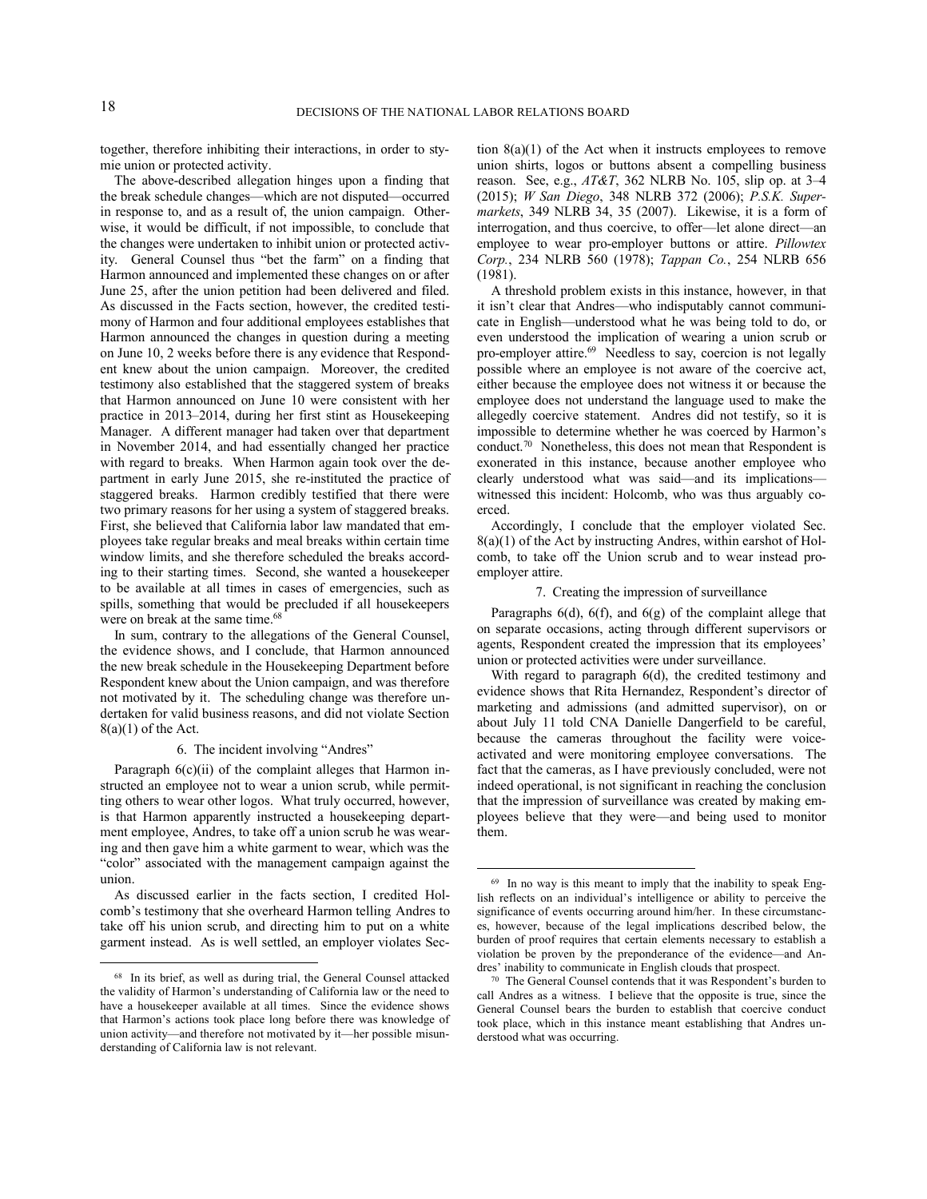together, therefore inhibiting their interactions, in order to stymie union or protected activity.

The above-described allegation hinges upon a finding that the break schedule changes—which are not disputed—occurred in response to, and as a result of, the union campaign. Otherwise, it would be difficult, if not impossible, to conclude that the changes were undertaken to inhibit union or protected activity. General Counsel thus "bet the farm" on a finding that Harmon announced and implemented these changes on or after June 25, after the union petition had been delivered and filed. As discussed in the Facts section, however, the credited testimony of Harmon and four additional employees establishes that Harmon announced the changes in question during a meeting on June 10, 2 weeks before there is any evidence that Respondent knew about the union campaign. Moreover, the credited testimony also established that the staggered system of breaks that Harmon announced on June 10 were consistent with her practice in 2013–2014, during her first stint as Housekeeping Manager. A different manager had taken over that department in November 2014, and had essentially changed her practice with regard to breaks. When Harmon again took over the department in early June 2015, she re-instituted the practice of staggered breaks. Harmon credibly testified that there were two primary reasons for her using a system of staggered breaks. First, she believed that California labor law mandated that employees take regular breaks and meal breaks within certain time window limits, and she therefore scheduled the breaks according to their starting times. Second, she wanted a housekeeper to be available at all times in cases of emergencies, such as spills, something that would be precluded if all housekeepers were on break at the same time.<sup>68</sup>

In sum, contrary to the allegations of the General Counsel, the evidence shows, and I conclude, that Harmon announced the new break schedule in the Housekeeping Department before Respondent knew about the Union campaign, and was therefore not motivated by it. The scheduling change was therefore undertaken for valid business reasons, and did not violate Section  $8(a)(1)$  of the Act.

# 6. The incident involving "Andres"

Paragraph  $6(c)(ii)$  of the complaint alleges that Harmon instructed an employee not to wear a union scrub, while permitting others to wear other logos. What truly occurred, however, is that Harmon apparently instructed a housekeeping department employee, Andres, to take off a union scrub he was wearing and then gave him a white garment to wear, which was the "color" associated with the management campaign against the union.

As discussed earlier in the facts section, I credited Holcomb's testimony that she overheard Harmon telling Andres to take off his union scrub, and directing him to put on a white garment instead. As is well settled, an employer violates Sec-

 

tion 8(a)(1) of the Act when it instructs employees to remove union shirts, logos or buttons absent a compelling business reason. See, e.g., *AT&T*, 362 NLRB No. 105, slip op. at 3–4 (2015); *W San Diego*, 348 NLRB 372 (2006); *P.S.K. Supermarkets*, 349 NLRB 34, 35 (2007). Likewise, it is a form of interrogation, and thus coercive, to offer—let alone direct—an employee to wear pro-employer buttons or attire. *Pillowtex Corp.*, 234 NLRB 560 (1978); *Tappan Co.*, 254 NLRB 656 (1981).

A threshold problem exists in this instance, however, in that it isn't clear that Andres—who indisputably cannot communicate in English—understood what he was being told to do, or even understood the implication of wearing a union scrub or pro-employer attire.<sup>69</sup> Needless to say, coercion is not legally possible where an employee is not aware of the coercive act, either because the employee does not witness it or because the employee does not understand the language used to make the allegedly coercive statement. Andres did not testify, so it is impossible to determine whether he was coerced by Harmon's conduct.<sup>70</sup> Nonetheless, this does not mean that Respondent is exonerated in this instance, because another employee who clearly understood what was said—and its implications witnessed this incident: Holcomb, who was thus arguably coerced.

Accordingly, I conclude that the employer violated Sec. 8(a)(1) of the Act by instructing Andres, within earshot of Holcomb, to take off the Union scrub and to wear instead proemployer attire.

#### 7. Creating the impression of surveillance

Paragraphs 6(d), 6(f), and 6(g) of the complaint allege that on separate occasions, acting through different supervisors or agents, Respondent created the impression that its employees' union or protected activities were under surveillance.

With regard to paragraph 6(d), the credited testimony and evidence shows that Rita Hernandez, Respondent's director of marketing and admissions (and admitted supervisor), on or about July 11 told CNA Danielle Dangerfield to be careful, because the cameras throughout the facility were voiceactivated and were monitoring employee conversations. The fact that the cameras, as I have previously concluded, were not indeed operational, is not significant in reaching the conclusion that the impression of surveillance was created by making employees believe that they were—and being used to monitor them.

<sup>68</sup> In its brief, as well as during trial, the General Counsel attacked the validity of Harmon's understanding of California law or the need to have a housekeeper available at all times. Since the evidence shows that Harmon's actions took place long before there was knowledge of union activity—and therefore not motivated by it—her possible misunderstanding of California law is not relevant.

<sup>69</sup> In no way is this meant to imply that the inability to speak English reflects on an individual's intelligence or ability to perceive the significance of events occurring around him/her. In these circumstances, however, because of the legal implications described below, the burden of proof requires that certain elements necessary to establish a violation be proven by the preponderance of the evidence—and Andres' inability to communicate in English clouds that prospect.

<sup>70</sup> The General Counsel contends that it was Respondent's burden to call Andres as a witness. I believe that the opposite is true, since the General Counsel bears the burden to establish that coercive conduct took place, which in this instance meant establishing that Andres understood what was occurring.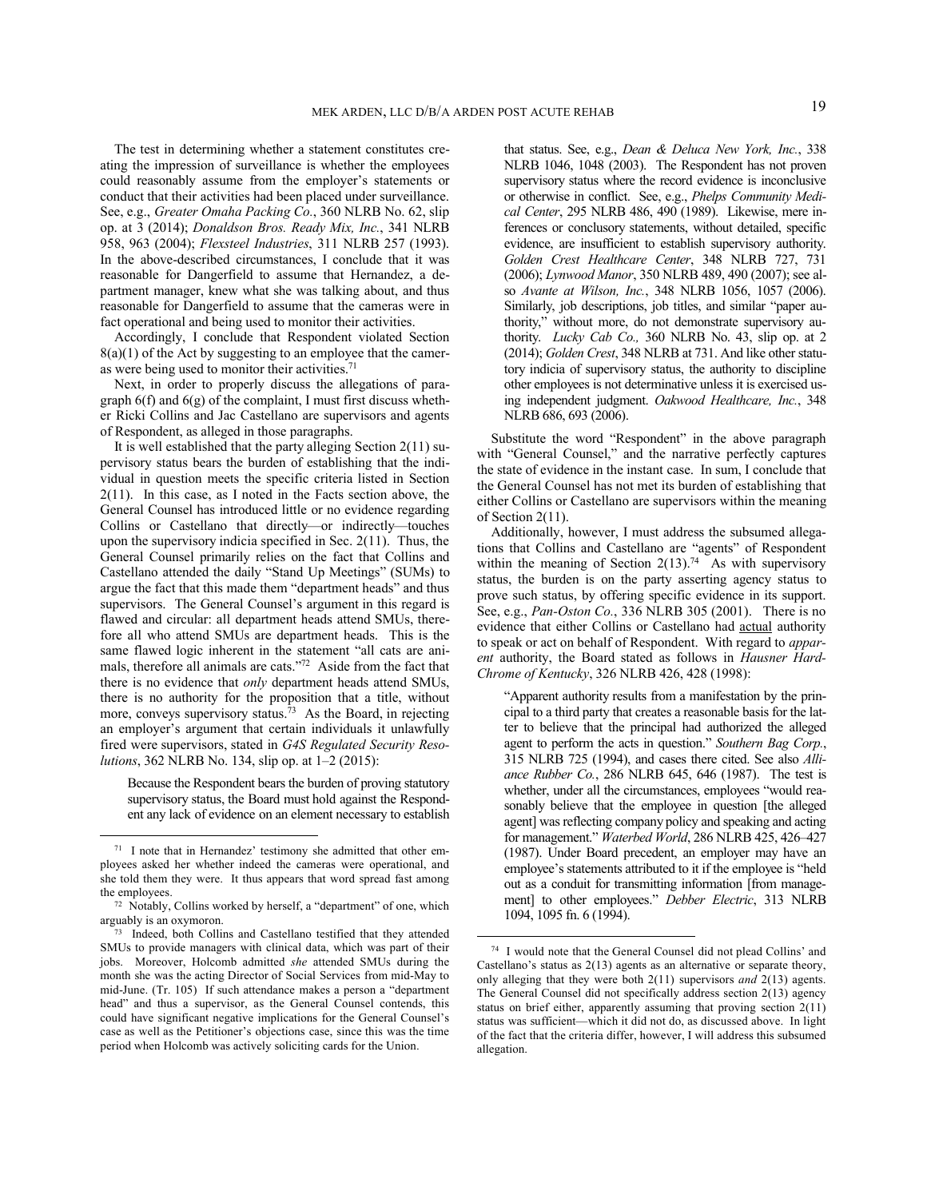The test in determining whether a statement constitutes creating the impression of surveillance is whether the employees could reasonably assume from the employer's statements or conduct that their activities had been placed under surveillance. See, e.g., *Greater Omaha Packing Co.*, 360 NLRB No. 62, slip op. at 3 (2014); *Donaldson Bros. Ready Mix, Inc.*, 341 NLRB 958, 963 (2004); *Flexsteel Industries*, 311 NLRB 257 (1993). In the above-described circumstances, I conclude that it was reasonable for Dangerfield to assume that Hernandez, a department manager, knew what she was talking about, and thus reasonable for Dangerfield to assume that the cameras were in fact operational and being used to monitor their activities.

Accordingly, I conclude that Respondent violated Section  $8(a)(1)$  of the Act by suggesting to an employee that the cameras were being used to monitor their activities.<sup>71</sup>

Next, in order to properly discuss the allegations of paragraph 6(f) and 6(g) of the complaint, I must first discuss whether Ricki Collins and Jac Castellano are supervisors and agents of Respondent, as alleged in those paragraphs.

It is well established that the party alleging Section 2(11) supervisory status bears the burden of establishing that the individual in question meets the specific criteria listed in Section  $2(11)$ . In this case, as I noted in the Facts section above, the General Counsel has introduced little or no evidence regarding Collins or Castellano that directly—or indirectly—touches upon the supervisory indicia specified in Sec. 2(11). Thus, the General Counsel primarily relies on the fact that Collins and Castellano attended the daily "Stand Up Meetings" (SUMs) to argue the fact that this made them "department heads" and thus supervisors. The General Counsel's argument in this regard is flawed and circular: all department heads attend SMUs, therefore all who attend SMUs are department heads. This is the same flawed logic inherent in the statement "all cats are animals, therefore all animals are cats."<sup>72</sup> Aside from the fact that there is no evidence that *only* department heads attend SMUs, there is no authority for the proposition that a title, without more, conveys supervisory status.<sup>73</sup> As the Board, in rejecting an employer's argument that certain individuals it unlawfully fired were supervisors, stated in *G4S Regulated Security Resolutions*, 362 NLRB No. 134, slip op. at 1–2 (2015):

Because the Respondent bears the burden of proving statutory supervisory status, the Board must hold against the Respondent any lack of evidence on an element necessary to establish

 

that status. See, e.g., *Dean & Deluca New York, Inc.*, 338 NLRB 1046, 1048 (2003). The Respondent has not proven supervisory status where the record evidence is inconclusive or otherwise in conflict. See, e.g., *Phelps Community Medical Center*, 295 NLRB 486, 490 (1989). Likewise, mere inferences or conclusory statements, without detailed, specific evidence, are insufficient to establish supervisory authority. *Golden Crest Healthcare Center*, 348 NLRB 727, 731 (2006); *Lynwood Manor*, 350 NLRB 489, 490 (2007); see also *Avante at Wilson, Inc.*, 348 NLRB 1056, 1057 (2006). Similarly, job descriptions, job titles, and similar "paper authority," without more, do not demonstrate supervisory authority. *Lucky Cab Co.,* 360 NLRB No. 43, slip op. at 2 (2014); *Golden Crest*, 348 NLRB at 731. And like other statutory indicia of supervisory status, the authority to discipline other employees is not determinative unless it is exercised using independent judgment. *Oakwood Healthcare, Inc.*, 348 NLRB 686, 693 (2006).

Substitute the word "Respondent" in the above paragraph with "General Counsel," and the narrative perfectly captures the state of evidence in the instant case. In sum, I conclude that the General Counsel has not met its burden of establishing that either Collins or Castellano are supervisors within the meaning of Section 2(11).

Additionally, however, I must address the subsumed allegations that Collins and Castellano are "agents" of Respondent within the meaning of Section  $2(13)$ .<sup>74</sup> As with supervisory status, the burden is on the party asserting agency status to prove such status, by offering specific evidence in its support. See, e.g., *Pan-Oston Co.*, 336 NLRB 305 (2001). There is no evidence that either Collins or Castellano had actual authority to speak or act on behalf of Respondent. With regard to *apparent* authority, the Board stated as follows in *Hausner Hard-Chrome of Kentucky*, 326 NLRB 426, 428 (1998):

"Apparent authority results from a manifestation by the principal to a third party that creates a reasonable basis for the latter to believe that the principal had authorized the alleged agent to perform the acts in question." *Southern Bag Corp.*, 315 NLRB 725 (1994), and cases there cited. See also *Alliance Rubber Co.*, 286 NLRB 645, 646 (1987). The test is whether, under all the circumstances, employees "would reasonably believe that the employee in question [the alleged agent] was reflecting company policy and speaking and acting for management." *Waterbed World*, 286 NLRB 425, 426–427 (1987). Under Board precedent, an employer may have an employee's statements attributed to it if the employee is "held out as a conduit for transmitting information [from management] to other employees." *Debber Electric*, 313 NLRB 1094, 1095 fn. 6 (1994).

<sup>71</sup> I note that in Hernandez' testimony she admitted that other employees asked her whether indeed the cameras were operational, and she told them they were. It thus appears that word spread fast among the employees.

<sup>72</sup> Notably, Collins worked by herself, a "department" of one, which

arguably is an oxymoron. 73 Indeed, both Collins and Castellano testified that they attended SMUs to provide managers with clinical data, which was part of their jobs. Moreover, Holcomb admitted *she* attended SMUs during the month she was the acting Director of Social Services from mid-May to mid-June. (Tr. 105) If such attendance makes a person a "department head" and thus a supervisor, as the General Counsel contends, this could have significant negative implications for the General Counsel's case as well as the Petitioner's objections case, since this was the time period when Holcomb was actively soliciting cards for the Union.

<sup>74</sup> I would note that the General Counsel did not plead Collins' and Castellano's status as 2(13) agents as an alternative or separate theory, only alleging that they were both 2(11) supervisors *and* 2(13) agents. The General Counsel did not specifically address section 2(13) agency status on brief either, apparently assuming that proving section 2(11) status was sufficient—which it did not do, as discussed above. In light of the fact that the criteria differ, however, I will address this subsumed allegation.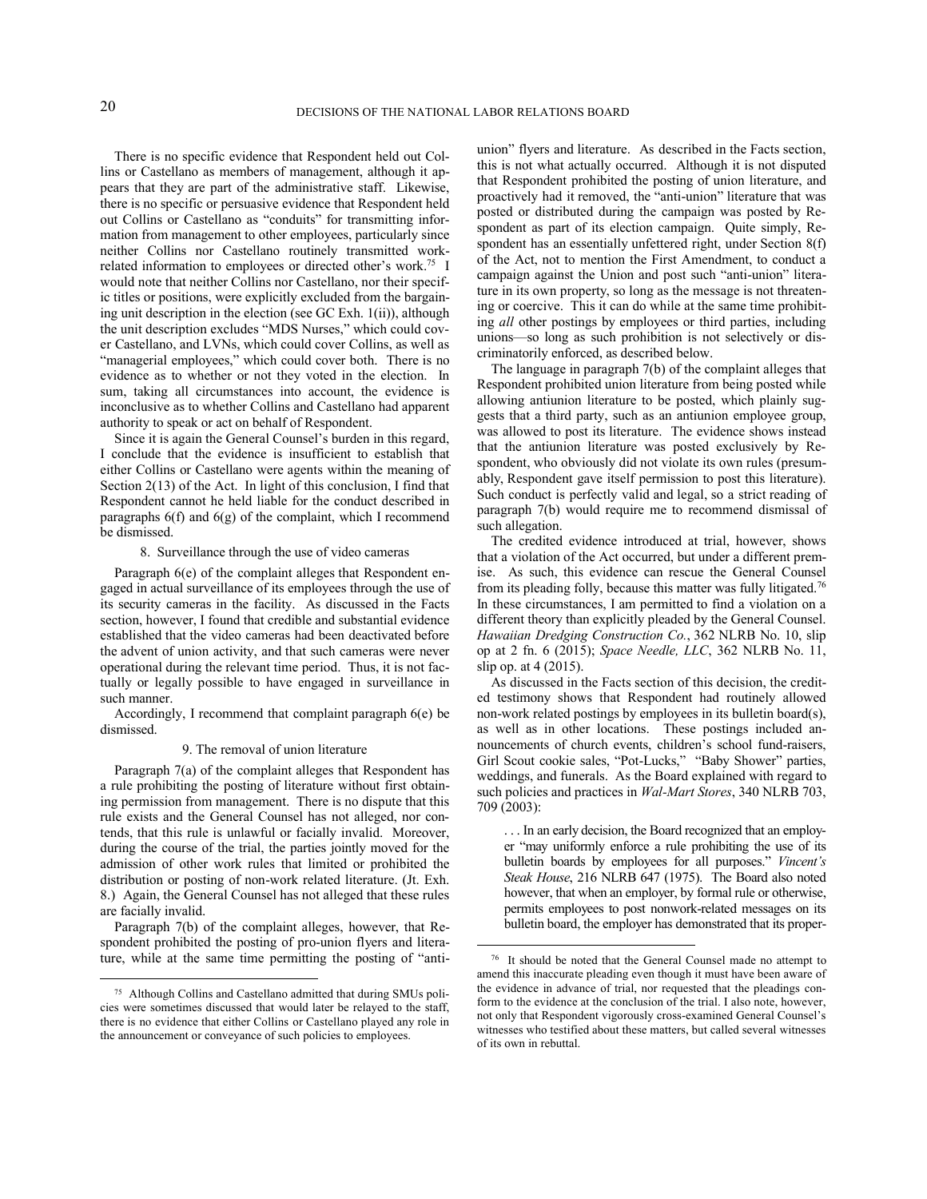There is no specific evidence that Respondent held out Collins or Castellano as members of management, although it appears that they are part of the administrative staff. Likewise, there is no specific or persuasive evidence that Respondent held out Collins or Castellano as "conduits" for transmitting information from management to other employees, particularly since neither Collins nor Castellano routinely transmitted workrelated information to employees or directed other's work.<sup>75</sup> I would note that neither Collins nor Castellano, nor their specific titles or positions, were explicitly excluded from the bargaining unit description in the election (see GC Exh. 1(ii)), although the unit description excludes "MDS Nurses," which could cover Castellano, and LVNs, which could cover Collins, as well as "managerial employees," which could cover both. There is no evidence as to whether or not they voted in the election. In sum, taking all circumstances into account, the evidence is inconclusive as to whether Collins and Castellano had apparent authority to speak or act on behalf of Respondent.

Since it is again the General Counsel's burden in this regard, I conclude that the evidence is insufficient to establish that either Collins or Castellano were agents within the meaning of Section 2(13) of the Act. In light of this conclusion, I find that Respondent cannot he held liable for the conduct described in paragraphs 6(f) and 6(g) of the complaint, which I recommend be dismissed.

#### 8. Surveillance through the use of video cameras

Paragraph 6(e) of the complaint alleges that Respondent engaged in actual surveillance of its employees through the use of its security cameras in the facility. As discussed in the Facts section, however, I found that credible and substantial evidence established that the video cameras had been deactivated before the advent of union activity, and that such cameras were never operational during the relevant time period. Thus, it is not factually or legally possible to have engaged in surveillance in such manner.

Accordingly, I recommend that complaint paragraph 6(e) be dismissed.

### 9. The removal of union literature

Paragraph 7(a) of the complaint alleges that Respondent has a rule prohibiting the posting of literature without first obtaining permission from management. There is no dispute that this rule exists and the General Counsel has not alleged, nor contends, that this rule is unlawful or facially invalid. Moreover, during the course of the trial, the parties jointly moved for the admission of other work rules that limited or prohibited the distribution or posting of non-work related literature. (Jt. Exh. 8.) Again, the General Counsel has not alleged that these rules are facially invalid.

Paragraph 7(b) of the complaint alleges, however, that Respondent prohibited the posting of pro-union flyers and literature, while at the same time permitting the posting of "anti-

 

union" flyers and literature. As described in the Facts section, this is not what actually occurred. Although it is not disputed that Respondent prohibited the posting of union literature, and proactively had it removed, the "anti-union" literature that was posted or distributed during the campaign was posted by Respondent as part of its election campaign. Ouite simply, Respondent has an essentially unfettered right, under Section 8(f) of the Act, not to mention the First Amendment, to conduct a campaign against the Union and post such "anti-union" literature in its own property, so long as the message is not threatening or coercive. This it can do while at the same time prohibiting *all* other postings by employees or third parties, including unions—so long as such prohibition is not selectively or discriminatorily enforced, as described below.

The language in paragraph 7(b) of the complaint alleges that Respondent prohibited union literature from being posted while allowing antiunion literature to be posted, which plainly suggests that a third party, such as an antiunion employee group, was allowed to post its literature. The evidence shows instead that the antiunion literature was posted exclusively by Respondent, who obviously did not violate its own rules (presumably, Respondent gave itself permission to post this literature). Such conduct is perfectly valid and legal, so a strict reading of paragraph 7(b) would require me to recommend dismissal of such allegation.

The credited evidence introduced at trial, however, shows that a violation of the Act occurred, but under a different premise. As such, this evidence can rescue the General Counsel from its pleading folly, because this matter was fully litigated.<sup>76</sup> In these circumstances, I am permitted to find a violation on a different theory than explicitly pleaded by the General Counsel. *Hawaiian Dredging Construction Co.*, 362 NLRB No. 10, slip op at 2 fn. 6 (2015); *Space Needle, LLC*, 362 NLRB No. 11, slip op. at 4 (2015).

As discussed in the Facts section of this decision, the credited testimony shows that Respondent had routinely allowed non-work related postings by employees in its bulletin board(s), as well as in other locations. These postings included announcements of church events, children's school fund-raisers, Girl Scout cookie sales, "Pot-Lucks," "Baby Shower" parties, weddings, and funerals. As the Board explained with regard to such policies and practices in *Wal-Mart Stores*, 340 NLRB 703, 709 (2003):

. . . In an early decision, the Board recognized that an employer "may uniformly enforce a rule prohibiting the use of its bulletin boards by employees for all purposes." *Vincent's Steak House*, 216 NLRB 647 (1975). The Board also noted however, that when an employer, by formal rule or otherwise, permits employees to post nonwork-related messages on its bulletin board, the employer has demonstrated that its proper-

<sup>75</sup> Although Collins and Castellano admitted that during SMUs policies were sometimes discussed that would later be relayed to the staff, there is no evidence that either Collins or Castellano played any role in the announcement or conveyance of such policies to employees.

<sup>76</sup> It should be noted that the General Counsel made no attempt to amend this inaccurate pleading even though it must have been aware of the evidence in advance of trial, nor requested that the pleadings conform to the evidence at the conclusion of the trial. I also note, however, not only that Respondent vigorously cross-examined General Counsel's witnesses who testified about these matters, but called several witnesses of its own in rebuttal.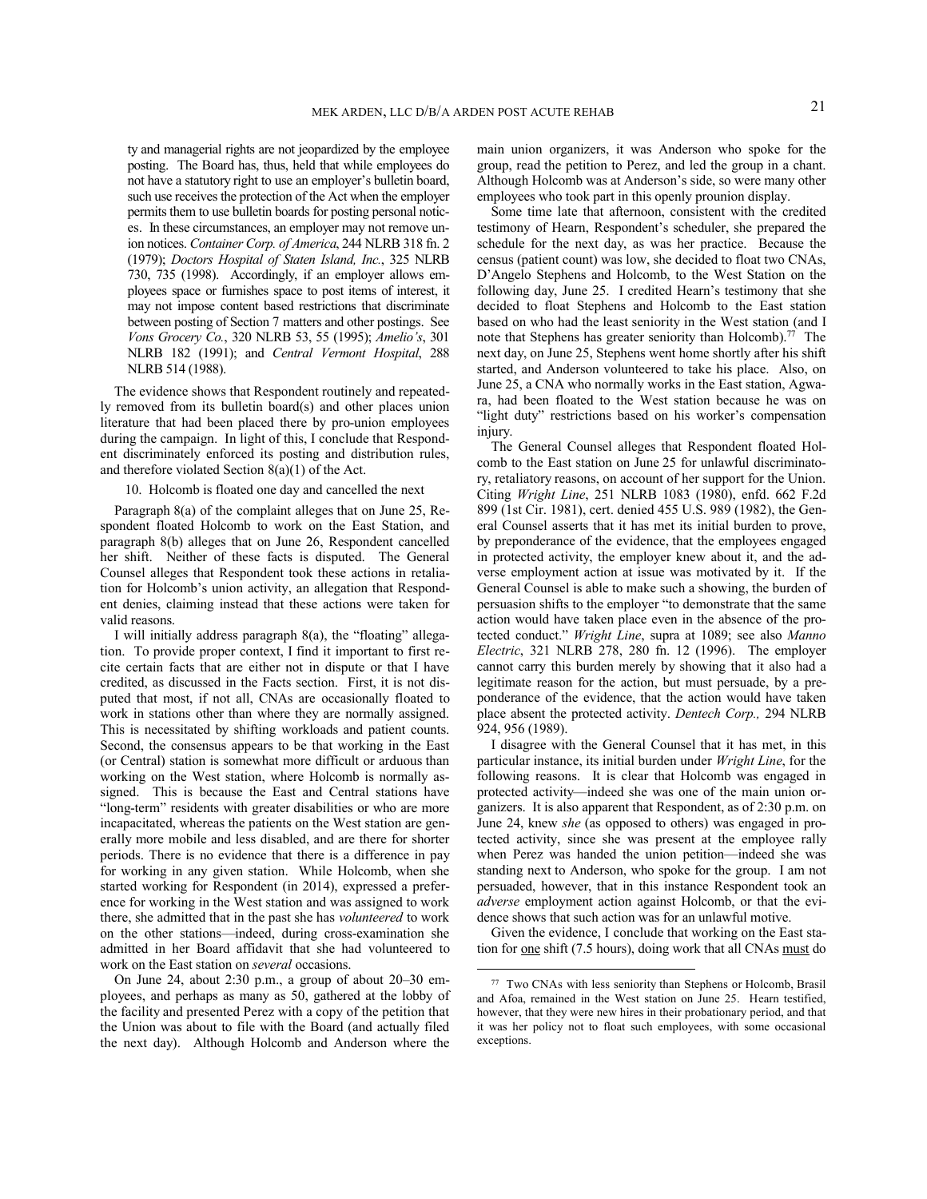ty and managerial rights are not jeopardized by the employee posting. The Board has, thus, held that while employees do not have a statutory right to use an employer's bulletin board, such use receives the protection of the Act when the employer permits them to use bulletin boards for posting personal notices. In these circumstances, an employer may not remove union notices. *Container Corp. of America*, 244 NLRB 318 fn. 2 (1979); *Doctors Hospital of Staten Island, Inc.*, 325 NLRB 730, 735 (1998). Accordingly, if an employer allows employees space or furnishes space to post items of interest, it may not impose content based restrictions that discriminate between posting of Section 7 matters and other postings. See *Vons Grocery Co.*, 320 NLRB 53, 55 (1995); *Amelio's*, 301 NLRB 182 (1991); and *Central Vermont Hospital*, 288 NLRB 514 (1988).

The evidence shows that Respondent routinely and repeatedly removed from its bulletin board(s) and other places union literature that had been placed there by pro-union employees during the campaign. In light of this, I conclude that Respondent discriminately enforced its posting and distribution rules, and therefore violated Section 8(a)(1) of the Act.

10. Holcomb is floated one day and cancelled the next

Paragraph 8(a) of the complaint alleges that on June 25, Respondent floated Holcomb to work on the East Station, and paragraph 8(b) alleges that on June 26, Respondent cancelled her shift. Neither of these facts is disputed. The General Counsel alleges that Respondent took these actions in retaliation for Holcomb's union activity, an allegation that Respondent denies, claiming instead that these actions were taken for valid reasons.

I will initially address paragraph 8(a), the "floating" allegation. To provide proper context, I find it important to first recite certain facts that are either not in dispute or that I have credited, as discussed in the Facts section. First, it is not disputed that most, if not all, CNAs are occasionally floated to work in stations other than where they are normally assigned. This is necessitated by shifting workloads and patient counts. Second, the consensus appears to be that working in the East (or Central) station is somewhat more difficult or arduous than working on the West station, where Holcomb is normally assigned. This is because the East and Central stations have "long-term" residents with greater disabilities or who are more incapacitated, whereas the patients on the West station are generally more mobile and less disabled, and are there for shorter periods. There is no evidence that there is a difference in pay for working in any given station. While Holcomb, when she started working for Respondent (in 2014), expressed a preference for working in the West station and was assigned to work there, she admitted that in the past she has *volunteered* to work on the other stations—indeed, during cross-examination she admitted in her Board affidavit that she had volunteered to work on the East station on *several* occasions.

On June 24, about 2:30 p.m., a group of about 20–30 employees, and perhaps as many as 50, gathered at the lobby of the facility and presented Perez with a copy of the petition that the Union was about to file with the Board (and actually filed the next day). Although Holcomb and Anderson where the main union organizers, it was Anderson who spoke for the group, read the petition to Perez, and led the group in a chant. Although Holcomb was at Anderson's side, so were many other employees who took part in this openly prounion display.

Some time late that afternoon, consistent with the credited testimony of Hearn, Respondent's scheduler, she prepared the schedule for the next day, as was her practice. Because the census (patient count) was low, she decided to float two CNAs, D'Angelo Stephens and Holcomb, to the West Station on the following day, June 25. I credited Hearn's testimony that she decided to float Stephens and Holcomb to the East station based on who had the least seniority in the West station (and I note that Stephens has greater seniority than Holcomb).<sup>77</sup> The next day, on June 25, Stephens went home shortly after his shift started, and Anderson volunteered to take his place. Also, on June 25, a CNA who normally works in the East station, Agwara, had been floated to the West station because he was on "light duty" restrictions based on his worker's compensation injury.

The General Counsel alleges that Respondent floated Holcomb to the East station on June 25 for unlawful discriminatory, retaliatory reasons, on account of her support for the Union. Citing *Wright Line*, 251 NLRB 1083 (1980), enfd. 662 F.2d 899 (1st Cir. 1981), cert. denied 455 U.S. 989 (1982), the General Counsel asserts that it has met its initial burden to prove, by preponderance of the evidence, that the employees engaged in protected activity, the employer knew about it, and the adverse employment action at issue was motivated by it. If the General Counsel is able to make such a showing, the burden of persuasion shifts to the employer "to demonstrate that the same action would have taken place even in the absence of the protected conduct." *Wright Line*, supra at 1089; see also *Manno Electric*, 321 NLRB 278, 280 fn. 12 (1996). The employer cannot carry this burden merely by showing that it also had a legitimate reason for the action, but must persuade, by a preponderance of the evidence, that the action would have taken place absent the protected activity. *Dentech Corp.,* 294 NLRB 924, 956 (1989).

I disagree with the General Counsel that it has met, in this particular instance, its initial burden under *Wright Line*, for the following reasons. It is clear that Holcomb was engaged in protected activity—indeed she was one of the main union organizers. It is also apparent that Respondent, as of 2:30 p.m. on June 24, knew *she* (as opposed to others) was engaged in protected activity, since she was present at the employee rally when Perez was handed the union petition—indeed she was standing next to Anderson, who spoke for the group. I am not persuaded, however, that in this instance Respondent took an *adverse* employment action against Holcomb, or that the evidence shows that such action was for an unlawful motive.

Given the evidence, I conclude that working on the East station for one shift (7.5 hours), doing work that all CNAs must do

<sup>77</sup> Two CNAs with less seniority than Stephens or Holcomb, Brasil and Afoa, remained in the West station on June 25. Hearn testified, however, that they were new hires in their probationary period, and that it was her policy not to float such employees, with some occasional exceptions.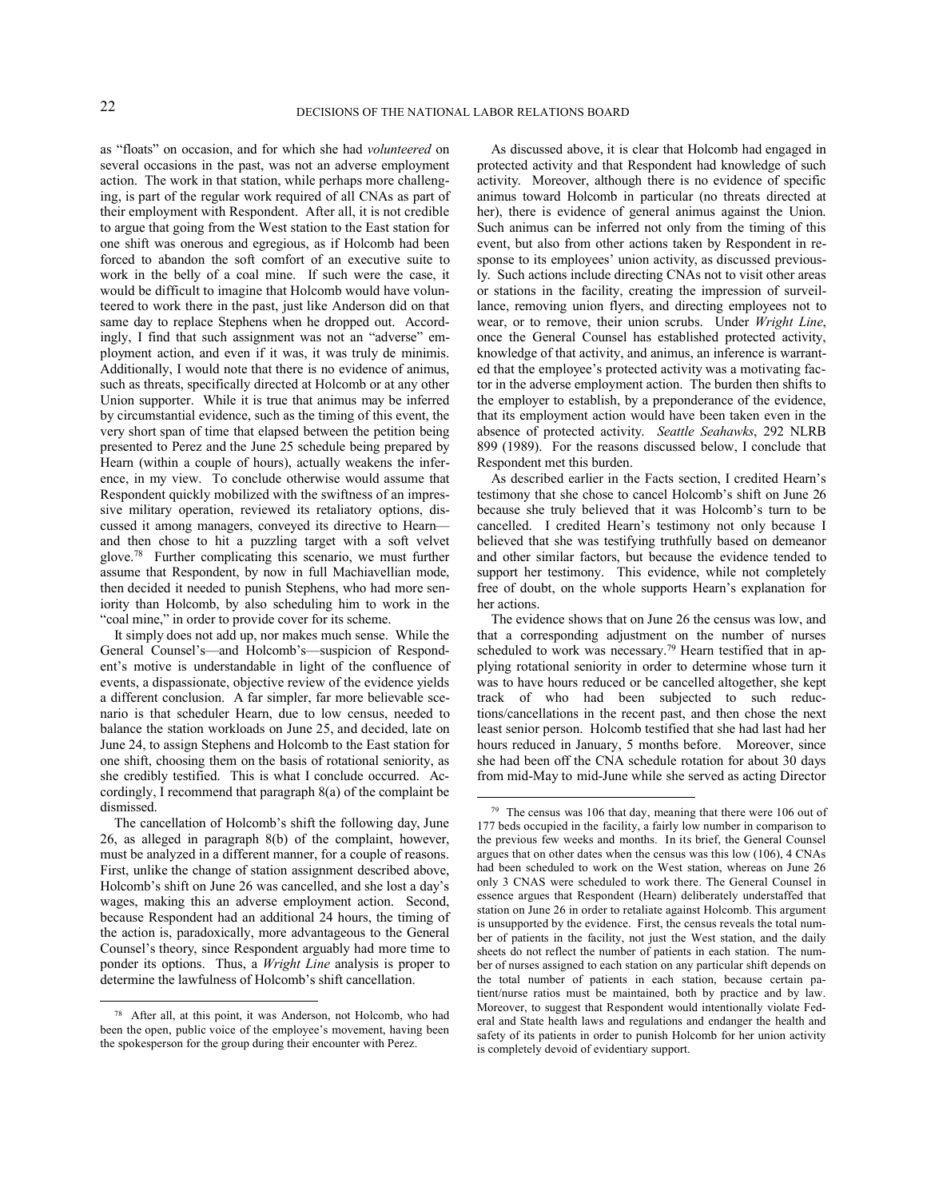as "floats" on occasion, and for which she had *volunteered* on several occasions in the past, was not an adverse employment action. The work in that station, while perhaps more challenging, is part of the regular work required of all CNAs as part of their employment with Respondent. After all, it is not credible to argue that going from the West station to the East station for one shift was onerous and egregious, as if Holcomb had been forced to abandon the soft comfort of an executive suite to work in the belly of a coal mine. If such were the case, it would be difficult to imagine that Holcomb would have volunteered to work there in the past, just like Anderson did on that same day to replace Stephens when he dropped out. Accordingly, I find that such assignment was not an "adverse" employment action, and even if it was, it was truly de minimis. Additionally, I would note that there is no evidence of animus, such as threats, specifically directed at Holcomb or at any other Union supporter. While it is true that animus may be inferred by circumstantial evidence, such as the timing of this event, the very short span of time that elapsed between the petition being presented to Perez and the June 25 schedule being prepared by Hearn (within a couple of hours), actually weakens the inference, in my view. To conclude otherwise would assume that Respondent quickly mobilized with the swiftness of an impressive military operation, reviewed its retaliatory options, discussed it among managers, conveyed its directive to Hearn and then chose to hit a puzzling target with a soft velvet glove.<sup>78</sup> Further complicating this scenario, we must further assume that Respondent, by now in full Machiavellian mode, then decided it needed to punish Stephens, who had more seniority than Holcomb, by also scheduling him to work in the "coal mine," in order to provide cover for its scheme.

It simply does not add up, nor makes much sense. While the General Counsel's—and Holcomb's—suspicion of Respondent's motive is understandable in light of the confluence of events, a dispassionate, objective review of the evidence yields a different conclusion. A far simpler, far more believable scenario is that scheduler Hearn, due to low census, needed to balance the station workloads on June 25, and decided, late on June 24, to assign Stephens and Holcomb to the East station for one shift, choosing them on the basis of rotational seniority, as she credibly testified. This is what I conclude occurred. Accordingly, I recommend that paragraph 8(a) of the complaint be dismissed.

The cancellation of Holcomb's shift the following day, June 26, as alleged in paragraph 8(b) of the complaint, however, must be analyzed in a different manner, for a couple of reasons. First, unlike the change of station assignment described above, Holcomb's shift on June 26 was cancelled, and she lost a day's wages, making this an adverse employment action. Second, because Respondent had an additional 24 hours, the timing of the action is, paradoxically, more advantageous to the General Counsel's theory, since Respondent arguably had more time to ponder its options. Thus, a *Wright Line* analysis is proper to determine the lawfulness of Holcomb's shift cancellation.

 

As discussed above, it is clear that Holcomb had engaged in protected activity and that Respondent had knowledge of such activity. Moreover, although there is no evidence of specific animus toward Holcomb in particular (no threats directed at her), there is evidence of general animus against the Union. Such animus can be inferred not only from the timing of this event, but also from other actions taken by Respondent in response to its employees' union activity, as discussed previously. Such actions include directing CNAs not to visit other areas or stations in the facility, creating the impression of surveillance, removing union flyers, and directing employees not to wear, or to remove, their union scrubs. Under *Wright Line*, once the General Counsel has established protected activity, knowledge of that activity, and animus, an inference is warranted that the employee's protected activity was a motivating factor in the adverse employment action. The burden then shifts to the employer to establish, by a preponderance of the evidence, that its employment action would have been taken even in the absence of protected activity. *Seattle Seahawks*, 292 NLRB 899 (1989). For the reasons discussed below, I conclude that Respondent met this burden.

As described earlier in the Facts section, I credited Hearn's testimony that she chose to cancel Holcomb's shift on June 26 because she truly believed that it was Holcomb's turn to be cancelled. I credited Hearn's testimony not only because I believed that she was testifying truthfully based on demeanor and other similar factors, but because the evidence tended to support her testimony. This evidence, while not completely free of doubt, on the whole supports Hearn's explanation for her actions.

The evidence shows that on June 26 the census was low, and that a corresponding adjustment on the number of nurses scheduled to work was necessary.<sup>79</sup> Hearn testified that in applying rotational seniority in order to determine whose turn it was to have hours reduced or be cancelled altogether, she kept track of who had been subjected to such reductions/cancellations in the recent past, and then chose the next least senior person. Holcomb testified that she had last had her hours reduced in January, 5 months before. Moreover, since she had been off the CNA schedule rotation for about 30 days from mid-May to mid-June while she served as acting Director

<sup>78</sup> After all, at this point, it was Anderson, not Holcomb, who had been the open, public voice of the employee's movement, having been the spokesperson for the group during their encounter with Perez.

<sup>79</sup> The census was 106 that day, meaning that there were 106 out of 177 beds occupied in the facility, a fairly low number in comparison to the previous few weeks and months. In its brief, the General Counsel argues that on other dates when the census was this low (106), 4 CNAs had been scheduled to work on the West station, whereas on June 26 only 3 CNAS were scheduled to work there. The General Counsel in essence argues that Respondent (Hearn) deliberately understaffed that station on June 26 in order to retaliate against Holcomb. This argument is unsupported by the evidence. First, the census reveals the total number of patients in the facility, not just the West station, and the daily sheets do not reflect the number of patients in each station. The number of nurses assigned to each station on any particular shift depends on the total number of patients in each station, because certain patient/nurse ratios must be maintained, both by practice and by law. Moreover, to suggest that Respondent would intentionally violate Federal and State health laws and regulations and endanger the health and safety of its patients in order to punish Holcomb for her union activity is completely devoid of evidentiary support.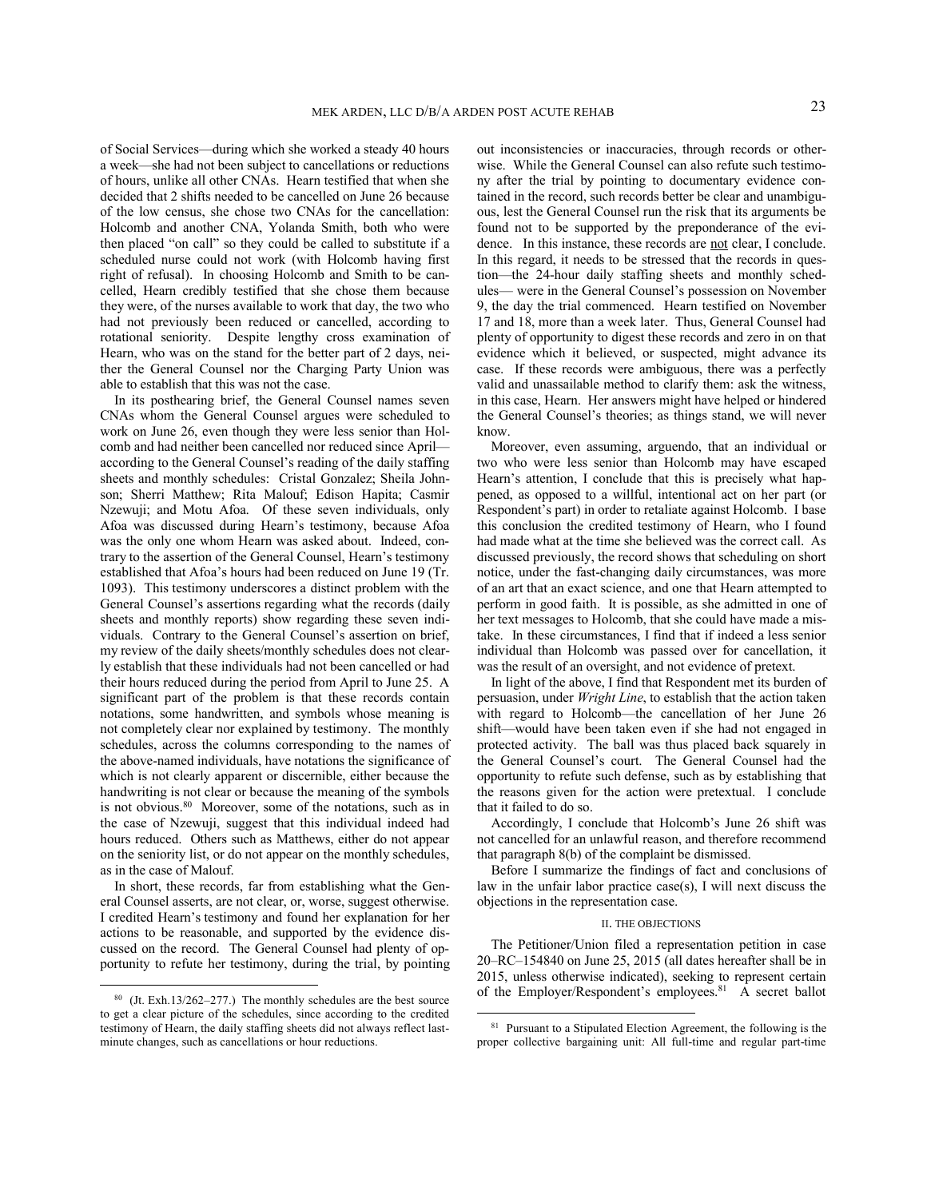of Social Services—during which she worked a steady 40 hours a week—she had not been subject to cancellations or reductions of hours, unlike all other CNAs. Hearn testified that when she decided that 2 shifts needed to be cancelled on June 26 because of the low census, she chose two CNAs for the cancellation: Holcomb and another CNA, Yolanda Smith, both who were then placed "on call" so they could be called to substitute if a scheduled nurse could not work (with Holcomb having first right of refusal). In choosing Holcomb and Smith to be cancelled, Hearn credibly testified that she chose them because they were, of the nurses available to work that day, the two who had not previously been reduced or cancelled, according to rotational seniority. Despite lengthy cross examination of Hearn, who was on the stand for the better part of 2 days, neither the General Counsel nor the Charging Party Union was able to establish that this was not the case.

In its posthearing brief, the General Counsel names seven CNAs whom the General Counsel argues were scheduled to work on June 26, even though they were less senior than Holcomb and had neither been cancelled nor reduced since April according to the General Counsel's reading of the daily staffing sheets and monthly schedules: Cristal Gonzalez; Sheila Johnson; Sherri Matthew; Rita Malouf; Edison Hapita; Casmir Nzewuji; and Motu Afoa. Of these seven individuals, only Afoa was discussed during Hearn's testimony, because Afoa was the only one whom Hearn was asked about. Indeed, contrary to the assertion of the General Counsel, Hearn's testimony established that Afoa's hours had been reduced on June 19 (Tr. 1093). This testimony underscores a distinct problem with the General Counsel's assertions regarding what the records (daily sheets and monthly reports) show regarding these seven individuals. Contrary to the General Counsel's assertion on brief, my review of the daily sheets/monthly schedules does not clearly establish that these individuals had not been cancelled or had their hours reduced during the period from April to June 25. A significant part of the problem is that these records contain notations, some handwritten, and symbols whose meaning is not completely clear nor explained by testimony. The monthly schedules, across the columns corresponding to the names of the above-named individuals, have notations the significance of which is not clearly apparent or discernible, either because the handwriting is not clear or because the meaning of the symbols is not obvious.<sup>80</sup> Moreover, some of the notations, such as in the case of Nzewuji, suggest that this individual indeed had hours reduced. Others such as Matthews, either do not appear on the seniority list, or do not appear on the monthly schedules, as in the case of Malouf.

In short, these records, far from establishing what the General Counsel asserts, are not clear, or, worse, suggest otherwise. I credited Hearn's testimony and found her explanation for her actions to be reasonable, and supported by the evidence discussed on the record. The General Counsel had plenty of opportunity to refute her testimony, during the trial, by pointing

 

out inconsistencies or inaccuracies, through records or otherwise. While the General Counsel can also refute such testimony after the trial by pointing to documentary evidence contained in the record, such records better be clear and unambiguous, lest the General Counsel run the risk that its arguments be found not to be supported by the preponderance of the evidence. In this instance, these records are not clear, I conclude. In this regard, it needs to be stressed that the records in question—the 24-hour daily staffing sheets and monthly schedules— were in the General Counsel's possession on November 9, the day the trial commenced. Hearn testified on November 17 and 18, more than a week later. Thus, General Counsel had plenty of opportunity to digest these records and zero in on that evidence which it believed, or suspected, might advance its case. If these records were ambiguous, there was a perfectly valid and unassailable method to clarify them: ask the witness, in this case, Hearn. Her answers might have helped or hindered the General Counsel's theories; as things stand, we will never know.

Moreover, even assuming, arguendo, that an individual or two who were less senior than Holcomb may have escaped Hearn's attention, I conclude that this is precisely what happened, as opposed to a willful, intentional act on her part (or Respondent's part) in order to retaliate against Holcomb. I base this conclusion the credited testimony of Hearn, who I found had made what at the time she believed was the correct call. As discussed previously, the record shows that scheduling on short notice, under the fast-changing daily circumstances, was more of an art that an exact science, and one that Hearn attempted to perform in good faith. It is possible, as she admitted in one of her text messages to Holcomb, that she could have made a mistake. In these circumstances, I find that if indeed a less senior individual than Holcomb was passed over for cancellation, it was the result of an oversight, and not evidence of pretext.

In light of the above, I find that Respondent met its burden of persuasion, under *Wright Line*, to establish that the action taken with regard to Holcomb—the cancellation of her June 26 shift—would have been taken even if she had not engaged in protected activity. The ball was thus placed back squarely in the General Counsel's court. The General Counsel had the opportunity to refute such defense, such as by establishing that the reasons given for the action were pretextual. I conclude that it failed to do so.

Accordingly, I conclude that Holcomb's June 26 shift was not cancelled for an unlawful reason, and therefore recommend that paragraph 8(b) of the complaint be dismissed.

Before I summarize the findings of fact and conclusions of law in the unfair labor practice case(s), I will next discuss the objections in the representation case.

#### II. THE OBJECTIONS

The Petitioner/Union filed a representation petition in case 20–RC–154840 on June 25, 2015 (all dates hereafter shall be in 2015, unless otherwise indicated), seeking to represent certain of the Employer/Respondent's employees.<sup>81</sup> A secret ballot

<sup>80</sup> (Jt. Exh.13/262–277.) The monthly schedules are the best source to get a clear picture of the schedules, since according to the credited testimony of Hearn, the daily staffing sheets did not always reflect lastminute changes, such as cancellations or hour reductions.

<sup>&</sup>lt;sup>81</sup> Pursuant to a Stipulated Election Agreement, the following is the proper collective bargaining unit: All full-time and regular part-time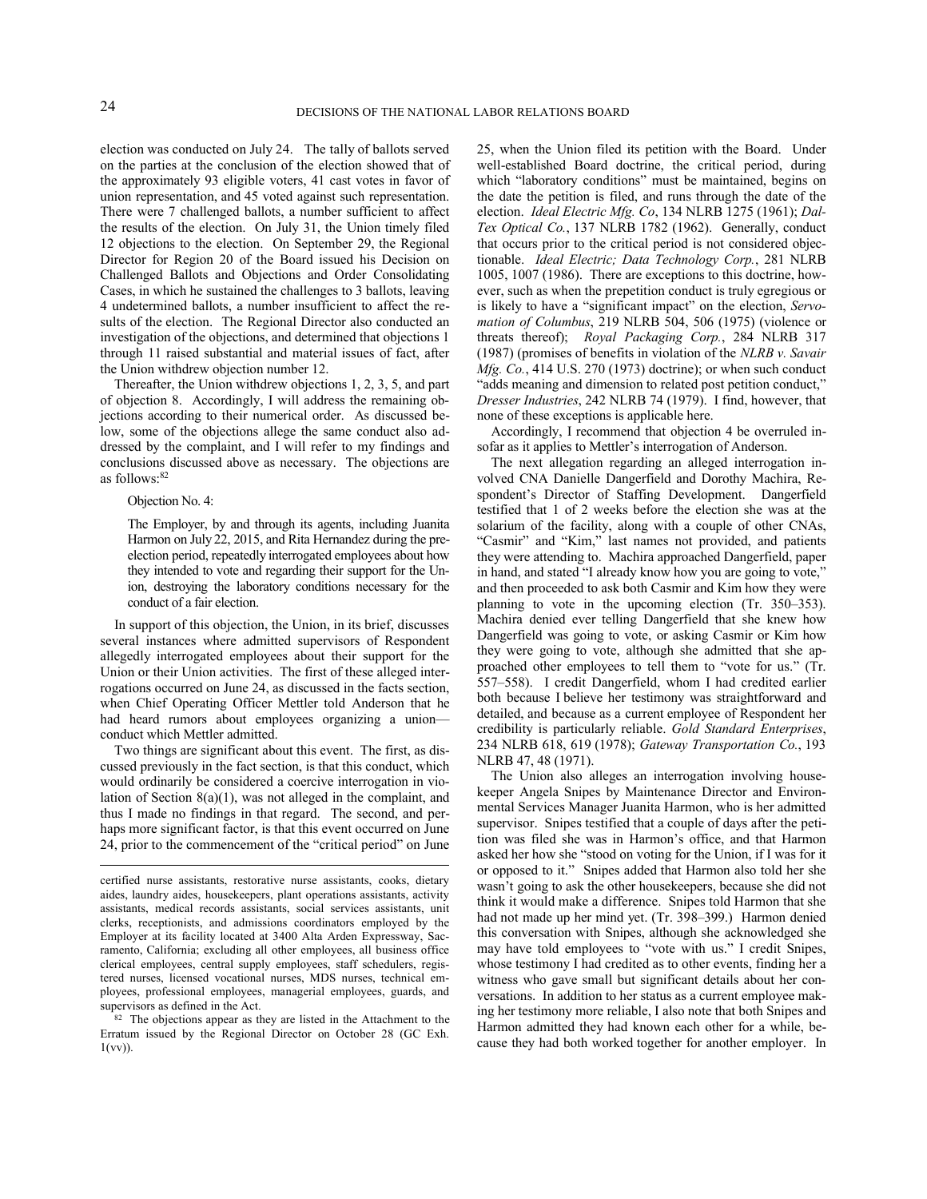election was conducted on July 24. The tally of ballots served on the parties at the conclusion of the election showed that of the approximately 93 eligible voters, 41 cast votes in favor of union representation, and 45 voted against such representation. There were 7 challenged ballots, a number sufficient to affect the results of the election. On July 31, the Union timely filed 12 objections to the election. On September 29, the Regional Director for Region 20 of the Board issued his Decision on Challenged Ballots and Objections and Order Consolidating Cases, in which he sustained the challenges to 3 ballots, leaving 4 undetermined ballots, a number insufficient to affect the results of the election. The Regional Director also conducted an investigation of the objections, and determined that objections 1 through 11 raised substantial and material issues of fact, after the Union withdrew objection number 12.

Thereafter, the Union withdrew objections 1, 2, 3, 5, and part of objection 8. Accordingly, I will address the remaining objections according to their numerical order. As discussed below, some of the objections allege the same conduct also addressed by the complaint, and I will refer to my findings and conclusions discussed above as necessary. The objections are as follows:82

# Objection No. 4:

The Employer, by and through its agents, including Juanita Harmon on July 22, 2015, and Rita Hernandez during the preelection period, repeatedly interrogated employees about how they intended to vote and regarding their support for the Union, destroying the laboratory conditions necessary for the conduct of a fair election.

In support of this objection, the Union, in its brief, discusses several instances where admitted supervisors of Respondent allegedly interrogated employees about their support for the Union or their Union activities. The first of these alleged interrogations occurred on June 24, as discussed in the facts section, when Chief Operating Officer Mettler told Anderson that he had heard rumors about employees organizing a union conduct which Mettler admitted.

Two things are significant about this event. The first, as discussed previously in the fact section, is that this conduct, which would ordinarily be considered a coercive interrogation in violation of Section 8(a)(1), was not alleged in the complaint, and thus I made no findings in that regard. The second, and perhaps more significant factor, is that this event occurred on June 24, prior to the commencement of the "critical period" on June

<u> 1989 - Jan Samuel Barbara, político establecido en la contrada de la contrada de la contrada de la contrada d</u>

<sup>82</sup> The objections appear as they are listed in the Attachment to the Erratum issued by the Regional Director on October 28 (GC Exh. 1(vv)).

25, when the Union filed its petition with the Board. Under well-established Board doctrine, the critical period, during which "laboratory conditions" must be maintained, begins on the date the petition is filed, and runs through the date of the election. *Ideal Electric Mfg. Co*, 134 NLRB 1275 (1961); *Dal-Tex Optical Co.*, 137 NLRB 1782 (1962). Generally, conduct that occurs prior to the critical period is not considered objectionable. *Ideal Electric; Data Technology Corp.*, 281 NLRB 1005, 1007 (1986). There are exceptions to this doctrine, however, such as when the prepetition conduct is truly egregious or is likely to have a "significant impact" on the election, *Servomation of Columbus*, 219 NLRB 504, 506 (1975) (violence or threats thereof); *Royal Packaging Corp.*, 284 NLRB 317 (1987) (promises of benefits in violation of the *NLRB v. Savair Mfg. Co.*, 414 U.S. 270 (1973) doctrine); or when such conduct "adds meaning and dimension to related post petition conduct," *Dresser Industries*, 242 NLRB 74 (1979). I find, however, that none of these exceptions is applicable here.

Accordingly, I recommend that objection 4 be overruled insofar as it applies to Mettler's interrogation of Anderson.

The next allegation regarding an alleged interrogation involved CNA Danielle Dangerfield and Dorothy Machira, Respondent's Director of Staffing Development. Dangerfield testified that 1 of 2 weeks before the election she was at the solarium of the facility, along with a couple of other CNAs, "Casmir" and "Kim," last names not provided, and patients they were attending to. Machira approached Dangerfield, paper in hand, and stated "I already know how you are going to vote," and then proceeded to ask both Casmir and Kim how they were planning to vote in the upcoming election (Tr. 350–353). Machira denied ever telling Dangerfield that she knew how Dangerfield was going to vote, or asking Casmir or Kim how they were going to vote, although she admitted that she approached other employees to tell them to "vote for us." (Tr. 557–558). I credit Dangerfield, whom I had credited earlier both because I believe her testimony was straightforward and detailed, and because as a current employee of Respondent her credibility is particularly reliable. *Gold Standard Enterprises*, 234 NLRB 618, 619 (1978); *Gateway Transportation Co.*, 193 NLRB 47, 48 (1971).

The Union also alleges an interrogation involving housekeeper Angela Snipes by Maintenance Director and Environmental Services Manager Juanita Harmon, who is her admitted supervisor. Snipes testified that a couple of days after the petition was filed she was in Harmon's office, and that Harmon asked her how she "stood on voting for the Union, if I was for it or opposed to it." Snipes added that Harmon also told her she wasn't going to ask the other housekeepers, because she did not think it would make a difference. Snipes told Harmon that she had not made up her mind yet. (Tr. 398–399.) Harmon denied this conversation with Snipes, although she acknowledged she may have told employees to "vote with us." I credit Snipes, whose testimony I had credited as to other events, finding her a witness who gave small but significant details about her conversations. In addition to her status as a current employee making her testimony more reliable, I also note that both Snipes and Harmon admitted they had known each other for a while, because they had both worked together for another employer. In

certified nurse assistants, restorative nurse assistants, cooks, dietary aides, laundry aides, housekeepers, plant operations assistants, activity assistants, medical records assistants, social services assistants, unit clerks, receptionists, and admissions coordinators employed by the Employer at its facility located at 3400 Alta Arden Expressway, Sacramento, California; excluding all other employees, all business office clerical employees, central supply employees, staff schedulers, registered nurses, licensed vocational nurses, MDS nurses, technical employees, professional employees, managerial employees, guards, and supervisors as defined in the Act.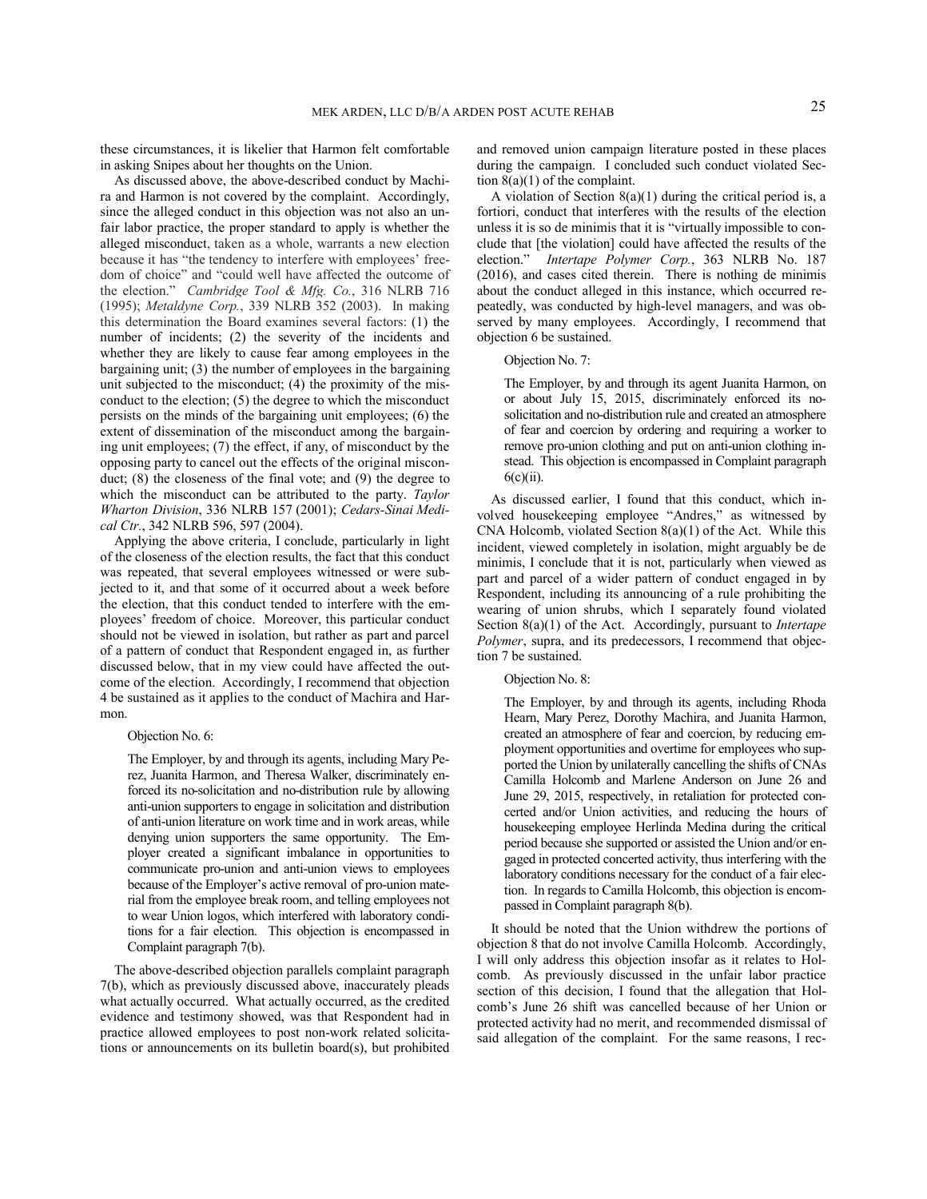these circumstances, it is likelier that Harmon felt comfortable in asking Snipes about her thoughts on the Union.

As discussed above, the above-described conduct by Machira and Harmon is not covered by the complaint. Accordingly, since the alleged conduct in this objection was not also an unfair labor practice, the proper standard to apply is whether the alleged misconduct, taken as a whole, warrants a new election because it has "the tendency to interfere with employees' freedom of choice" and "could well have affected the outcome of the election." *Cambridge Tool & Mfg. Co.*, 316 NLRB 716 (1995); *Metaldyne Corp.*, 339 NLRB 352 (2003). In making this determination the Board examines several factors: (1) the number of incidents; (2) the severity of the incidents and whether they are likely to cause fear among employees in the bargaining unit; (3) the number of employees in the bargaining unit subjected to the misconduct; (4) the proximity of the misconduct to the election; (5) the degree to which the misconduct persists on the minds of the bargaining unit employees; (6) the extent of dissemination of the misconduct among the bargaining unit employees; (7) the effect, if any, of misconduct by the opposing party to cancel out the effects of the original misconduct; (8) the closeness of the final vote; and (9) the degree to which the misconduct can be attributed to the party. *Taylor Wharton Division*, 336 NLRB 157 (2001); *Cedars-Sinai Medical Ctr.*, 342 NLRB 596, 597 (2004).

Applying the above criteria, I conclude, particularly in light of the closeness of the election results, the fact that this conduct was repeated, that several employees witnessed or were subjected to it, and that some of it occurred about a week before the election, that this conduct tended to interfere with the employees' freedom of choice. Moreover, this particular conduct should not be viewed in isolation, but rather as part and parcel of a pattern of conduct that Respondent engaged in, as further discussed below, that in my view could have affected the outcome of the election. Accordingly, I recommend that objection 4 be sustained as it applies to the conduct of Machira and Harmon.

#### Objection No. 6:

The Employer, by and through its agents, including Mary Perez, Juanita Harmon, and Theresa Walker, discriminately enforced its no-solicitation and no-distribution rule by allowing anti-union supporters to engage in solicitation and distribution of anti-union literature on work time and in work areas, while denying union supporters the same opportunity. The Employer created a significant imbalance in opportunities to communicate pro-union and anti-union views to employees because of the Employer's active removal of pro-union material from the employee break room, and telling employees not to wear Union logos, which interfered with laboratory conditions for a fair election. This objection is encompassed in Complaint paragraph 7(b).

The above-described objection parallels complaint paragraph 7(b), which as previously discussed above, inaccurately pleads what actually occurred. What actually occurred, as the credited evidence and testimony showed, was that Respondent had in practice allowed employees to post non-work related solicitations or announcements on its bulletin board(s), but prohibited

and removed union campaign literature posted in these places during the campaign. I concluded such conduct violated Section  $8(a)(1)$  of the complaint.

A violation of Section 8(a)(1) during the critical period is, a fortiori, conduct that interferes with the results of the election unless it is so de minimis that it is "virtually impossible to conclude that [the violation] could have affected the results of the election." *Intertape Polymer Corp.*, 363 NLRB No. 187 (2016), and cases cited therein. There is nothing de minimis about the conduct alleged in this instance, which occurred repeatedly, was conducted by high-level managers, and was observed by many employees. Accordingly, I recommend that objection 6 be sustained.

# Objection No. 7:

The Employer, by and through its agent Juanita Harmon, on or about July 15, 2015, discriminately enforced its nosolicitation and no-distribution rule and created an atmosphere of fear and coercion by ordering and requiring a worker to remove pro-union clothing and put on anti-union clothing instead. This objection is encompassed in Complaint paragraph 6(c)(ii).

As discussed earlier, I found that this conduct, which involved housekeeping employee "Andres," as witnessed by CNA Holcomb, violated Section 8(a)(1) of the Act. While this incident, viewed completely in isolation, might arguably be de minimis, I conclude that it is not, particularly when viewed as part and parcel of a wider pattern of conduct engaged in by Respondent, including its announcing of a rule prohibiting the wearing of union shrubs, which I separately found violated Section 8(a)(1) of the Act. Accordingly, pursuant to *Intertape Polymer*, supra, and its predecessors, I recommend that objection 7 be sustained.

#### Objection No. 8:

The Employer, by and through its agents, including Rhoda Hearn, Mary Perez, Dorothy Machira, and Juanita Harmon, created an atmosphere of fear and coercion, by reducing employment opportunities and overtime for employees who supported the Union by unilaterally cancelling the shifts of CNAs Camilla Holcomb and Marlene Anderson on June 26 and June 29, 2015, respectively, in retaliation for protected concerted and/or Union activities, and reducing the hours of housekeeping employee Herlinda Medina during the critical period because she supported or assisted the Union and/or engaged in protected concerted activity, thus interfering with the laboratory conditions necessary for the conduct of a fair election. In regards to Camilla Holcomb, this objection is encompassed in Complaint paragraph 8(b).

It should be noted that the Union withdrew the portions of objection 8 that do not involve Camilla Holcomb. Accordingly, I will only address this objection insofar as it relates to Holcomb. As previously discussed in the unfair labor practice section of this decision, I found that the allegation that Holcomb's June 26 shift was cancelled because of her Union or protected activity had no merit, and recommended dismissal of said allegation of the complaint. For the same reasons, I rec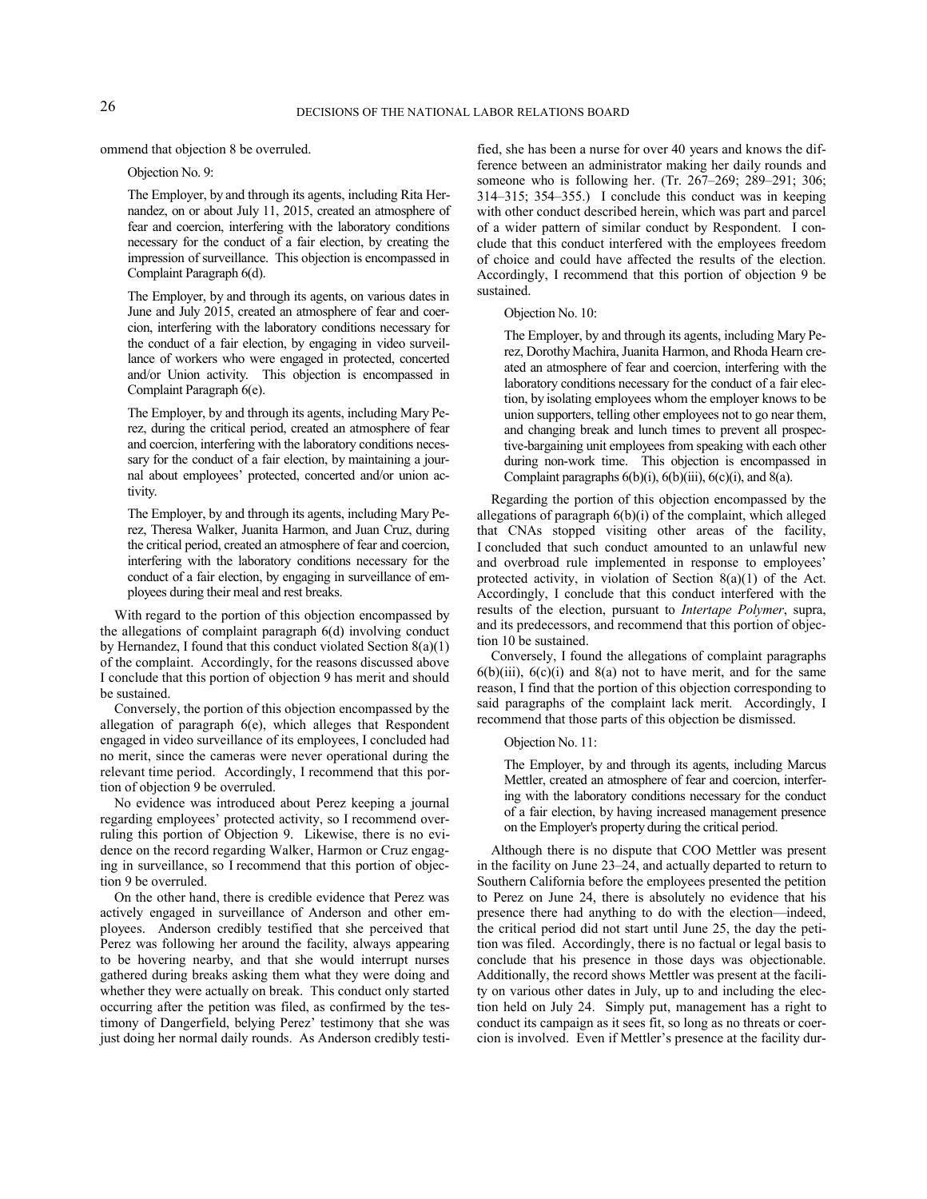ommend that objection 8 be overruled.

Objection No. 9:

The Employer, by and through its agents, including Rita Hernandez, on or about July 11, 2015, created an atmosphere of fear and coercion, interfering with the laboratory conditions necessary for the conduct of a fair election, by creating the impression of surveillance. This objection is encompassed in Complaint Paragraph 6(d).

The Employer, by and through its agents, on various dates in June and July 2015, created an atmosphere of fear and coercion, interfering with the laboratory conditions necessary for the conduct of a fair election, by engaging in video surveillance of workers who were engaged in protected, concerted and/or Union activity. This objection is encompassed in Complaint Paragraph 6(e).

The Employer, by and through its agents, including Mary Perez, during the critical period, created an atmosphere of fear and coercion, interfering with the laboratory conditions necessary for the conduct of a fair election, by maintaining a journal about employees' protected, concerted and/or union activity.

The Employer, by and through its agents, including Mary Perez, Theresa Walker, Juanita Harmon, and Juan Cruz, during the critical period, created an atmosphere of fear and coercion, interfering with the laboratory conditions necessary for the conduct of a fair election, by engaging in surveillance of employees during their meal and rest breaks.

With regard to the portion of this objection encompassed by the allegations of complaint paragraph 6(d) involving conduct by Hernandez, I found that this conduct violated Section 8(a)(1) of the complaint. Accordingly, for the reasons discussed above I conclude that this portion of objection 9 has merit and should be sustained.

Conversely, the portion of this objection encompassed by the allegation of paragraph 6(e), which alleges that Respondent engaged in video surveillance of its employees, I concluded had no merit, since the cameras were never operational during the relevant time period. Accordingly, I recommend that this portion of objection 9 be overruled.

No evidence was introduced about Perez keeping a journal regarding employees' protected activity, so I recommend overruling this portion of Objection 9. Likewise, there is no evidence on the record regarding Walker, Harmon or Cruz engaging in surveillance, so I recommend that this portion of objection 9 be overruled.

On the other hand, there is credible evidence that Perez was actively engaged in surveillance of Anderson and other employees. Anderson credibly testified that she perceived that Perez was following her around the facility, always appearing to be hovering nearby, and that she would interrupt nurses gathered during breaks asking them what they were doing and whether they were actually on break. This conduct only started occurring after the petition was filed, as confirmed by the testimony of Dangerfield, belying Perez' testimony that she was just doing her normal daily rounds. As Anderson credibly testified, she has been a nurse for over 40 years and knows the difference between an administrator making her daily rounds and someone who is following her. (Tr. 267–269; 289–291; 306; 314–315; 354–355.) I conclude this conduct was in keeping with other conduct described herein, which was part and parcel of a wider pattern of similar conduct by Respondent. I conclude that this conduct interfered with the employees freedom of choice and could have affected the results of the election. Accordingly, I recommend that this portion of objection 9 be sustained.

#### Objection No. 10:

The Employer, by and through its agents, including Mary Perez, Dorothy Machira, Juanita Harmon, and Rhoda Hearn created an atmosphere of fear and coercion, interfering with the laboratory conditions necessary for the conduct of a fair election, by isolating employees whom the employer knows to be union supporters, telling other employees not to go near them, and changing break and lunch times to prevent all prospective-bargaining unit employees from speaking with each other during non-work time. This objection is encompassed in Complaint paragraphs  $6(b)(i)$ ,  $6(b)(iii)$ ,  $6(c)(i)$ , and  $8(a)$ .

Regarding the portion of this objection encompassed by the allegations of paragraph 6(b)(i) of the complaint, which alleged that CNAs stopped visiting other areas of the facility, I concluded that such conduct amounted to an unlawful new and overbroad rule implemented in response to employees' protected activity, in violation of Section 8(a)(1) of the Act. Accordingly, I conclude that this conduct interfered with the results of the election, pursuant to *Intertape Polymer*, supra, and its predecessors, and recommend that this portion of objection 10 be sustained.

Conversely, I found the allegations of complaint paragraphs  $6(b)(iii)$ ,  $6(c)(i)$  and  $8(a)$  not to have merit, and for the same reason, I find that the portion of this objection corresponding to said paragraphs of the complaint lack merit. Accordingly, I recommend that those parts of this objection be dismissed.

#### Objection No. 11:

The Employer, by and through its agents, including Marcus Mettler, created an atmosphere of fear and coercion, interfering with the laboratory conditions necessary for the conduct of a fair election, by having increased management presence on the Employer's property during the critical period.

Although there is no dispute that COO Mettler was present in the facility on June 23–24, and actually departed to return to Southern California before the employees presented the petition to Perez on June 24, there is absolutely no evidence that his presence there had anything to do with the election—indeed, the critical period did not start until June 25, the day the petition was filed. Accordingly, there is no factual or legal basis to conclude that his presence in those days was objectionable. Additionally, the record shows Mettler was present at the facility on various other dates in July, up to and including the election held on July 24. Simply put, management has a right to conduct its campaign as it sees fit, so long as no threats or coercion is involved. Even if Mettler's presence at the facility dur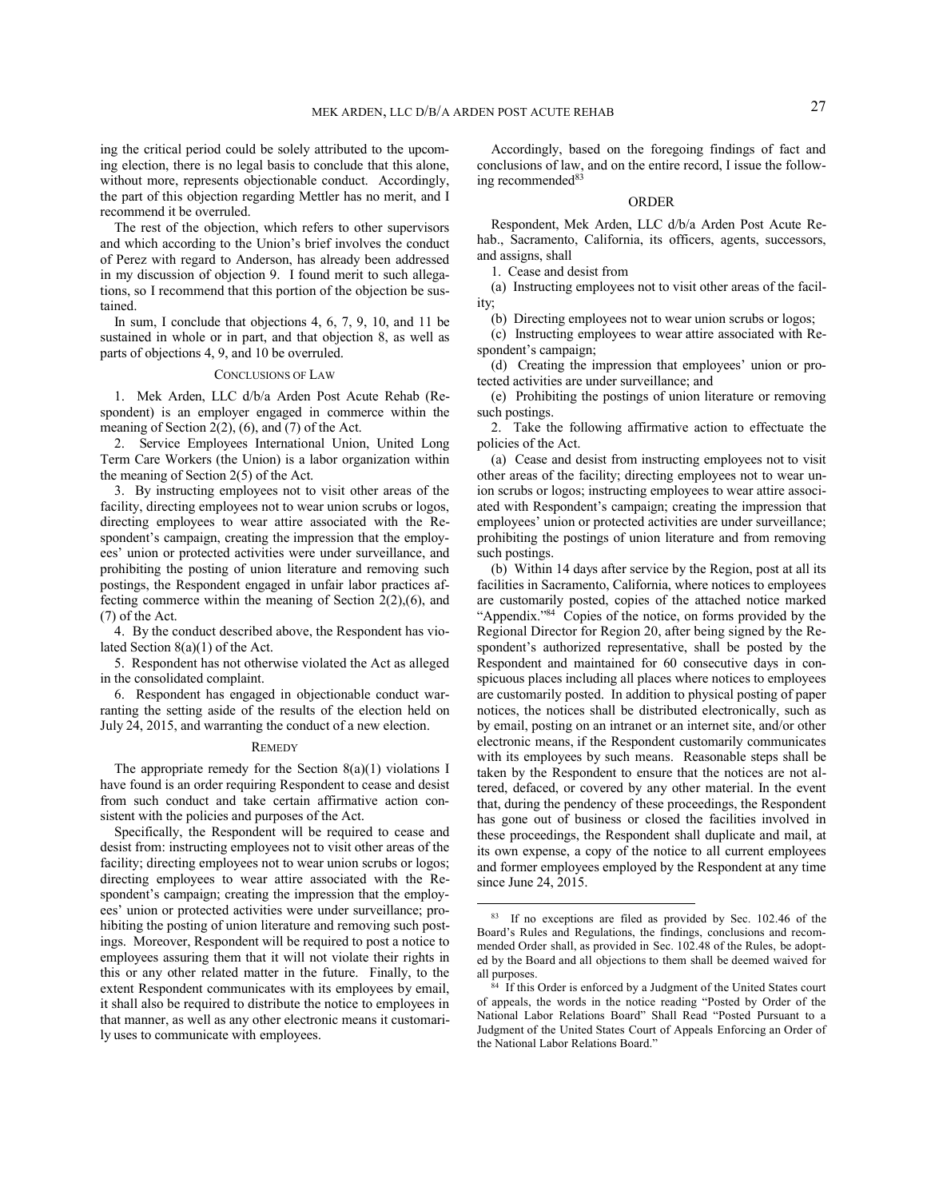ing the critical period could be solely attributed to the upcoming election, there is no legal basis to conclude that this alone, without more, represents objectionable conduct. Accordingly, the part of this objection regarding Mettler has no merit, and I recommend it be overruled.

The rest of the objection, which refers to other supervisors and which according to the Union's brief involves the conduct of Perez with regard to Anderson, has already been addressed in my discussion of objection 9. I found merit to such allegations, so I recommend that this portion of the objection be sustained.

In sum, I conclude that objections 4, 6, 7, 9, 10, and 11 be sustained in whole or in part, and that objection 8, as well as parts of objections 4, 9, and 10 be overruled.

### CONCLUSIONS OF LAW

1. Mek Arden, LLC d/b/a Arden Post Acute Rehab (Respondent) is an employer engaged in commerce within the meaning of Section 2(2), (6), and (7) of the Act.

2. Service Employees International Union, United Long Term Care Workers (the Union) is a labor organization within the meaning of Section 2(5) of the Act.

3. By instructing employees not to visit other areas of the facility, directing employees not to wear union scrubs or logos, directing employees to wear attire associated with the Respondent's campaign, creating the impression that the employees' union or protected activities were under surveillance, and prohibiting the posting of union literature and removing such postings, the Respondent engaged in unfair labor practices affecting commerce within the meaning of Section 2(2),(6), and (7) of the Act.

4. By the conduct described above, the Respondent has violated Section 8(a)(1) of the Act.

5. Respondent has not otherwise violated the Act as alleged in the consolidated complaint.

6. Respondent has engaged in objectionable conduct warranting the setting aside of the results of the election held on July 24, 2015, and warranting the conduct of a new election.

# **REMEDY**

The appropriate remedy for the Section  $8(a)(1)$  violations I have found is an order requiring Respondent to cease and desist from such conduct and take certain affirmative action consistent with the policies and purposes of the Act.

Specifically, the Respondent will be required to cease and desist from: instructing employees not to visit other areas of the facility; directing employees not to wear union scrubs or logos; directing employees to wear attire associated with the Respondent's campaign; creating the impression that the employees' union or protected activities were under surveillance; prohibiting the posting of union literature and removing such postings. Moreover, Respondent will be required to post a notice to employees assuring them that it will not violate their rights in this or any other related matter in the future. Finally, to the extent Respondent communicates with its employees by email, it shall also be required to distribute the notice to employees in that manner, as well as any other electronic means it customarily uses to communicate with employees.

Accordingly, based on the foregoing findings of fact and conclusions of law, and on the entire record, I issue the following recommended<sup>83</sup>

# ORDER

Respondent, Mek Arden, LLC d/b/a Arden Post Acute Rehab., Sacramento, California, its officers, agents, successors, and assigns, shall

1. Cease and desist from

(a) Instructing employees not to visit other areas of the facility;

(b) Directing employees not to wear union scrubs or logos;

(c) Instructing employees to wear attire associated with Respondent's campaign;

(d) Creating the impression that employees' union or protected activities are under surveillance; and

(e) Prohibiting the postings of union literature or removing such postings.

2. Take the following affirmative action to effectuate the policies of the Act.

(a) Cease and desist from instructing employees not to visit other areas of the facility; directing employees not to wear union scrubs or logos; instructing employees to wear attire associated with Respondent's campaign; creating the impression that employees' union or protected activities are under surveillance; prohibiting the postings of union literature and from removing such postings.

(b) Within 14 days after service by the Region, post at all its facilities in Sacramento, California, where notices to employees are customarily posted, copies of the attached notice marked "Appendix."<sup>84</sup> Copies of the notice, on forms provided by the Regional Director for Region 20, after being signed by the Respondent's authorized representative, shall be posted by the Respondent and maintained for 60 consecutive days in conspicuous places including all places where notices to employees are customarily posted. In addition to physical posting of paper notices, the notices shall be distributed electronically, such as by email, posting on an intranet or an internet site, and/or other electronic means, if the Respondent customarily communicates with its employees by such means. Reasonable steps shall be taken by the Respondent to ensure that the notices are not altered, defaced, or covered by any other material. In the event that, during the pendency of these proceedings, the Respondent has gone out of business or closed the facilities involved in these proceedings, the Respondent shall duplicate and mail, at its own expense, a copy of the notice to all current employees and former employees employed by the Respondent at any time since June 24, 2015.

<sup>&</sup>lt;sup>83</sup> If no exceptions are filed as provided by Sec. 102.46 of the Board's Rules and Regulations, the findings, conclusions and recommended Order shall, as provided in Sec. 102.48 of the Rules, be adopted by the Board and all objections to them shall be deemed waived for all purposes.

<sup>84</sup> If this Order is enforced by a Judgment of the United States court of appeals, the words in the notice reading "Posted by Order of the National Labor Relations Board" Shall Read "Posted Pursuant to a Judgment of the United States Court of Appeals Enforcing an Order of the National Labor Relations Board."